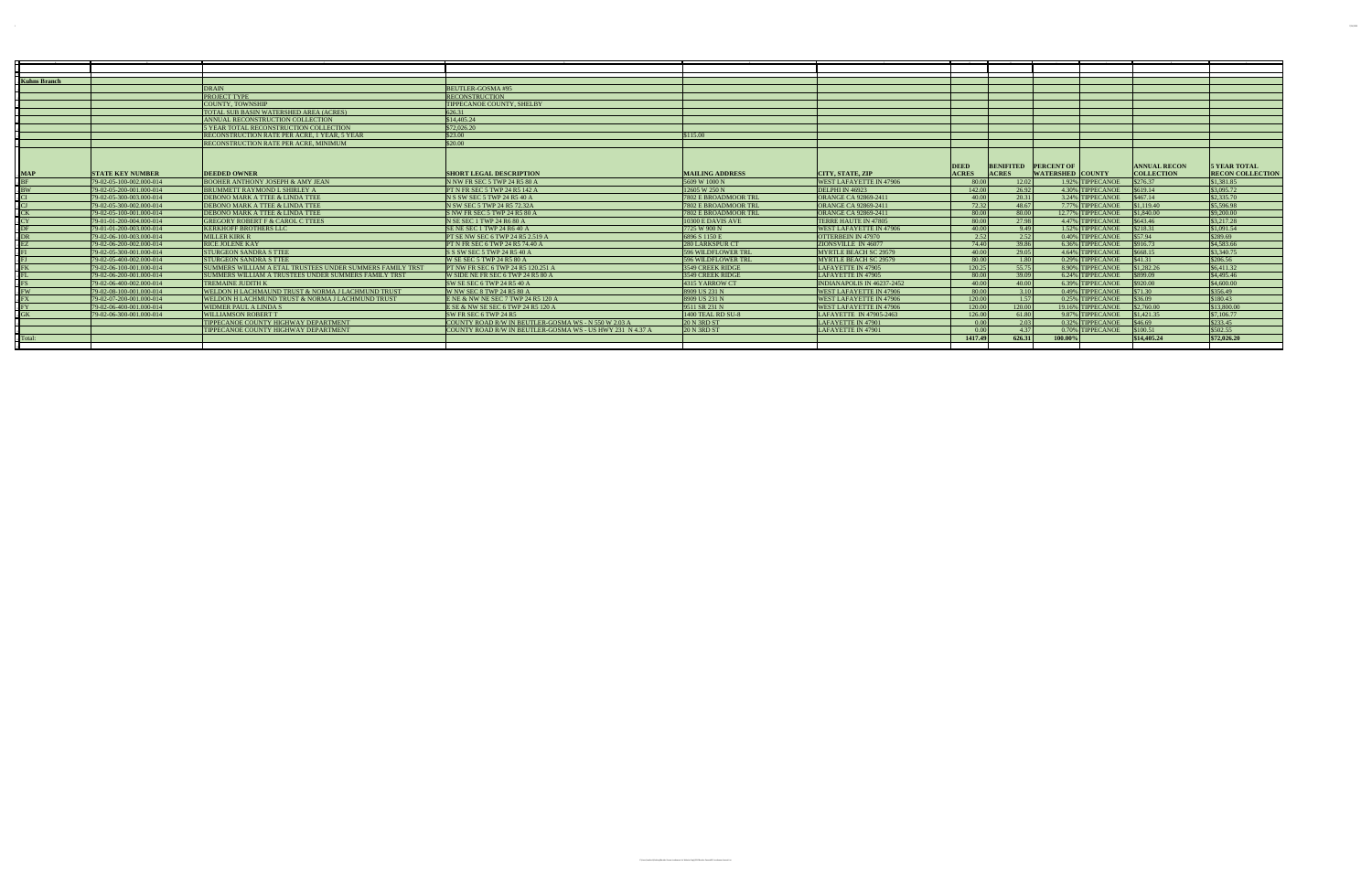| Kuhns Branch   |                          |                                                                  |                                                           |                           |                                |              |              |                             |                     |                         |
|----------------|--------------------------|------------------------------------------------------------------|-----------------------------------------------------------|---------------------------|--------------------------------|--------------|--------------|-----------------------------|---------------------|-------------------------|
|                |                          | DRAIN                                                            | BEUTLER-GOSMA#95                                          |                           |                                |              |              |                             |                     |                         |
|                |                          | <b>PROJECT TYPE</b>                                              | <b>RECONSTRUCTION</b>                                     |                           |                                |              |              |                             |                     |                         |
|                |                          | <b>COUNTY. TOWNSHIP</b>                                          | <b>TIPPECANOE COUNTY, SHELBY</b>                          |                           |                                |              |              |                             |                     |                         |
|                |                          | TOTAL SUB BASIN WATERSHED AREA (ACRES)                           | 626.31                                                    |                           |                                |              |              |                             |                     |                         |
|                |                          | ANNUAL RECONSTRUCTION COLLECTION                                 | \$14,405.24                                               |                           |                                |              |              |                             |                     |                         |
|                |                          | 5 YEAR TOTAL RECONSTRUCTION COLLECTION                           | \$72,026.20                                               |                           |                                |              |              |                             |                     |                         |
|                |                          | <b>RECONSTRUCTION RATE PER ACRE, 1 YEAR, 5 YEAR</b>              | $\frac{1}{2}$ \$23.00                                     | \$115.00                  |                                |              |              |                             |                     |                         |
|                |                          | <b>RECONSTRUCTION RATE PER ACRE. MINIMUM</b>                     | \$20.00                                                   |                           |                                |              |              |                             |                     |                         |
|                |                          |                                                                  |                                                           |                           |                                |              |              |                             |                     |                         |
|                |                          |                                                                  |                                                           |                           |                                | <b>DEED</b>  |              | <b>BENIFITED PERCENT OF</b> | <b>ANNUAL RECON</b> | <b>5 YEAR TOTAL</b>     |
| $_{\circ}$ MAP | <b>STATE KEY NUMBER</b>  | <b>DEEDED OWNER</b>                                              | <b>SHORT LEGAL DESCRIPTION</b>                            | <b>MAILING ADDRESS</b>    | <b>CITY, STATE, ZIP</b>        | <b>ACRES</b> | <b>ACRES</b> | <b>WATERSHED COUNTY</b>     | <b>COLLECTION</b>   | <b>RECON COLLECTION</b> |
|                | 79-02-05-100-002.000-014 | <b>BOOHER ANTHONY JOSEPH &amp; AMY JEAN</b>                      | N NW FR SEC 5 TWP 24 R5 80 A                              | 5609 W 1000 N             | <b>WEST LAFAYETTE IN 47906</b> | -80.00       | 12.02        | 1.92% TIPPECANOE            | \$276.37            | \$1.381.85              |
|                | 79-02-05-200-001.000-014 | BRUMMETT RAYMOND L SHIRLEY A                                     | <b>PT N FR SEC 5 TWP 24 R5 142 A</b>                      | 12605 W 250 N             | DELPHI IN 46923                | 142.00       | 26.92        | 4.30% TIPPECANOE            | \$619.14            | \$3,095.72              |
|                | 79-02-05-300-003.000-014 | DEBONO MARK A TTEE & LINDA TTEE                                  | N S SW SEC 5 TWP 24 R5 40 A                               | 7802 E BROADMOOR TRL      | <b>ORANGE CA 92869-2411</b>    | 40.00        | 20.31        | 3.24% TIPPECANOE            | \$467.14            | \$2,335.70              |
|                | 79-02-05-300-002.000-014 | DEBONO MARK A TTEE & LINDA TTEE                                  | N SW SEC 5 TWP 24 R5 72.32A                               | 7802 E BROADMOOR TRL      | <b>ORANGE CA 92869-2411</b>    | 72.32        | 48.67        | 7.77% TIPPECANOE            | \$1,119,40          | \$5,596.98              |
|                | 79-02-05-100-001.000-014 | DEBONO MARK A TTEE & LINDA TTEE                                  | S NW FR SEC 5 TWP 24 R5 80 A                              | 7802 E BROADMOOR TRL      | <b>ORANGE CA 92869-2411</b>    | 80.00        | 80.00        | 12.77% TIPPECANOE           | \$1,840,00          | \$9,200.00              |
|                | 79-01-01-200-004.000-014 | <b>GREGORY ROBERT F &amp; CAROL C TTEES</b>                      | N SE SEC 1 TWP 24 R6 80 A                                 | 10300 E DAVIS AVE         | TERRE HAUTE IN 47805           | 80.00        | 27.98        | 4.47% TIPPECANOE            | \$643.46            | \$3,217.28              |
|                | 79-01-01-200-003.000-014 | <b>KERKHOFF BROTHERS LLC</b>                                     | SE NE SEC 1 TWP 24 R6 40 A                                | 7725 W 900 N              | <b>WEST LAFAYETTE IN 47906</b> | 40.00        | 9.49         | 1.52% TIPPECANOE            | \$218.31            | \$1,091.54              |
|                | 79-02-06-100-003.000-014 | MILLER KIRK R                                                    | <b>PT SE NW SEC 6 TWP 24 R5 2.519 A</b>                   | 6896 S 1150 E             | <b>OTTERBEIN IN 47970</b>      | 2.52         | 2.52         | 0.40% TIPPECANOE            | \$57.94             | \$289.69                |
|                | 79-02-06-200-002.000-014 | <b>RICE JOLENE KAY</b>                                           | <b>PT N FR SEC 6 TWP 24 R5 74.40 A</b>                    | 280 LARKSPUR CT           | ZIONSVILLE IN 46077            | 74.40        | 39.86        | 6.36% TIPPECANOE            | \$916.73            | \$4,583.66              |
|                | 79-02-05-300-001.000-014 | <b>STURGEON SANDRA S TTEE</b>                                    | S S SW SEC 5 TWP 24 R5 40 A                               | <b>596 WILDFLOWER TRL</b> | MYRTLE BEACH SC 29579          | 40.00        | 29.05        | 4.64% TIPPECANOE            | \$668.15            | \$3,340.75              |
|                | 79-02-05-400-002.000-014 | <b>STURGEON SANDRA S TTEE</b>                                    | W SE SEC 5 TWP 24 R5 80 A                                 | <b>596 WILDFLOWER TRL</b> | MYRTLE BEACH SC 29579          | 80.00        | 1.80         | 0.29% TIPPECANOE            | \$41.31             | \$206.56                |
|                | 79-02-06-100-001.000-014 | <b>SUMMERS WILLIAM A ETAL TRUSTEES UNDER SUMMERS FAMILY TRST</b> | <b>PT NW FR SEC 6 TWP 24 R5 120.251 A</b>                 | 3549 CREEK RIDGE          | LAFAYETTE IN 47905             | 120.25       | 55.75        | 8.90% TIPPECANOE            | \$1,282.26          | \$6,411.32              |
|                | 79-02-06-200-001.000-014 | SUMMERS WILLIAM A TRUSTEES UNDER SUMMERS FAMILY TRST             | W SIDE NE FR SEC 6 TWP 24 R5 80 A                         | 3549 CREEK RIDGE          | LAFAYETTE IN 47905             | -80.00       | 39.09        | 6.24% TIPPECANOE            | \$899.09            | \$4,495.46              |
|                | 79-02-06-400-002.000-014 | <b>TREMAINE JUDITH K</b>                                         | SW SE SEC 6 TWP 24 R5 40 A                                | 4315 YARROW CT            | INDIANAPOLIS IN 46237-2452     | 40.00        | 40.00        | 6.39% TIPPECANOE            | \$920.00            | \$4,600.00              |
|                | 79-02-08-100-001.000-014 | <b>WELDON H LACHMAUND TRUST &amp; NORMA J LACHMUND TRUST</b>     | W NW SEC 8 TWP 24 R5 80 A                                 | 8909 US 231 N             | <b>WEST LAFAYETTE IN 47906</b> | 80.00        | 3.10         | 0.49% TIPPECANOE            | \$71.30             | \$356.49                |
|                | 79-02-07-200-001.000-014 | <b>WELDON H LACHMUND TRUST &amp; NORMA J LACHMUND TRUST</b>      | ENE & NW NE SEC 7 TWP 24 R5 120 A                         | 8909 US 231 N             | <b>WEST LAFAYETTE IN 47906</b> | 120.00       | 1.57         | 0.25% TIPPECANOE            | \$36.09             | \$180.43                |
|                | 79-02-06-400-001.000-014 | WIDMER PAUL A LINDA S                                            | E SE & NW SE SEC 6 TWP 24 R5 120 A                        | 9511 SR 231 N             | <b>WEST LAFAYETTE IN 47906</b> | 120.00       | 120.00       | 19.16% TIPPECANOE           | \$2,760.00          | \$13,800.00             |
|                | 79-02-06-300-001.000-014 | WILLIAMSON ROBERT T                                              | ISW FR SEC 6 TWP 24 R5                                    | 1400 TEAL RD SU-8         | LAFAYETTE IN 47905-2463        | 126.00       | 61.80        | 9.87% TIPPECANOE            | \$1,421,35          | \$7,106.77              |
|                |                          | TIPPECANOE COUNTY HIGHWAY DEPARTMENT                             | COUNTY ROAD R/W IN BEUTLER-GOSMA WS - N 550 W 2.03 A      | $20 N$ 3RD ST             | LAFAYETTE IN 47901             | 0.00         | 2.03         | 0.32% TIPPECANOE            | \$46.69             | \$233.45                |
|                |                          | TIPPECANOE COUNTY HIGHWAY DEPARTMENT                             | COUNTY ROAD R/W IN BEUTLER-GOSMA WS - US HWY 231 N 4.37 A | $20N$ 3RD ST              | LAFAYETTE IN 47901             | 0.00         | 4.37         | 0.70% TIPPECANOE            | \$100.51            | \$502.55                |
| . Total:       |                          |                                                                  |                                                           |                           |                                | 1417.49      | 626.31       | 100.00%                     | \$14,405.24         | \$72,026.20             |
|                |                          |                                                                  |                                                           |                           |                                |              |              |                             |                     |                         |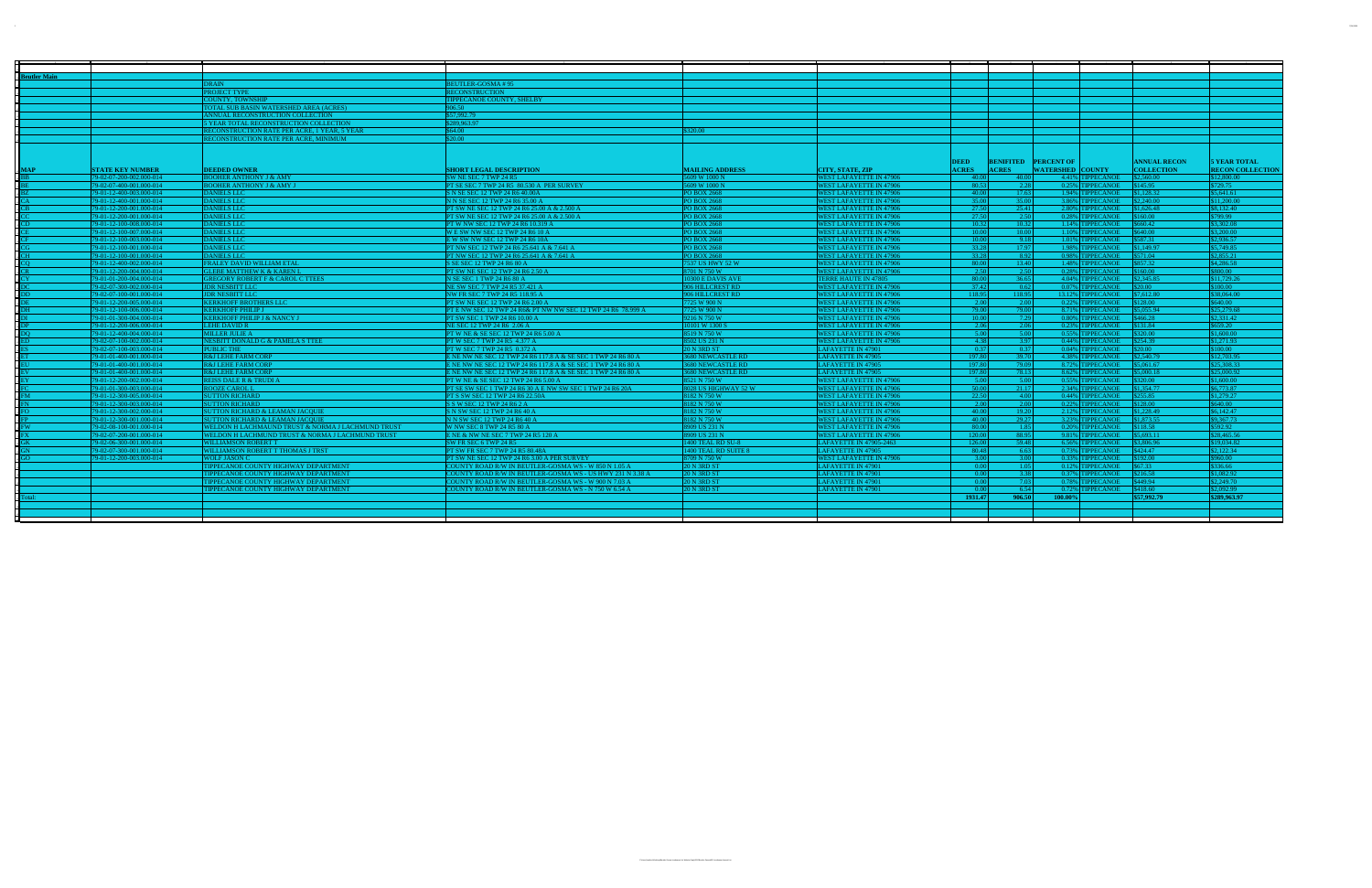| <b>Beutler Main</b> |                          |                                                   |                                                               |                          |                                |                       |                                         |                             |                     |                         |
|---------------------|--------------------------|---------------------------------------------------|---------------------------------------------------------------|--------------------------|--------------------------------|-----------------------|-----------------------------------------|-----------------------------|---------------------|-------------------------|
|                     |                          | <b>DRAIN</b>                                      | EUTLER-GOSMA#95                                               |                          |                                |                       |                                         |                             |                     |                         |
|                     |                          | PROJECT TYPE                                      | RECONSTRUCTION                                                |                          |                                |                       |                                         |                             |                     |                         |
|                     |                          | <b>COUNTY, TOWNSHIP</b>                           | TIPPECANOE COUNTY, SHELBY                                     |                          |                                |                       |                                         |                             |                     |                         |
|                     |                          | TOTAL SUB BASIN WATERSHED AREA (ACRES)            | 906.50                                                        |                          |                                |                       |                                         |                             |                     |                         |
|                     |                          | ANNUAL RECONSTRUCTION COLLECTION                  | \$57,992.79                                                   |                          |                                |                       |                                         |                             |                     |                         |
|                     |                          | 5 YEAR TOTAL RECONSTRUCTION COLLECTION            | \$289,963.97                                                  |                          |                                |                       |                                         |                             |                     |                         |
|                     |                          | RECONSTRUCTION RATE PER ACRE, 1 YEAR, 5 YEAR      | \$64.00                                                       | \$320.00                 |                                |                       |                                         |                             |                     |                         |
|                     |                          | RECONSTRUCTION RATE PER ACRE, MINIMUM             | \$20.00                                                       |                          |                                |                       |                                         |                             |                     |                         |
|                     |                          |                                                   |                                                               |                          |                                |                       |                                         |                             |                     |                         |
|                     |                          |                                                   |                                                               |                          |                                |                       |                                         |                             |                     |                         |
|                     |                          |                                                   |                                                               |                          |                                | <b>DEED</b>           | <b>BENIFITED PERCENT OF</b>             |                             | <b>ANNUAL RECON</b> | <b>5 YEAR TOTAL</b>     |
| <b>MAP</b>          | <b>STATE KEY NUMBER</b>  | <b>DEEDED OWNER</b>                               | <b>SHORT LEGAL DESCRIPTION</b>                                | <b>MAILING ADDRESS</b>   | <b>CITY, STATE, ZIP</b>        | <b>ACRES</b>          | <b>ACRES</b><br><b>WATERSHED COUNTY</b> |                             | <b>COLLECTION</b>   | <b>RECON COLLECTION</b> |
|                     | 79-02-07-200-002.000-014 | <b>BOOHER ANTHONY J &amp; AMY</b>                 | SW NE SEC 7 TWP 24 R5                                         | 5609 W 1000 N            | <b>WEST LAFAYETTE IN 47906</b> | -40.00                | 40.00                                   | 4.41% TIPPECANOE            | \$2,560.00          | \$12,800.00             |
|                     | 79-02-07-400-001.000-014 | <b>BOOHER ANTHONY J &amp; AMY J</b>               | PT SE SEC 7 TWP 24 R5 80.530 A PER SURVEY                     | 5609 W 1000 N            | <b>WEST LAFAYETTE IN 47906</b> | 80.53                 | 2.28                                    | 0.25% TIPPECANOE            | \$145.95            | \$729.75                |
|                     | 79-01-12-400-003.000-014 | <b>DANIELS LLC</b>                                | S N SE SEC 12 TWP 24 R6 40.00A                                | <b>PO BOX 2668</b>       | <b>WEST LAFAYETTE IN 47906</b> | 40.00                 | 17.63                                   | 1.94% TIPPECANOE            | \$1,128.32          | \$5,641.61              |
|                     | 79-01-12-400-001.000-014 | <b>DANIELS LLC</b>                                | N N SE SEC 12 TWP 24 R6 35.00 A                               | PO BOX 2668              | <b>WEST LAFAYETTE IN 47906</b> | 35.00                 | 35.00                                   | 3.86% TIPPECANOE            | \$2,240.00          | \$11,200.00             |
|                     | 79-01-12-200-001.000-014 | <b>DANIELS LLC</b>                                | PT SW NE SEC 12 TWP 24 R6 25.00 A & 2.500 A                   | PO BOX 2668              | <b>WEST LAFAYETTE IN 47906</b> |                       | 25.41                                   | 2.80% TIPPECANOE            | \$1,626,48          | \$8,132.40              |
|                     | 79-01-12-200-001.000-014 | <b>DANIELS LLC</b>                                | PT SW NE SEC 12 TWP 24 R6 25.00 A & 2.500 A                   | <b>PO BOX 2668</b>       | <b>WEST LAFAYETTE IN 47906</b> | $\frac{27.50}{27.50}$ | 2.50                                    | 0.28% TIPPECANOE            | \$160.00            | \$799.99                |
|                     | 79-01-12-100-008.000-014 | <b>DANIELS LLC</b>                                | PT W NW SEC 12 TWP 24 R6 10.319 A                             | <b>PO BOX 2668</b>       | <b>WEST LAFAYETTE IN 47906</b> | 10.32                 | 10.32                                   | 1.14% TIPPECANOE            | \$660.42            | \$3,302.08              |
|                     | 79-01-12-100-007.000-014 | <b>DANIELS LLC</b>                                | WE SW NW SEC 12 TWP 24 R6 10 A                                | <b>PO BOX 2668</b>       | <b>WEST LAFAYETTE IN 47906</b> | 10.00                 | 10.00                                   | 1.10% TIPPECANOE            | \$640.00            | \$3,200.00              |
|                     | 79-01-12-100-003.000-014 | <b>DANIELS LLC</b>                                | E W SW NW SEC 12 TWP 24 R6 10A                                | <b>PO BOX 2668</b>       | <b>WEST LAFAYETTE IN 47906</b> | 10.00                 | 9.18                                    | 1.01% TIPPECANOE            | \$587.31            | \$2,936.57              |
|                     | 79-01-12-100-001.000-014 | <b>DANIELS LLC</b>                                | PT NW SEC 12 TWP 24 R6 25.641 A & 7.641 A                     | <b>PO BOX 2668</b>       | <b>WEST LAFAYETTE IN 47906</b> | 33.28                 | 17.97                                   | 1.98% TIPPECANOE            | \$1,149.97          | \$5,749.85              |
|                     | 79-01-12-100-001.000-014 | <b>DANIELS LLC</b>                                | PT NW SEC 12 TWP 24 R6 25.641 A & 7.641 A                     | <b>PO BOX 2668</b>       | <b>WEST LAFAYETTE IN 47906</b> | 33.28                 | 8.92                                    | 0.98% TIPPECANOE            | \$571.04            | \$2,855.21              |
|                     |                          |                                                   |                                                               |                          |                                | 80.00                 | 13.40                                   |                             |                     | \$4,286.58              |
|                     | 79-01-12-400-002.000-014 | FRALEY DAVID WILLIAM ETAL                         | S SE SEC 12 TWP 24 R6 80 A                                    | 7537 US HWY 52 W         | <b>WEST LAFAYETTE IN 47906</b> |                       |                                         | 1.48% TIPPECANOE            | \$857.32            |                         |
|                     | 79-01-12-200-004.000-014 | <b>GLEBE MATTHEW K &amp; KAREN L</b>              | PT SW NE SEC 12 TWP 24 R6 2.50 A                              | 8701 N 750 W             | <b>WEST LAFAYETTE IN 47906</b> | 2.50<br>80.00         | 2.50                                    | 0.28% TIPPECANOE            | \$160.00            | \$800.00                |
|                     | 79-01-01-200-004.000-014 | <b>GREGORY ROBERT F &amp; CAROL C TTEES</b>       | N SE SEC 1 TWP 24 R6 80 A                                     | 10300 E DAVIS AVE        | TERRE HAUTE IN 47805           |                       | 36.65                                   | 4.04% TIPPECANOE            | \$2,345.85          | \$11,729.26             |
|                     | 79-02-07-300-002.000-014 | <b>JDR NESBITT LLC</b>                            | NE SW SEC 7 TWP 24 R5 37.421 A                                | 906 HILLCREST RD         | <b>WEST LAFAYETTE IN 47906</b> | 37.42                 | 0.62                                    | $0.07\%$ TIPPECANOE \$20.00 |                     | \$100.00                |
|                     | 79-02-07-100-001.000-014 | <b>JDR NESBITT LLC</b>                            | NW FR SEC 7 TWP 24 R5 118.95 A                                | 906 HILLCREST RD         | <b>WEST LAFAYETTE IN 47906</b> | 118.95                | 118.95                                  | 13.12% TIPPECANOE           | \$7,612.80          | \$38,064.00             |
|                     | 79-01-12-200-005.000-014 | <b>KERKHOFF BROTHERS LLC</b>                      | PT SW NE SEC 12 TWP 24 R6 2.00 A                              | 7725 W 900 N             | <b>WEST LAFAYETTE IN 47906</b> | 2.00                  | 2.00                                    | 0.22% TIPPECANOE            | \$128.00            | \$640.00                |
|                     | 79-01-12-100-006.000-014 | <b>KERKHOFF PHILIP J</b>                          | PT E NW SEC 12 TWP 24 R6& PT NW NW SEC 12 TWP 24 R6 78.999 A  | 7725 W 900 N             | <b>WEST LAFAYETTE IN 47906</b> | 79.00                 | 79.00                                   | 8.71% TIPPECANOE            | \$5,055.94          | \$25,279.68             |
|                     | 79-01-01-300-004.000-014 | <b>KERKHOFF PHILIP J &amp; NANCY J</b>            | PT SW SEC 1 TWP 24 R6 10.00 A                                 | 9216 N 750 W             | <b>WEST LAFAYETTE IN 47906</b> | 10.00                 | 7.29                                    | 0.80% TIPPECANOE            | \$466.28            | \$2,331.42              |
|                     | 79-01-12-200-006.000-014 | LEHE DAVID R                                      | NE SEC 12 TWP 24 R6 2.06 A                                    | 10101 W 1300 S           | <b>WEST LAFAYETTE IN 47906</b> | 2.06                  | 2.06                                    | 0.23% TIPPECANOE            | \$131.84            | \$659.20                |
|                     | 79-01-12-400-004.000-014 | <b>MILLER JULIE A</b>                             | PT W NE & SE SEC 12 TWP 24 R6 5.00 A                          | 8519 N 750 W             | <b>WEST LAFAYETTE IN 47906</b> | 5.00                  | 5.00                                    | 0.55% TIPPECANOE            | \$320.00            | \$1,600.00              |
|                     | 79-02-07-100-002.000-014 | NESBITT DONALD G & PAMELA S TTEE                  | PT W SEC 7 TWP 24 R5 4.377 A                                  | 8502 US 231 N            | <b>WEST LAFAYETTE IN 47906</b> | 4.38                  | 3.97                                    | 0.44% TIPPECANOE            | \$254.39            | \$1,271.93              |
|                     | 79-02-07-100-003.000-014 | <b>PUBLIC THE</b>                                 | PT W SEC 7 TWP 24 R5 0.372 A                                  | <b>20 N 3RD ST</b>       | <b>LAFAYETTE IN 47901</b>      | 0.37                  | 0.37                                    | 0.04% TIPPECANOE            | \$20.00             | \$100.00                |
|                     | 79-01-01-400-001.000-014 | <b>R&amp;J LEHE FARM CORP</b>                     | E NE NW NE SEC 12 TWP 24 R6 117.8 A & SE SEC 1 TWP 24 R6 80 A | <b>3680 NEWCASTLE RD</b> | <b>LAFAYETTE IN 47905</b>      | 197.80                | 39.70                                   | 4.38% TIPPECANOE            | \$2,540.79          | \$12,703.95             |
|                     | 79-01-01-400-001.000-014 | <b>R&amp;J LEHE FARM CORP</b>                     | E NE NW NE SEC 12 TWP 24 R6 117.8 A & SE SEC 1 TWP 24 R6 80 A | <b>3680 NEWCASTLE RD</b> | LAFAYETTE IN 47905             | 197.80                | 79.09                                   | 8.72% TIPPECANOE            | \$5,061.67          | \$25,308.33             |
|                     | 79-01-01-400-001.000-014 | <b>R&amp;J LEHE FARM CORP</b>                     | E NE NW NE SEC 12 TWP 24 R6 117.8 A & SE SEC 1 TWP 24 R6 80 A | <b>3680 NEWCASTLE RD</b> | LAFAYETTE IN 47905             | 197.80                | 78.13                                   | 8.62% TIPPECANOE            | \$5,000.18          | \$25,000.92             |
|                     | 79-01-12-200-002.000-014 | <b>REISS DALE R &amp; TRUDI A</b>                 | PT W NE & SE SEC 12 TWP 24 R6 5.00 A                          | 8521 N 750 W             | <b>WEST LAFAYETTE IN 47906</b> | 5.00                  | 5.00                                    | 0.55% TIPPECANOE            | \$320.00            | \$1,600.00              |
|                     | 79-01-01-300-003.000-014 | <b>ROOZE CAROL L</b>                              | PT SE SW SEC 1 TWP 24 R6 30 A E NW SW SEC 1 TWP 24 R6 20A     | 8028 US HIGHWAY 52 W     | <b>WEST LAFAYETTE IN 47906</b> | 50.00                 | 21.17                                   | 2.34% TIPPECANOE            | \$1,354.77          | \$6,773.87              |
|                     | 79-01-12-300-005.000-014 | <b>SUTTON RICHARD</b>                             | PT S SW SEC 12 TWP 24 R6 22.50A                               | 8182 N 750 W             | <b>WEST LAFAYETTE IN 47906</b> | 22.50                 | 4.00                                    | 0.44% TIPPECANOE            | \$255.85            | \$1,279.27              |
|                     | 79-01-12-300-003.000-014 | <b>SUTTON RICHARD</b>                             | S S W SEC 12 TWP 24 R6 2 A                                    | 8182 N 750 W             | <b>WEST LAFAYETTE IN 47906</b> | 2.00                  | 2.00                                    | 0.22% TIPPECANOE            | \$128.00            | \$640.00                |
|                     | 79-01-12-300-002.000-014 | <b>SUTTON RICHARD &amp; LEAMAN JACQUIE</b>        | S N SW SEC 12 TWP 24 R6 40 A                                  | 8182 N 750 W             | <b>WEST LAFAYETTE IN 47906</b> | 40.00                 | 19.20                                   | 2.12% TIPPECANOE            | \$1,228.49          | \$6,142.47              |
|                     | 79-01-12-300-001.000-014 | <b>SUTTON RICHARD &amp; LEAMAN JACQUIE</b>        | N N SW SEC 12 TWP 24 R6 40 A                                  | 8182 N 750 W             | <b>WEST LAFAYETTE IN 47906</b> | 40.00                 | 29.27                                   | 3.23% TIPPECANOE            | \$1,873.55          | \$9,367.73              |
|                     | 79-02-08-100-001.000-014 | WELDON H LACHMAUND TRUST & NORMA J LACHMUND TRUST | W NW SEC 8 TWP 24 R5 80 A                                     | 8909 US 231 N            | <b>WEST LAFAYETTE IN 47906</b> | 80.00                 | 1.85                                    | 0.20% TIPPECANOE            | \$118.58            | \$592.92                |
|                     | 79-02-07-200-001.000-014 | WELDON H LACHMUND TRUST & NORMA J LACHMUND TRUST  | E NE & NW NE SEC 7 TWP 24 R5 120 A                            | 8909 US 231 N            | <b>WEST LAFAYETTE IN 47906</b> | 120.00                | 88.95                                   | 9.81% TIPPECANOE            | \$5,693.11          | \$28,465.56             |
|                     | 79-02-06-300-001.000-014 | <b>WILLIAMSON ROBERT T</b>                        | SW FR SEC 6 TWP 24 R5                                         | <b>1400 TEAL RD SU-8</b> | LAFAYETTE IN 47905-2463        | 126.00                | 59.48                                   | 6.56% TIPPECANOE            | \$3,806.96          | \$19,034.82             |
|                     | 79-02-07-300-001.000-014 | WILLIAMSON ROBERT T THOMAS J TRST                 | PT SW FR SEC 7 TWP 24 R5 80.48A                               | 1400 TEAL RD SUITE 8     | <b>LAFAYETTE IN 47905</b>      | 80.48                 | 6.63                                    | 0.73% TIPPECANOE            | \$424.47            | \$2,122.34              |
|                     | 79-01-12-200-003.000-014 | <b>WOLF JASON C</b>                               | PT SW NE SEC 12 TWP 24 R6 3.00 A PER SURVEY                   | 8709 N 750 W             | <b>WEST LAFAYETTE IN 47906</b> | 3.00                  | 3.00                                    | 0.33% TIPPECANOE            | \$192.00            | \$960.00                |
|                     |                          | TIPPECANOE COUNTY HIGHWAY DEPARTMENT              | COUNTY ROAD R/W IN BEUTLER-GOSMA WS - W 850 N 1.05 A          | <b>20 N 3RD ST</b>       | LAFAYETTE IN 47901             | 0.00                  | 1.05                                    | 0.12% TIPPECANOE            | \$67.33             | \$336.66                |
|                     |                          | TIPPECANOE COUNTY HIGHWAY DEPARTMENT              | COUNTY ROAD R/W IN BEUTLER-GOSMA WS - US HWY 231 N 3.38 A     | <b>20 N 3RD ST</b>       | <b>LAFAYETTE IN 47901</b>      | 0.00                  | 3.38                                    | 0.37% TIPPECANOE            | \$216.58            | \$1,082.92              |
|                     |                          | TIPPECANOE COUNTY HIGHWAY DEPARTMENT              | COUNTY ROAD R/W IN BEUTLER-GOSMA WS - W 900 N 7.03 A          | <b>20 N 3RD ST</b>       | LAFAYETTE IN 47901             | 0.00                  | 7.03                                    | 0.78% TIPPECANOE            | \$449.94            | \$2,249.70              |
|                     |                          | TIPPECANOE COUNTY HIGHWAY DEPARTMENT              | COUNTY ROAD R/W IN BEUTLER-GOSMA WS - N 750 W 6.54 A          | <b>20 N 3RD ST</b>       | <b>LAFAYETTE IN 47901</b>      | 0.00                  | 6.54                                    | 0.72% TIPPECANOE            | \$418.60            | \$2,092.99              |
|                     |                          |                                                   |                                                               |                          |                                | 1931.47               | 906.50<br>100.00%                       |                             | \$57,992.79         | \$289,963.97            |
|                     |                          |                                                   |                                                               |                          |                                |                       |                                         |                             |                     |                         |
|                     |                          |                                                   |                                                               |                          |                                |                       |                                         |                             |                     |                         |
|                     |                          |                                                   |                                                               |                          |                                |                       |                                         |                             |                     |                         |
|                     |                          |                                                   |                                                               |                          |                                |                       |                                         |                             |                     |                         |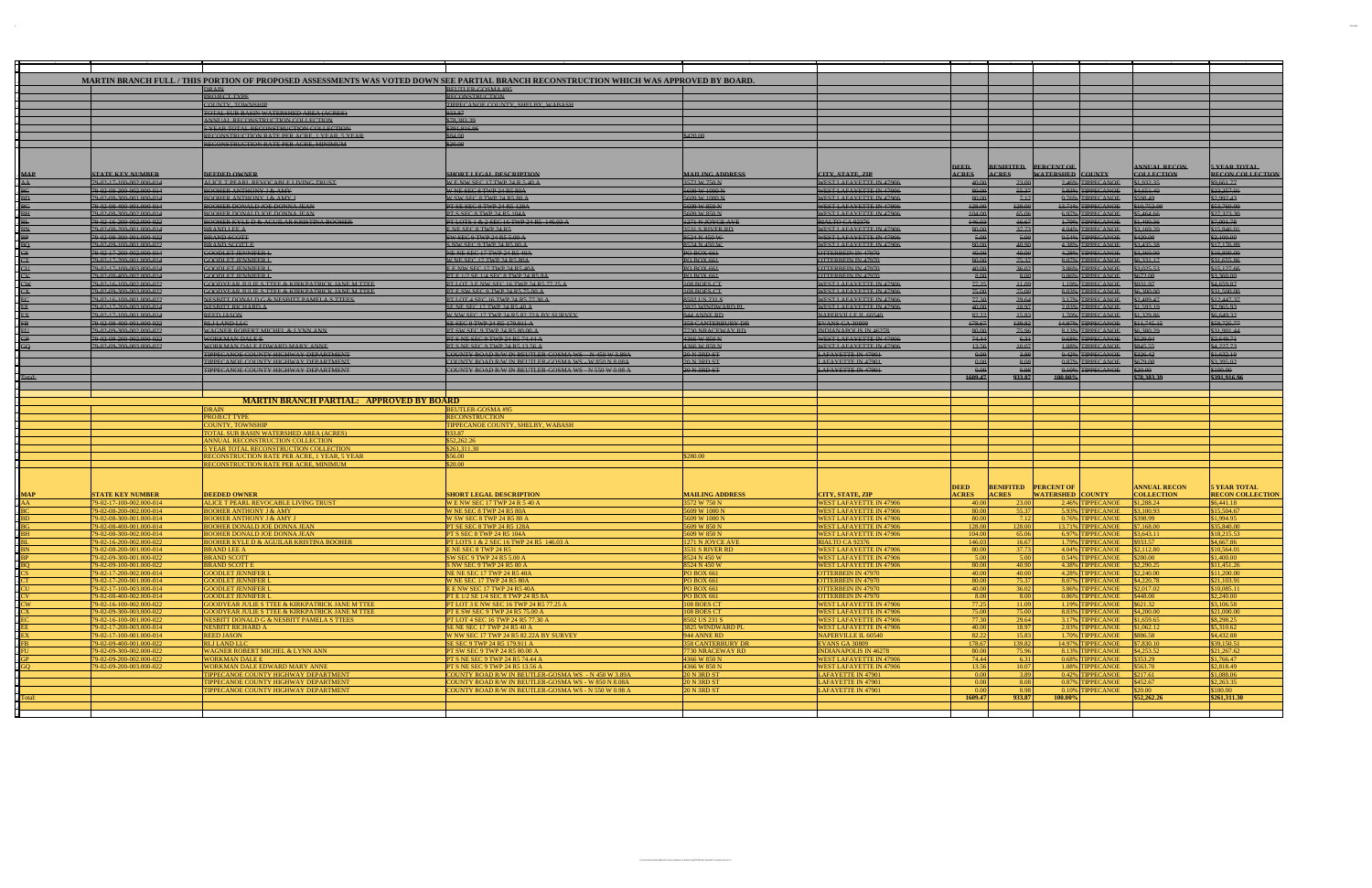| MARTIN BRANCH FULL / THIS PORTION OF PROPOSED ASSESSMENTS WAS VOTED DOWN SEE PARTIAL BRANCH RECONSTRUCTION WHICH WAS APPROVED BY BOARD.<br><b>DRAIN</b><br><b>BEUTLER GOSMA#95</b><br><b>PROJECT TYPE</b><br><b>RECONSTRUCTION</b><br>TIPPECANOE COUNTY, SHELBY, WABASH<br>COUNTY, TOWNSHIP<br>TOTAL SUB BASIN WATERSHED AREA (ACRES)<br>933.87<br>\$78,383,39<br>ANNUAL RECONSTRUCTION COLLECTION<br>\$391,916.96<br><b>5 YEAR TOTAL RECONSTRUCTION COLLECTION</b><br>RECONSTRUCTION RATE PER ACRE. 1 YEAR, 5 YEAR<br>\$84.00<br>\$420.00<br>\$20.00<br><b>RECONSTRUCTION RATE PER ACRE, MINIMUM</b><br><b>BENIFITED PERCENT OF</b><br><b>ANNUAL RECON</b><br><b>DEED</b><br><b>WATERSHED COUNTY</b><br><b>STATE KEY NUMBER</b><br><b>DEEDED OWNER</b><br><b>SHORT LEGAL DESCRIPTION</b><br><b>MAILING ADDRESS</b><br>CITY, STATE, ZIP<br><b>ACRES</b><br><b>ACRES</b><br><b>COLLECTION</b><br>MAP<br>AA<br>ALICE T PEARL REVOCABLE LIVING TRUST<br>\$1,932.35<br>79 02 17 100 002,000 014<br>WENW SEC 17 TWP 24 R 5 40 A<br>3572 W 750 N<br>WEST LAFAYETTE IN 47906<br>23.00<br>2.46% TIPPECANOE<br>40.00<br>55.37<br>\$4,651.40<br>79 02 08 200 002,000 014<br><b>BOOHER ANTHONY J &amp; AMY</b><br><b>W NE SEC 8 TWP 24 R5 80A</b><br>5609 W 1000 N<br>WEST LAFAYETTE IN 47906<br>80.00<br>5.93% TIPPECANOE<br>7.12<br>79 02 08 300 001 000 014<br><b>BOOHER ANTHONY J &amp; AMY J</b><br>W SW SEC 8 TWP 24 R5 80 A<br>5609 W 1000 N<br>WEST LAFAYETTE IN 47906<br>80.00<br>0.76% TIPPECANOE<br>598.49<br><b>BOOHER DONALD JOE DONNA JEAN</b><br>128.00<br>13.71% TIPPECANOE<br>\$10,752.00<br>79 02 08 400 001 000 014<br>PT SE SEC 8 TWP 24 R5 128A<br>5609 W 850 N<br>WEST LAFAYETTE IN 47906<br>128.00<br><b>BOOHER DONALD JOE DONNA JEAN</b><br>79 02 08 300 002,000 014<br>PT S SEC 8 TWP 24 R5 104A<br>5609 W 850 N<br>WEST LAFAYETTE IN 47906<br>404.00<br>65.06<br>6.97% TIPPECANOE<br>\$5,464.66<br>146.03<br>79 02 16 200 002.000 022<br><b>BOOHER KYLE D &amp; AGUILAR KRISTINA BOOHER</b><br>PT LOTS 1 & 2 SEC 16 TWP 24 R5 146.03 A<br>1271 N JOYCE AVE<br>RIALTO CA 92376<br>16.67<br>1.79% TIPPECANOE<br>1.400.36<br><b>BRAND LEE A</b><br>80.00<br>37.73<br>\$3,169.20<br>79 02 08 200 001 000 014<br>ENESEC 8 TWP 24 R5<br>3531 S RIVER RD<br>WEST LAFAYETTE IN 47906<br>4.04% TIPPECANOE<br>5.00<br>79 02 09 300 001,000 022<br><b>BRAND SCOTT</b><br>SW SEC 9 TWP 24 R5 5.00 A<br>8524 N 450 W<br>WEST LAFAYETTE IN 47906<br>5.00<br>0.54% TIPPECANOE<br>\$420.00<br>80.00<br><b>BRAND SCOTT E</b><br>S NW SEC 9 TWP 24 R5 80 A<br>8524 N 450 W<br>WEST LAFAYETTE IN 47906<br>40.90<br>4.38% TIPPECANOE<br>\$3,435,38<br>79 02 09 100 001 000 022<br>40.00<br>40.00<br>\$3,360.00<br>79 02 17 200 002.000 014<br><b>GOODLET JENNIFER I</b><br>NE NE SEC 17 TWP 24 R5 40A<br><b>PO BOX 661</b><br>OTTERBEIN IN 47970<br>4.28% TIPPECANOE<br>80.00<br>75.37<br>79-02-17-200-001.000-014<br><b>GOODLET JENNIFER I</b><br>W NE SEC 17 TWP 24 R5 80A<br><b>PO BOX 661</b><br>OTTERBEIN IN 47970<br>8.07% TIPPECANOE<br>\$6,331.17<br>40.00<br>36.02<br>\$3,025.53<br>CI<br><b>PO BOX 661</b><br>3.86% TIPPECANOE<br>79 02 17 100 003 000 014<br><b>GOODLET JENNIFER I</b><br>E E NW SEC 17 TWP 24 R5 40A<br>OTTERBEIN IN 47970<br>8.00<br><b>GOODLET JENNIFER L</b><br><b>PO BOX 661</b><br>8.00<br>0.86% TIPPECANOE<br>\$672.00<br>79 02 08 400 002.000 014<br>PT E 1/2 SE 1/4 SEC 8 TWP 24 R5 8A<br>OTTERBEIN IN 47970<br>77.25<br><b>GOODYEAR JULIE S TTEE &amp; KIRKPATRICK JANE M TTEE</b><br>PT LOT 3 E NW SEC 16 TWP 24 R5 77 25 A<br>108 BOES CT<br><b>WEST LAFAYETTE IN 47906</b><br>$+1.09$<br>1.19% TIPPECANOE<br>\$931.97<br>CW<br>79 02 16 100 002,000 022<br>108 BOES CT<br>75.00<br>75.00<br>\$6,300.00<br>79 02 09 300 003,000 022<br><b>GOODYEAR JULIE S TTEE &amp; KIRKPATRICK JANE M TTEE</b><br>PT E SW SEC 9 TWP 24 R5 75.00 A<br>WEST LAFAYETTE IN 47906<br>8.03% TIPPECANOE<br>77.30<br>29.64<br>79 02 16 100 001 000 022<br>NESBITT DONALD G & NESBITT PAMELA S TTEES<br>PT LOT 4 SEC 16 TWP 24 R5 77.30 A<br>8502 US 231 S<br>WEST LAFAYETTE IN 47906<br>3.17% TIPPECANOE<br>\$2,489.47<br>79 02 17 200 003 000 014<br><b>NESBITT RICHARD A</b><br>SENE SEC 17 TWP 24 R5 40 A<br>3825 WINDWARD PL<br>WEST LAFAYETTE IN 47906<br>40.00<br>18.97<br>2.03% TIPPECANOE<br>\$1,593.19<br>W NW SEC 17 TWP 24 R5 82.22A BY SURVEY<br>NAPERVILLE IL 60540<br>82.22<br>15.83<br>\$1,329.86<br>79 02 17 100 001,000 014<br><b>REED JASON</b><br>944 ANNE RD<br>1.70% TIPPECANOE<br>178.67<br>139.82<br>79 02 09 400 001,000 022<br><b>RLJ LAND LLC</b><br>SE SEC 9 TWP 24 R5 179.911 A<br><b>358 CANTERBURY DR</b><br><b>EVANS GA 30809</b><br>14.97% TIPPECANOE<br>\$11,745.15<br>WAGNER ROBERT MICHEL & LYNN ANN<br>PT SW SEC 9 TWP 24 R5 80.00 A<br><b>7730 NRACEWAY RD</b><br><b>INDIANAPOLIS IN 46278</b><br>80.00<br>75.96<br>8.13% TIPPECANOE<br>6.380.29<br>79 02 09 300 002 000 022<br>74.44<br>4366 W 850 N<br>6.31<br>\$529.94<br>79 02 09 200 002.000 022<br>WORKMAN DALE F<br>PT S NE SEC 9 TWP 24 R5 74.44 A<br>WEST LAFAYETTE IN 47906<br>0.68% TIPPECANOE<br>13.56<br>10.07<br>79 02 09 200 003.000 022<br>WORKMAN DALE EDWARD MARY ANNE<br>PT S NE SEC 9 TWP 24 R5 13.56 A<br>4366 W 850 N<br>WEST LAFAYETTE IN 47906<br>1.08% TIPPECANOE<br>\$845.55<br>TIPPECANOE COUNTY HIGHWAY DEPARTMENT<br>COUNTY ROAD R/W IN BEUTLER GOSMA WS N 450 W 3.89A<br>0.00<br>0.42% TIPPECANOE<br>20 N 3RD ST<br><b>LAFAYETTE IN 47901</b><br>3.89<br>\$326.42<br>0.00<br>TIPPECANOE COUNTY HIGHWAY DEPARTMENT<br>COUNTY ROAD R/W IN BEUTLER GOSMA WS W 850 N 8.08A<br>20 N 3RD ST<br><b>LAFAYETTE IN 47901</b><br>8.08<br>0.87% TIPPECANOE<br>\$679.00<br>TIPPECANOE COUNTY HIGHWAY DEPARTMENT<br>COUNTY ROAD R/W IN BEUTLER-GOSMA WS - N 550 W 0.98 A<br>20 N 3RD ST<br><b>LAFAYETTE IN 47901</b><br>0.00<br>0.98<br>0.10% TIPPECANOE<br>\$20.00<br>1609.47<br>933.87<br>\$78,383,39<br>100.00%<br><b>MARTIN BRANCH PARTIAL: APPROVED BY BOARD</b><br><b>DRAIN</b><br><b>BEUTLER-GOSMA #95</b><br><b>PROJECT TYPE</b><br><b>RECONSTRUCTION</b><br>TIPPECANOE COUNTY, SHELBY. WABASH<br>COUNTY. TOWNSHIP<br>933.87<br>TOTAL SUB BASIN WATERSHED AREA (ACRES)<br>\$52,262.26<br>ANNUAL RECONSTRUCTION COLLECTION<br>5 YEAR TOTAL RECONSTRUCTION COLLECTION<br>\$261,311.30<br>RECONSTRUCTION RATE PER ACRE, 1 YEAR, 5 YEAR<br>\$56.00<br>\$280.00<br>\$20.00<br>RECONSTRUCTION RATE PER ACRE, MINIMUM<br><b>PERCENT OF</b><br><b>ANNUAL RECON</b><br><b>DEED</b><br><b>BENIFITED</b><br><b>ACRES</b><br><b>ACRES</b><br><b>WATERSHED COUNTY</b><br><b>STATE KEY NUMBER</b><br><b>DEEDED OWNER</b><br><b>SHORT LEGAL DESCRIPTION</b><br><b>MAILING ADDRESS</b><br>CITY, STATE, ZIP<br><b>COLLECTION</b><br><b>MAP</b><br>79-02-17-100-002.000-014<br>ALICE T PEARL REVOCABLE LIVING TRUST<br>WENW SEC 17 TWP 24 R 5 40 A<br>3572 W 750 N<br>WEST LAFAYETTE IN 47906<br>23.00<br>2.46% TIPPECANOE<br>\$1,288.24<br>AA<br>40.00<br>55.37<br>79-02-08-200-002.000-014<br>5609 W 1000 N<br><b>WEST LAFAYETTE IN 47906</b><br>80.00<br>5.93% TIPPECANOE<br>\$3,100.93<br><b>BOOHER ANTHONY J &amp; AMY</b><br>W NE SEC 8 TWP 24 R5 80A<br>79-02-08-300-001.000-014<br><b>BOOHER ANTHONY J &amp; AMY J</b><br>5609 W 1000 N<br><b>WEST LAFAYETTE IN 47906</b><br>80.00<br>7.12<br>0.76% TIPPECANOE<br>W SW SEC 8 TWP 24 R5 80 A<br>\$398.99<br><b>BOOHER DONALD JOE DONNA JEAN</b><br>5609 W 850 N<br>128.00<br>128.00<br>13.71% TIPPECANOE<br>79-02-08-400-001.000-014<br>PT SE SEC 8 TWP 24 R5 128A<br><b>WEST LAFAYETTE IN 47906</b><br>\$7.168.00<br>104.00<br>65.06<br><b>BOOHER DONALD JOE DONNA JEAN</b><br>5609 W 850 N<br><b>WEST LAFAYETTE IN 47906</b><br>6.97% TIPPECANOE<br>\$3,643.11<br>79-02-08-300-002.000-014<br>PT S SEC 8 TWP 24 R5 104A<br>PT LOTS 1 & 2 SEC 16 TWP 24 R5 146.03 A<br>16.67<br>79-02-16-200-002.000-022<br><b>BOOHER KYLE D &amp; AGUILAR KRISTINA BOOHER</b><br>RIALTO CA 92376<br>146.03<br>1.79% TIPPECANOE<br>\$933.57<br>1271 N JOYCE AVE<br>80.00<br>37.73<br>79-02-08-200-001.000-014<br><b>BRAND LEE A</b><br>ENE SEC 8 TWP 24 R5<br>3531 S RIVER RD<br><b>WEST LAFAYETTE IN 47906</b><br>4.04% TIPPECANOE<br>\$2,112.80<br>5.00<br>79-02-09-300-001.000-022<br>8524 N 450 W<br>5.00<br><b>BRAND SCOTT</b><br>SW SEC 9 TWP 24 R5 5.00 A<br><b>WEST LAFAYETTE IN 47906</b><br>0.54% TIPPECANOE<br>\$280.00<br>?9-02-09-100-001.000-022<br>BRAND SCOTT E<br>S NW SEC 9 TWP 24 R5 80 A<br>8524 N 450 W<br>WEST LAFAYETTE IN 47906<br>80.00<br>40.90<br>4.38% TIPPECANOE 182.290.25<br>79-02-17-200-002.000-014<br>4.28% TIPPECANOE \$2,240.00<br><b>GOODLET JENNIFER</b><br>NE NE SEC 17 TWP 24 R5 40A<br><b>PO BOX 661</b><br><b>OTTERBEIN IN 47970</b><br>40.00<br>40.00<br>79-02-17-200-001.000-014<br>80.00<br>75.37<br>8.07% TIPPECANOE \$4,220.78<br><b>GOODLET JENNIFER I</b><br>W NE SEC 17 TWP 24 R5 80A<br><b>PO BOX 661</b><br><b>OTTERBEIN IN 47970</b><br>79-02-17-100-003.000-014<br><b>GOODLET JENNIFER L</b><br>E E NW SEC 17 TWP 24 R5 40A<br><b>PO BOX 661</b><br><b>OTTERBEIN IN 47970</b><br>40.00<br>36.02<br>3.86% TIPPECANOE<br>\$2,017.02<br>79-02-08-400-002.000-014<br><b>GOODLET JENNIFER L</b><br>PT E 1/2 SE 1/4 SEC 8 TWP 24 R5 8A<br><b>PO BOX 661</b><br><b>OTTERBEIN IN 47970</b><br>8.00<br>8.00<br>0.86% TIPPECANOE<br>\$448.00<br>77.25<br>11.09<br>79-02-16-100-002.000-022<br>GOODYEAR JULIE S TTEE & KIRKPATRICK JANE M TTEE<br>PT LOT 3 E NW SEC 16 TWP 24 R5 77.25 A<br>108 BOES CT<br><b>WEST LAFAYETTE IN 47906</b><br>1.19% TIPPECANOE<br>\$621.32<br>75.00<br>75.00<br>79-02-09-300-003.000-022<br><b>GOODYEAR JULIE S TTEE &amp; KIRKPATRICK JANE M TTEE</b><br>PT E SW SEC 9 TWP 24 R5 75.00 A<br>108 BOES CT<br><b>WEST LAFAYETTE IN 47906</b><br>8.03% TIPPECANOE<br>\$4,200.00<br>77.30<br>29.64<br>3.17% TIPPECANOE<br>79-02-16-100-001.000-022<br>NESBITT DONALD G & NESBITT PAMELA S TTEES<br>PT LOT 4 SEC 16 TWP 24 R5 77.30 A<br>8502 US 231 S<br><b>WEST LAFAYETTE IN 47906</b><br>\$1,659.65<br>NESBITT RICHARD A<br>3825 WINDWARD PL<br>40.00<br>79-02-17-200-003.000-014<br>SE NE SEC 17 TWP 24 R5 40 A<br><b>WEST LAFAYETTE IN 47906</b><br>18.97<br>2.03% TIPPECANOE<br>\$1,062.12<br>82.22<br>79-02-17-100-001.000-014<br><b>REED JASON</b><br><b>944 ANNE RD</b><br>NAPERVILLE IL 60540<br>15.83<br>1.70% TIPPECANOE<br>W NW SEC 17 TWP 24 R5 82.22A BY SURVEY<br>\$886.58<br>79-02-09-400-001.000-022<br><b>RLJ LAND LLC</b><br>EVANS GA 30809<br>178.67<br>139.82<br>14.97% TIPPECANOE<br>\$7,830.10<br>SE SEC 9 TWP 24 R5 179.911 A<br><b>358 CANTERBURY DR</b><br>\$4,253.52<br>79-02-09-300-002.000-022<br>WAGNER ROBERT MICHEL & LYNN ANN<br>PT SW SEC 9 TWP 24 R5 80.00 A<br>7730 NRACEWAY RD<br><b>INDIANAPOLIS IN 46278</b><br>80.00<br>75.96<br>8.13% TIPPECANOE<br>74.44<br>79-02-09-200-002.000-022<br><b>WORKMAN DALE E</b><br>4366 W 850 N<br><b>WEST LAFAYETTE IN 47906</b><br>6.31<br>0.68% TIPPECANOE<br>PT S NE SEC 9 TWP 24 R5 74.44 A<br>\$353.29<br>79-02-09-200-003.000-022<br>WORKMAN DALE EDWARD MARY ANNE<br><b>WEST LAFAYETTE IN 47906</b><br>13.56<br>10.07<br>1.08% TIPPECANOE<br>PT S NE SEC 9 TWP 24 R5 13.56 A<br>4366 W 850 N<br>\$563.70<br>TIPPECANOE COUNTY HIGHWAY DEPARTMENT<br>COUNTY ROAD R/W IN BEUTLER-GOSMA WS - N 450 W 3.89A<br><b>20 N 3RD ST</b><br>LAFAYETTE IN 47901<br>0.00<br>3.89<br>0.42% TIPPECANOE<br>\$217.61<br>0.00<br>COUNTY ROAD R/W IN BEUTLER-GOSMA WS - W 850 N 8.08A<br>8.08<br>0.87% TIPPECANOE<br>TIPPECANOE COUNTY HIGHWAY DEPARTMENT<br>20 N 3RD ST<br><b>LAFAYETTE IN 47901</b><br>\$452.67<br>0.00<br>$0.10\%$ TIPPECANOE<br>TIPPECANOE COUNTY HIGHWAY DEPARTMENT<br>COUNTY ROAD R/W IN BEUTLER-GOSMA WS - N 550 W 0.98 A<br><b>20 N 3RD ST</b><br><b>LAFAYETTE IN 47901</b><br>0.98<br>\$20.00<br>1609.47<br>933.87<br>100.00%<br>\$52,262.26<br>`otal |  |  |  |  |                                                |
|-------------------------------------------------------------------------------------------------------------------------------------------------------------------------------------------------------------------------------------------------------------------------------------------------------------------------------------------------------------------------------------------------------------------------------------------------------------------------------------------------------------------------------------------------------------------------------------------------------------------------------------------------------------------------------------------------------------------------------------------------------------------------------------------------------------------------------------------------------------------------------------------------------------------------------------------------------------------------------------------------------------------------------------------------------------------------------------------------------------------------------------------------------------------------------------------------------------------------------------------------------------------------------------------------------------------------------------------------------------------------------------------------------------------------------------------------------------------------------------------------------------------------------------------------------------------------------------------------------------------------------------------------------------------------------------------------------------------------------------------------------------------------------------------------------------------------------------------------------------------------------------------------------------------------------------------------------------------------------------------------------------------------------------------------------------------------------------------------------------------------------------------------------------------------------------------------------------------------------------------------------------------------------------------------------------------------------------------------------------------------------------------------------------------------------------------------------------------------------------------------------------------------------------------------------------------------------------------------------------------------------------------------------------------------------------------------------------------------------------------------------------------------------------------------------------------------------------------------------------------------------------------------------------------------------------------------------------------------------------------------------------------------------------------------------------------------------------------------------------------------------------------------------------------------------------------------------------------------------------------------------------------------------------------------------------------------------------------------------------------------------------------------------------------------------------------------------------------------------------------------------------------------------------------------------------------------------------------------------------------------------------------------------------------------------------------------------------------------------------------------------------------------------------------------------------------------------------------------------------------------------------------------------------------------------------------------------------------------------------------------------------------------------------------------------------------------------------------------------------------------------------------------------------------------------------------------------------------------------------------------------------------------------------------------------------------------------------------------------------------------------------------------------------------------------------------------------------------------------------------------------------------------------------------------------------------------------------------------------------------------------------------------------------------------------------------------------------------------------------------------------------------------------------------------------------------------------------------------------------------------------------------------------------------------------------------------------------------------------------------------------------------------------------------------------------------------------------------------------------------------------------------------------------------------------------------------------------------------------------------------------------------------------------------------------------------------------------------------------------------------------------------------------------------------------------------------------------------------------------------------------------------------------------------------------------------------------------------------------------------------------------------------------------------------------------------------------------------------------------------------------------------------------------------------------------------------------------------------------------------------------------------------------------------------------------------------------------------------------------------------------------------------------------------------------------------------------------------------------------------------------------------------------------------------------------------------------------------------------------------------------------------------------------------------------------------------------------------------------------------------------------------------------------------------------------------------------------------------------------------------------------------------------------------------------------------------------------------------------------------------------------------------------------------------------------------------------------------------------------------------------------------------------------------------------------------------------------------------------------------------------------------------------------------------------------------------------------------------------------------------------------------------------------------------------------------------------------------------------------------------------------------------------------------------------------------------------------------------------------------------------------------------------------------------------------------------------------------------------------------------------------------------------------------------------------------------------------------------------------------------------------------------------------------------------------------------------------------------------------------------------------------------------------------------------------------------------------------------------------------------------------------------------------------------------------------------------------------------------------------------------------------------------------------------------------------------------------------------------------------------------------------------------------------------------------------------------------------------------------------------------------------------------------------------------------------------------------------------------------------------------------------------------------------------------------------------------------------------------------------------------------------------------------------------------------------------------------------------------------------------------------------------------------------------------------------------------------------------------------------------------------------------------------------------------------------------------------------------------------------------------------------------------------------------------------------------------------------------------------------------------------------------------------------------------------------------------------------------------------------------------------------------------------------------------------------------------------------------------------------------------------------------------------------------------------------------------------------------------------------------------------------------------------------------------------------------------------------------------------------------------------------------------------------------------------------------------------------------------------------------------------------------------------------------------------------------------------------------------------------------------------------------------------------------------------------------------------------------------------------------------------------------------------------------------------------------------------------------------------------------------------------------------------------------------------------------------------------------------------------------------------------------------------------------------------------------------------------------------------------------------------------------------------------------------------------------------------------------------------------------------------------------------------------------------------------------------------------------------------------------------------------------------------------------------------------------------------------------------------------------------------------------------------------------------------------------------------------------------------------------------------------------------------------------------------------------------------------------------------------------------------------------------------------------------------------------------------------------------------------------------------------------------------------------------------------------------------------------------------------------------------------------------------------------------------------------------------------------------------------------------------------------------------------------------------------------------------------------------------------------------------------------------------------------------------------------------------------------------------------------------------------------------------------------------------------------------------------------------------------------------------------------------------------------------------------------------------------------------------------------------------------------------------------------------------------------------------------------------------------------------------------------------------------------------------------------------------------------------------------|--|--|--|--|------------------------------------------------|
|                                                                                                                                                                                                                                                                                                                                                                                                                                                                                                                                                                                                                                                                                                                                                                                                                                                                                                                                                                                                                                                                                                                                                                                                                                                                                                                                                                                                                                                                                                                                                                                                                                                                                                                                                                                                                                                                                                                                                                                                                                                                                                                                                                                                                                                                                                                                                                                                                                                                                                                                                                                                                                                                                                                                                                                                                                                                                                                                                                                                                                                                                                                                                                                                                                                                                                                                                                                                                                                                                                                                                                                                                                                                                                                                                                                                                                                                                                                                                                                                                                                                                                                                                                                                                                                                                                                                                                                                                                                                                                                                                                                                                                                                                                                                                                                                                                                                                                                                                                                                                                                                                                                                                                                                                                                                                                                                                                                                                                                                                                                                                                                                                                                                                                                                                                                                                                                                                                                                                                                                                                                                                                                                                                                                                                                                                                                                                                                                                                                                                                                                                                                                                                                                                                                                                                                                                                                                                                                                                                                                                                                                                                                                                                                                                                                                                                                                                                                                                                                                                                                                                                                                                                                                                                                                                                                                                                                                                                                                                                                                                                                                                                                                                                                                                                                                                                                                                                                                                                                                                                                                                                                                                                                                                                                                                                                                                                                                                                                                                                                                                                                                                                                                                                                                                                                                                                                                                                                                                                                                                                                                                                                                                                                                                                                                                                                                                                                                                                                                                                                                                                                                                                                                                                                                                                                                                                                                                                                                                                                                                                                                                                                                                                                                                                                                                                                                                                                                                                                                                                                                                                                                                                                                                                                                                                                                                                                                                                                                                                                                                                                                                                                                                                                                                                                                                                                                                                                                   |  |  |  |  |                                                |
|                                                                                                                                                                                                                                                                                                                                                                                                                                                                                                                                                                                                                                                                                                                                                                                                                                                                                                                                                                                                                                                                                                                                                                                                                                                                                                                                                                                                                                                                                                                                                                                                                                                                                                                                                                                                                                                                                                                                                                                                                                                                                                                                                                                                                                                                                                                                                                                                                                                                                                                                                                                                                                                                                                                                                                                                                                                                                                                                                                                                                                                                                                                                                                                                                                                                                                                                                                                                                                                                                                                                                                                                                                                                                                                                                                                                                                                                                                                                                                                                                                                                                                                                                                                                                                                                                                                                                                                                                                                                                                                                                                                                                                                                                                                                                                                                                                                                                                                                                                                                                                                                                                                                                                                                                                                                                                                                                                                                                                                                                                                                                                                                                                                                                                                                                                                                                                                                                                                                                                                                                                                                                                                                                                                                                                                                                                                                                                                                                                                                                                                                                                                                                                                                                                                                                                                                                                                                                                                                                                                                                                                                                                                                                                                                                                                                                                                                                                                                                                                                                                                                                                                                                                                                                                                                                                                                                                                                                                                                                                                                                                                                                                                                                                                                                                                                                                                                                                                                                                                                                                                                                                                                                                                                                                                                                                                                                                                                                                                                                                                                                                                                                                                                                                                                                                                                                                                                                                                                                                                                                                                                                                                                                                                                                                                                                                                                                                                                                                                                                                                                                                                                                                                                                                                                                                                                                                                                                                                                                                                                                                                                                                                                                                                                                                                                                                                                                                                                                                                                                                                                                                                                                                                                                                                                                                                                                                                                                                                                                                                                                                                                                                                                                                                                                                                                                                                                                                                                   |  |  |  |  |                                                |
|                                                                                                                                                                                                                                                                                                                                                                                                                                                                                                                                                                                                                                                                                                                                                                                                                                                                                                                                                                                                                                                                                                                                                                                                                                                                                                                                                                                                                                                                                                                                                                                                                                                                                                                                                                                                                                                                                                                                                                                                                                                                                                                                                                                                                                                                                                                                                                                                                                                                                                                                                                                                                                                                                                                                                                                                                                                                                                                                                                                                                                                                                                                                                                                                                                                                                                                                                                                                                                                                                                                                                                                                                                                                                                                                                                                                                                                                                                                                                                                                                                                                                                                                                                                                                                                                                                                                                                                                                                                                                                                                                                                                                                                                                                                                                                                                                                                                                                                                                                                                                                                                                                                                                                                                                                                                                                                                                                                                                                                                                                                                                                                                                                                                                                                                                                                                                                                                                                                                                                                                                                                                                                                                                                                                                                                                                                                                                                                                                                                                                                                                                                                                                                                                                                                                                                                                                                                                                                                                                                                                                                                                                                                                                                                                                                                                                                                                                                                                                                                                                                                                                                                                                                                                                                                                                                                                                                                                                                                                                                                                                                                                                                                                                                                                                                                                                                                                                                                                                                                                                                                                                                                                                                                                                                                                                                                                                                                                                                                                                                                                                                                                                                                                                                                                                                                                                                                                                                                                                                                                                                                                                                                                                                                                                                                                                                                                                                                                                                                                                                                                                                                                                                                                                                                                                                                                                                                                                                                                                                                                                                                                                                                                                                                                                                                                                                                                                                                                                                                                                                                                                                                                                                                                                                                                                                                                                                                                                                                                                                                                                                                                                                                                                                                                                                                                                                                                                                                                   |  |  |  |  |                                                |
|                                                                                                                                                                                                                                                                                                                                                                                                                                                                                                                                                                                                                                                                                                                                                                                                                                                                                                                                                                                                                                                                                                                                                                                                                                                                                                                                                                                                                                                                                                                                                                                                                                                                                                                                                                                                                                                                                                                                                                                                                                                                                                                                                                                                                                                                                                                                                                                                                                                                                                                                                                                                                                                                                                                                                                                                                                                                                                                                                                                                                                                                                                                                                                                                                                                                                                                                                                                                                                                                                                                                                                                                                                                                                                                                                                                                                                                                                                                                                                                                                                                                                                                                                                                                                                                                                                                                                                                                                                                                                                                                                                                                                                                                                                                                                                                                                                                                                                                                                                                                                                                                                                                                                                                                                                                                                                                                                                                                                                                                                                                                                                                                                                                                                                                                                                                                                                                                                                                                                                                                                                                                                                                                                                                                                                                                                                                                                                                                                                                                                                                                                                                                                                                                                                                                                                                                                                                                                                                                                                                                                                                                                                                                                                                                                                                                                                                                                                                                                                                                                                                                                                                                                                                                                                                                                                                                                                                                                                                                                                                                                                                                                                                                                                                                                                                                                                                                                                                                                                                                                                                                                                                                                                                                                                                                                                                                                                                                                                                                                                                                                                                                                                                                                                                                                                                                                                                                                                                                                                                                                                                                                                                                                                                                                                                                                                                                                                                                                                                                                                                                                                                                                                                                                                                                                                                                                                                                                                                                                                                                                                                                                                                                                                                                                                                                                                                                                                                                                                                                                                                                                                                                                                                                                                                                                                                                                                                                                                                                                                                                                                                                                                                                                                                                                                                                                                                                                                                                   |  |  |  |  |                                                |
|                                                                                                                                                                                                                                                                                                                                                                                                                                                                                                                                                                                                                                                                                                                                                                                                                                                                                                                                                                                                                                                                                                                                                                                                                                                                                                                                                                                                                                                                                                                                                                                                                                                                                                                                                                                                                                                                                                                                                                                                                                                                                                                                                                                                                                                                                                                                                                                                                                                                                                                                                                                                                                                                                                                                                                                                                                                                                                                                                                                                                                                                                                                                                                                                                                                                                                                                                                                                                                                                                                                                                                                                                                                                                                                                                                                                                                                                                                                                                                                                                                                                                                                                                                                                                                                                                                                                                                                                                                                                                                                                                                                                                                                                                                                                                                                                                                                                                                                                                                                                                                                                                                                                                                                                                                                                                                                                                                                                                                                                                                                                                                                                                                                                                                                                                                                                                                                                                                                                                                                                                                                                                                                                                                                                                                                                                                                                                                                                                                                                                                                                                                                                                                                                                                                                                                                                                                                                                                                                                                                                                                                                                                                                                                                                                                                                                                                                                                                                                                                                                                                                                                                                                                                                                                                                                                                                                                                                                                                                                                                                                                                                                                                                                                                                                                                                                                                                                                                                                                                                                                                                                                                                                                                                                                                                                                                                                                                                                                                                                                                                                                                                                                                                                                                                                                                                                                                                                                                                                                                                                                                                                                                                                                                                                                                                                                                                                                                                                                                                                                                                                                                                                                                                                                                                                                                                                                                                                                                                                                                                                                                                                                                                                                                                                                                                                                                                                                                                                                                                                                                                                                                                                                                                                                                                                                                                                                                                                                                                                                                                                                                                                                                                                                                                                                                                                                                                                                                                   |  |  |  |  |                                                |
|                                                                                                                                                                                                                                                                                                                                                                                                                                                                                                                                                                                                                                                                                                                                                                                                                                                                                                                                                                                                                                                                                                                                                                                                                                                                                                                                                                                                                                                                                                                                                                                                                                                                                                                                                                                                                                                                                                                                                                                                                                                                                                                                                                                                                                                                                                                                                                                                                                                                                                                                                                                                                                                                                                                                                                                                                                                                                                                                                                                                                                                                                                                                                                                                                                                                                                                                                                                                                                                                                                                                                                                                                                                                                                                                                                                                                                                                                                                                                                                                                                                                                                                                                                                                                                                                                                                                                                                                                                                                                                                                                                                                                                                                                                                                                                                                                                                                                                                                                                                                                                                                                                                                                                                                                                                                                                                                                                                                                                                                                                                                                                                                                                                                                                                                                                                                                                                                                                                                                                                                                                                                                                                                                                                                                                                                                                                                                                                                                                                                                                                                                                                                                                                                                                                                                                                                                                                                                                                                                                                                                                                                                                                                                                                                                                                                                                                                                                                                                                                                                                                                                                                                                                                                                                                                                                                                                                                                                                                                                                                                                                                                                                                                                                                                                                                                                                                                                                                                                                                                                                                                                                                                                                                                                                                                                                                                                                                                                                                                                                                                                                                                                                                                                                                                                                                                                                                                                                                                                                                                                                                                                                                                                                                                                                                                                                                                                                                                                                                                                                                                                                                                                                                                                                                                                                                                                                                                                                                                                                                                                                                                                                                                                                                                                                                                                                                                                                                                                                                                                                                                                                                                                                                                                                                                                                                                                                                                                                                                                                                                                                                                                                                                                                                                                                                                                                                                                                                                   |  |  |  |  |                                                |
|                                                                                                                                                                                                                                                                                                                                                                                                                                                                                                                                                                                                                                                                                                                                                                                                                                                                                                                                                                                                                                                                                                                                                                                                                                                                                                                                                                                                                                                                                                                                                                                                                                                                                                                                                                                                                                                                                                                                                                                                                                                                                                                                                                                                                                                                                                                                                                                                                                                                                                                                                                                                                                                                                                                                                                                                                                                                                                                                                                                                                                                                                                                                                                                                                                                                                                                                                                                                                                                                                                                                                                                                                                                                                                                                                                                                                                                                                                                                                                                                                                                                                                                                                                                                                                                                                                                                                                                                                                                                                                                                                                                                                                                                                                                                                                                                                                                                                                                                                                                                                                                                                                                                                                                                                                                                                                                                                                                                                                                                                                                                                                                                                                                                                                                                                                                                                                                                                                                                                                                                                                                                                                                                                                                                                                                                                                                                                                                                                                                                                                                                                                                                                                                                                                                                                                                                                                                                                                                                                                                                                                                                                                                                                                                                                                                                                                                                                                                                                                                                                                                                                                                                                                                                                                                                                                                                                                                                                                                                                                                                                                                                                                                                                                                                                                                                                                                                                                                                                                                                                                                                                                                                                                                                                                                                                                                                                                                                                                                                                                                                                                                                                                                                                                                                                                                                                                                                                                                                                                                                                                                                                                                                                                                                                                                                                                                                                                                                                                                                                                                                                                                                                                                                                                                                                                                                                                                                                                                                                                                                                                                                                                                                                                                                                                                                                                                                                                                                                                                                                                                                                                                                                                                                                                                                                                                                                                                                                                                                                                                                                                                                                                                                                                                                                                                                                                                                                                                                   |  |  |  |  |                                                |
|                                                                                                                                                                                                                                                                                                                                                                                                                                                                                                                                                                                                                                                                                                                                                                                                                                                                                                                                                                                                                                                                                                                                                                                                                                                                                                                                                                                                                                                                                                                                                                                                                                                                                                                                                                                                                                                                                                                                                                                                                                                                                                                                                                                                                                                                                                                                                                                                                                                                                                                                                                                                                                                                                                                                                                                                                                                                                                                                                                                                                                                                                                                                                                                                                                                                                                                                                                                                                                                                                                                                                                                                                                                                                                                                                                                                                                                                                                                                                                                                                                                                                                                                                                                                                                                                                                                                                                                                                                                                                                                                                                                                                                                                                                                                                                                                                                                                                                                                                                                                                                                                                                                                                                                                                                                                                                                                                                                                                                                                                                                                                                                                                                                                                                                                                                                                                                                                                                                                                                                                                                                                                                                                                                                                                                                                                                                                                                                                                                                                                                                                                                                                                                                                                                                                                                                                                                                                                                                                                                                                                                                                                                                                                                                                                                                                                                                                                                                                                                                                                                                                                                                                                                                                                                                                                                                                                                                                                                                                                                                                                                                                                                                                                                                                                                                                                                                                                                                                                                                                                                                                                                                                                                                                                                                                                                                                                                                                                                                                                                                                                                                                                                                                                                                                                                                                                                                                                                                                                                                                                                                                                                                                                                                                                                                                                                                                                                                                                                                                                                                                                                                                                                                                                                                                                                                                                                                                                                                                                                                                                                                                                                                                                                                                                                                                                                                                                                                                                                                                                                                                                                                                                                                                                                                                                                                                                                                                                                                                                                                                                                                                                                                                                                                                                                                                                                                                                                                                   |  |  |  |  |                                                |
|                                                                                                                                                                                                                                                                                                                                                                                                                                                                                                                                                                                                                                                                                                                                                                                                                                                                                                                                                                                                                                                                                                                                                                                                                                                                                                                                                                                                                                                                                                                                                                                                                                                                                                                                                                                                                                                                                                                                                                                                                                                                                                                                                                                                                                                                                                                                                                                                                                                                                                                                                                                                                                                                                                                                                                                                                                                                                                                                                                                                                                                                                                                                                                                                                                                                                                                                                                                                                                                                                                                                                                                                                                                                                                                                                                                                                                                                                                                                                                                                                                                                                                                                                                                                                                                                                                                                                                                                                                                                                                                                                                                                                                                                                                                                                                                                                                                                                                                                                                                                                                                                                                                                                                                                                                                                                                                                                                                                                                                                                                                                                                                                                                                                                                                                                                                                                                                                                                                                                                                                                                                                                                                                                                                                                                                                                                                                                                                                                                                                                                                                                                                                                                                                                                                                                                                                                                                                                                                                                                                                                                                                                                                                                                                                                                                                                                                                                                                                                                                                                                                                                                                                                                                                                                                                                                                                                                                                                                                                                                                                                                                                                                                                                                                                                                                                                                                                                                                                                                                                                                                                                                                                                                                                                                                                                                                                                                                                                                                                                                                                                                                                                                                                                                                                                                                                                                                                                                                                                                                                                                                                                                                                                                                                                                                                                                                                                                                                                                                                                                                                                                                                                                                                                                                                                                                                                                                                                                                                                                                                                                                                                                                                                                                                                                                                                                                                                                                                                                                                                                                                                                                                                                                                                                                                                                                                                                                                                                                                                                                                                                                                                                                                                                                                                                                                                                                                                                                                   |  |  |  |  |                                                |
|                                                                                                                                                                                                                                                                                                                                                                                                                                                                                                                                                                                                                                                                                                                                                                                                                                                                                                                                                                                                                                                                                                                                                                                                                                                                                                                                                                                                                                                                                                                                                                                                                                                                                                                                                                                                                                                                                                                                                                                                                                                                                                                                                                                                                                                                                                                                                                                                                                                                                                                                                                                                                                                                                                                                                                                                                                                                                                                                                                                                                                                                                                                                                                                                                                                                                                                                                                                                                                                                                                                                                                                                                                                                                                                                                                                                                                                                                                                                                                                                                                                                                                                                                                                                                                                                                                                                                                                                                                                                                                                                                                                                                                                                                                                                                                                                                                                                                                                                                                                                                                                                                                                                                                                                                                                                                                                                                                                                                                                                                                                                                                                                                                                                                                                                                                                                                                                                                                                                                                                                                                                                                                                                                                                                                                                                                                                                                                                                                                                                                                                                                                                                                                                                                                                                                                                                                                                                                                                                                                                                                                                                                                                                                                                                                                                                                                                                                                                                                                                                                                                                                                                                                                                                                                                                                                                                                                                                                                                                                                                                                                                                                                                                                                                                                                                                                                                                                                                                                                                                                                                                                                                                                                                                                                                                                                                                                                                                                                                                                                                                                                                                                                                                                                                                                                                                                                                                                                                                                                                                                                                                                                                                                                                                                                                                                                                                                                                                                                                                                                                                                                                                                                                                                                                                                                                                                                                                                                                                                                                                                                                                                                                                                                                                                                                                                                                                                                                                                                                                                                                                                                                                                                                                                                                                                                                                                                                                                                                                                                                                                                                                                                                                                                                                                                                                                                                                                                                                   |  |  |  |  | <b>5 YEAR TOTAL</b><br><b>RECON COLLECTION</b> |
|                                                                                                                                                                                                                                                                                                                                                                                                                                                                                                                                                                                                                                                                                                                                                                                                                                                                                                                                                                                                                                                                                                                                                                                                                                                                                                                                                                                                                                                                                                                                                                                                                                                                                                                                                                                                                                                                                                                                                                                                                                                                                                                                                                                                                                                                                                                                                                                                                                                                                                                                                                                                                                                                                                                                                                                                                                                                                                                                                                                                                                                                                                                                                                                                                                                                                                                                                                                                                                                                                                                                                                                                                                                                                                                                                                                                                                                                                                                                                                                                                                                                                                                                                                                                                                                                                                                                                                                                                                                                                                                                                                                                                                                                                                                                                                                                                                                                                                                                                                                                                                                                                                                                                                                                                                                                                                                                                                                                                                                                                                                                                                                                                                                                                                                                                                                                                                                                                                                                                                                                                                                                                                                                                                                                                                                                                                                                                                                                                                                                                                                                                                                                                                                                                                                                                                                                                                                                                                                                                                                                                                                                                                                                                                                                                                                                                                                                                                                                                                                                                                                                                                                                                                                                                                                                                                                                                                                                                                                                                                                                                                                                                                                                                                                                                                                                                                                                                                                                                                                                                                                                                                                                                                                                                                                                                                                                                                                                                                                                                                                                                                                                                                                                                                                                                                                                                                                                                                                                                                                                                                                                                                                                                                                                                                                                                                                                                                                                                                                                                                                                                                                                                                                                                                                                                                                                                                                                                                                                                                                                                                                                                                                                                                                                                                                                                                                                                                                                                                                                                                                                                                                                                                                                                                                                                                                                                                                                                                                                                                                                                                                                                                                                                                                                                                                                                                                                                                                                   |  |  |  |  | \$9,661.77                                     |
|                                                                                                                                                                                                                                                                                                                                                                                                                                                                                                                                                                                                                                                                                                                                                                                                                                                                                                                                                                                                                                                                                                                                                                                                                                                                                                                                                                                                                                                                                                                                                                                                                                                                                                                                                                                                                                                                                                                                                                                                                                                                                                                                                                                                                                                                                                                                                                                                                                                                                                                                                                                                                                                                                                                                                                                                                                                                                                                                                                                                                                                                                                                                                                                                                                                                                                                                                                                                                                                                                                                                                                                                                                                                                                                                                                                                                                                                                                                                                                                                                                                                                                                                                                                                                                                                                                                                                                                                                                                                                                                                                                                                                                                                                                                                                                                                                                                                                                                                                                                                                                                                                                                                                                                                                                                                                                                                                                                                                                                                                                                                                                                                                                                                                                                                                                                                                                                                                                                                                                                                                                                                                                                                                                                                                                                                                                                                                                                                                                                                                                                                                                                                                                                                                                                                                                                                                                                                                                                                                                                                                                                                                                                                                                                                                                                                                                                                                                                                                                                                                                                                                                                                                                                                                                                                                                                                                                                                                                                                                                                                                                                                                                                                                                                                                                                                                                                                                                                                                                                                                                                                                                                                                                                                                                                                                                                                                                                                                                                                                                                                                                                                                                                                                                                                                                                                                                                                                                                                                                                                                                                                                                                                                                                                                                                                                                                                                                                                                                                                                                                                                                                                                                                                                                                                                                                                                                                                                                                                                                                                                                                                                                                                                                                                                                                                                                                                                                                                                                                                                                                                                                                                                                                                                                                                                                                                                                                                                                                                                                                                                                                                                                                                                                                                                                                                                                                                                                                                   |  |  |  |  | \$23,257.01                                    |
|                                                                                                                                                                                                                                                                                                                                                                                                                                                                                                                                                                                                                                                                                                                                                                                                                                                                                                                                                                                                                                                                                                                                                                                                                                                                                                                                                                                                                                                                                                                                                                                                                                                                                                                                                                                                                                                                                                                                                                                                                                                                                                                                                                                                                                                                                                                                                                                                                                                                                                                                                                                                                                                                                                                                                                                                                                                                                                                                                                                                                                                                                                                                                                                                                                                                                                                                                                                                                                                                                                                                                                                                                                                                                                                                                                                                                                                                                                                                                                                                                                                                                                                                                                                                                                                                                                                                                                                                                                                                                                                                                                                                                                                                                                                                                                                                                                                                                                                                                                                                                                                                                                                                                                                                                                                                                                                                                                                                                                                                                                                                                                                                                                                                                                                                                                                                                                                                                                                                                                                                                                                                                                                                                                                                                                                                                                                                                                                                                                                                                                                                                                                                                                                                                                                                                                                                                                                                                                                                                                                                                                                                                                                                                                                                                                                                                                                                                                                                                                                                                                                                                                                                                                                                                                                                                                                                                                                                                                                                                                                                                                                                                                                                                                                                                                                                                                                                                                                                                                                                                                                                                                                                                                                                                                                                                                                                                                                                                                                                                                                                                                                                                                                                                                                                                                                                                                                                                                                                                                                                                                                                                                                                                                                                                                                                                                                                                                                                                                                                                                                                                                                                                                                                                                                                                                                                                                                                                                                                                                                                                                                                                                                                                                                                                                                                                                                                                                                                                                                                                                                                                                                                                                                                                                                                                                                                                                                                                                                                                                                                                                                                                                                                                                                                                                                                                                                                                                                                   |  |  |  |  | \$2,992.43                                     |
|                                                                                                                                                                                                                                                                                                                                                                                                                                                                                                                                                                                                                                                                                                                                                                                                                                                                                                                                                                                                                                                                                                                                                                                                                                                                                                                                                                                                                                                                                                                                                                                                                                                                                                                                                                                                                                                                                                                                                                                                                                                                                                                                                                                                                                                                                                                                                                                                                                                                                                                                                                                                                                                                                                                                                                                                                                                                                                                                                                                                                                                                                                                                                                                                                                                                                                                                                                                                                                                                                                                                                                                                                                                                                                                                                                                                                                                                                                                                                                                                                                                                                                                                                                                                                                                                                                                                                                                                                                                                                                                                                                                                                                                                                                                                                                                                                                                                                                                                                                                                                                                                                                                                                                                                                                                                                                                                                                                                                                                                                                                                                                                                                                                                                                                                                                                                                                                                                                                                                                                                                                                                                                                                                                                                                                                                                                                                                                                                                                                                                                                                                                                                                                                                                                                                                                                                                                                                                                                                                                                                                                                                                                                                                                                                                                                                                                                                                                                                                                                                                                                                                                                                                                                                                                                                                                                                                                                                                                                                                                                                                                                                                                                                                                                                                                                                                                                                                                                                                                                                                                                                                                                                                                                                                                                                                                                                                                                                                                                                                                                                                                                                                                                                                                                                                                                                                                                                                                                                                                                                                                                                                                                                                                                                                                                                                                                                                                                                                                                                                                                                                                                                                                                                                                                                                                                                                                                                                                                                                                                                                                                                                                                                                                                                                                                                                                                                                                                                                                                                                                                                                                                                                                                                                                                                                                                                                                                                                                                                                                                                                                                                                                                                                                                                                                                                                                                                                                                                   |  |  |  |  | \$53,760.00<br>\$27,323,30                     |
|                                                                                                                                                                                                                                                                                                                                                                                                                                                                                                                                                                                                                                                                                                                                                                                                                                                                                                                                                                                                                                                                                                                                                                                                                                                                                                                                                                                                                                                                                                                                                                                                                                                                                                                                                                                                                                                                                                                                                                                                                                                                                                                                                                                                                                                                                                                                                                                                                                                                                                                                                                                                                                                                                                                                                                                                                                                                                                                                                                                                                                                                                                                                                                                                                                                                                                                                                                                                                                                                                                                                                                                                                                                                                                                                                                                                                                                                                                                                                                                                                                                                                                                                                                                                                                                                                                                                                                                                                                                                                                                                                                                                                                                                                                                                                                                                                                                                                                                                                                                                                                                                                                                                                                                                                                                                                                                                                                                                                                                                                                                                                                                                                                                                                                                                                                                                                                                                                                                                                                                                                                                                                                                                                                                                                                                                                                                                                                                                                                                                                                                                                                                                                                                                                                                                                                                                                                                                                                                                                                                                                                                                                                                                                                                                                                                                                                                                                                                                                                                                                                                                                                                                                                                                                                                                                                                                                                                                                                                                                                                                                                                                                                                                                                                                                                                                                                                                                                                                                                                                                                                                                                                                                                                                                                                                                                                                                                                                                                                                                                                                                                                                                                                                                                                                                                                                                                                                                                                                                                                                                                                                                                                                                                                                                                                                                                                                                                                                                                                                                                                                                                                                                                                                                                                                                                                                                                                                                                                                                                                                                                                                                                                                                                                                                                                                                                                                                                                                                                                                                                                                                                                                                                                                                                                                                                                                                                                                                                                                                                                                                                                                                                                                                                                                                                                                                                                                                                                                   |  |  |  |  | \$7,001.78                                     |
|                                                                                                                                                                                                                                                                                                                                                                                                                                                                                                                                                                                                                                                                                                                                                                                                                                                                                                                                                                                                                                                                                                                                                                                                                                                                                                                                                                                                                                                                                                                                                                                                                                                                                                                                                                                                                                                                                                                                                                                                                                                                                                                                                                                                                                                                                                                                                                                                                                                                                                                                                                                                                                                                                                                                                                                                                                                                                                                                                                                                                                                                                                                                                                                                                                                                                                                                                                                                                                                                                                                                                                                                                                                                                                                                                                                                                                                                                                                                                                                                                                                                                                                                                                                                                                                                                                                                                                                                                                                                                                                                                                                                                                                                                                                                                                                                                                                                                                                                                                                                                                                                                                                                                                                                                                                                                                                                                                                                                                                                                                                                                                                                                                                                                                                                                                                                                                                                                                                                                                                                                                                                                                                                                                                                                                                                                                                                                                                                                                                                                                                                                                                                                                                                                                                                                                                                                                                                                                                                                                                                                                                                                                                                                                                                                                                                                                                                                                                                                                                                                                                                                                                                                                                                                                                                                                                                                                                                                                                                                                                                                                                                                                                                                                                                                                                                                                                                                                                                                                                                                                                                                                                                                                                                                                                                                                                                                                                                                                                                                                                                                                                                                                                                                                                                                                                                                                                                                                                                                                                                                                                                                                                                                                                                                                                                                                                                                                                                                                                                                                                                                                                                                                                                                                                                                                                                                                                                                                                                                                                                                                                                                                                                                                                                                                                                                                                                                                                                                                                                                                                                                                                                                                                                                                                                                                                                                                                                                                                                                                                                                                                                                                                                                                                                                                                                                                                                                                                                   |  |  |  |  | \$15,846.01                                    |
|                                                                                                                                                                                                                                                                                                                                                                                                                                                                                                                                                                                                                                                                                                                                                                                                                                                                                                                                                                                                                                                                                                                                                                                                                                                                                                                                                                                                                                                                                                                                                                                                                                                                                                                                                                                                                                                                                                                                                                                                                                                                                                                                                                                                                                                                                                                                                                                                                                                                                                                                                                                                                                                                                                                                                                                                                                                                                                                                                                                                                                                                                                                                                                                                                                                                                                                                                                                                                                                                                                                                                                                                                                                                                                                                                                                                                                                                                                                                                                                                                                                                                                                                                                                                                                                                                                                                                                                                                                                                                                                                                                                                                                                                                                                                                                                                                                                                                                                                                                                                                                                                                                                                                                                                                                                                                                                                                                                                                                                                                                                                                                                                                                                                                                                                                                                                                                                                                                                                                                                                                                                                                                                                                                                                                                                                                                                                                                                                                                                                                                                                                                                                                                                                                                                                                                                                                                                                                                                                                                                                                                                                                                                                                                                                                                                                                                                                                                                                                                                                                                                                                                                                                                                                                                                                                                                                                                                                                                                                                                                                                                                                                                                                                                                                                                                                                                                                                                                                                                                                                                                                                                                                                                                                                                                                                                                                                                                                                                                                                                                                                                                                                                                                                                                                                                                                                                                                                                                                                                                                                                                                                                                                                                                                                                                                                                                                                                                                                                                                                                                                                                                                                                                                                                                                                                                                                                                                                                                                                                                                                                                                                                                                                                                                                                                                                                                                                                                                                                                                                                                                                                                                                                                                                                                                                                                                                                                                                                                                                                                                                                                                                                                                                                                                                                                                                                                                                                                                   |  |  |  |  | \$2,100.00<br>\$17,176.89                      |
|                                                                                                                                                                                                                                                                                                                                                                                                                                                                                                                                                                                                                                                                                                                                                                                                                                                                                                                                                                                                                                                                                                                                                                                                                                                                                                                                                                                                                                                                                                                                                                                                                                                                                                                                                                                                                                                                                                                                                                                                                                                                                                                                                                                                                                                                                                                                                                                                                                                                                                                                                                                                                                                                                                                                                                                                                                                                                                                                                                                                                                                                                                                                                                                                                                                                                                                                                                                                                                                                                                                                                                                                                                                                                                                                                                                                                                                                                                                                                                                                                                                                                                                                                                                                                                                                                                                                                                                                                                                                                                                                                                                                                                                                                                                                                                                                                                                                                                                                                                                                                                                                                                                                                                                                                                                                                                                                                                                                                                                                                                                                                                                                                                                                                                                                                                                                                                                                                                                                                                                                                                                                                                                                                                                                                                                                                                                                                                                                                                                                                                                                                                                                                                                                                                                                                                                                                                                                                                                                                                                                                                                                                                                                                                                                                                                                                                                                                                                                                                                                                                                                                                                                                                                                                                                                                                                                                                                                                                                                                                                                                                                                                                                                                                                                                                                                                                                                                                                                                                                                                                                                                                                                                                                                                                                                                                                                                                                                                                                                                                                                                                                                                                                                                                                                                                                                                                                                                                                                                                                                                                                                                                                                                                                                                                                                                                                                                                                                                                                                                                                                                                                                                                                                                                                                                                                                                                                                                                                                                                                                                                                                                                                                                                                                                                                                                                                                                                                                                                                                                                                                                                                                                                                                                                                                                                                                                                                                                                                                                                                                                                                                                                                                                                                                                                                                                                                                                                                                   |  |  |  |  | \$16,800.00                                    |
|                                                                                                                                                                                                                                                                                                                                                                                                                                                                                                                                                                                                                                                                                                                                                                                                                                                                                                                                                                                                                                                                                                                                                                                                                                                                                                                                                                                                                                                                                                                                                                                                                                                                                                                                                                                                                                                                                                                                                                                                                                                                                                                                                                                                                                                                                                                                                                                                                                                                                                                                                                                                                                                                                                                                                                                                                                                                                                                                                                                                                                                                                                                                                                                                                                                                                                                                                                                                                                                                                                                                                                                                                                                                                                                                                                                                                                                                                                                                                                                                                                                                                                                                                                                                                                                                                                                                                                                                                                                                                                                                                                                                                                                                                                                                                                                                                                                                                                                                                                                                                                                                                                                                                                                                                                                                                                                                                                                                                                                                                                                                                                                                                                                                                                                                                                                                                                                                                                                                                                                                                                                                                                                                                                                                                                                                                                                                                                                                                                                                                                                                                                                                                                                                                                                                                                                                                                                                                                                                                                                                                                                                                                                                                                                                                                                                                                                                                                                                                                                                                                                                                                                                                                                                                                                                                                                                                                                                                                                                                                                                                                                                                                                                                                                                                                                                                                                                                                                                                                                                                                                                                                                                                                                                                                                                                                                                                                                                                                                                                                                                                                                                                                                                                                                                                                                                                                                                                                                                                                                                                                                                                                                                                                                                                                                                                                                                                                                                                                                                                                                                                                                                                                                                                                                                                                                                                                                                                                                                                                                                                                                                                                                                                                                                                                                                                                                                                                                                                                                                                                                                                                                                                                                                                                                                                                                                                                                                                                                                                                                                                                                                                                                                                                                                                                                                                                                                                                                                   |  |  |  |  | \$31,655.86                                    |
|                                                                                                                                                                                                                                                                                                                                                                                                                                                                                                                                                                                                                                                                                                                                                                                                                                                                                                                                                                                                                                                                                                                                                                                                                                                                                                                                                                                                                                                                                                                                                                                                                                                                                                                                                                                                                                                                                                                                                                                                                                                                                                                                                                                                                                                                                                                                                                                                                                                                                                                                                                                                                                                                                                                                                                                                                                                                                                                                                                                                                                                                                                                                                                                                                                                                                                                                                                                                                                                                                                                                                                                                                                                                                                                                                                                                                                                                                                                                                                                                                                                                                                                                                                                                                                                                                                                                                                                                                                                                                                                                                                                                                                                                                                                                                                                                                                                                                                                                                                                                                                                                                                                                                                                                                                                                                                                                                                                                                                                                                                                                                                                                                                                                                                                                                                                                                                                                                                                                                                                                                                                                                                                                                                                                                                                                                                                                                                                                                                                                                                                                                                                                                                                                                                                                                                                                                                                                                                                                                                                                                                                                                                                                                                                                                                                                                                                                                                                                                                                                                                                                                                                                                                                                                                                                                                                                                                                                                                                                                                                                                                                                                                                                                                                                                                                                                                                                                                                                                                                                                                                                                                                                                                                                                                                                                                                                                                                                                                                                                                                                                                                                                                                                                                                                                                                                                                                                                                                                                                                                                                                                                                                                                                                                                                                                                                                                                                                                                                                                                                                                                                                                                                                                                                                                                                                                                                                                                                                                                                                                                                                                                                                                                                                                                                                                                                                                                                                                                                                                                                                                                                                                                                                                                                                                                                                                                                                                                                                                                                                                                                                                                                                                                                                                                                                                                                                                                                                                   |  |  |  |  | \$15,127.66                                    |
|                                                                                                                                                                                                                                                                                                                                                                                                                                                                                                                                                                                                                                                                                                                                                                                                                                                                                                                                                                                                                                                                                                                                                                                                                                                                                                                                                                                                                                                                                                                                                                                                                                                                                                                                                                                                                                                                                                                                                                                                                                                                                                                                                                                                                                                                                                                                                                                                                                                                                                                                                                                                                                                                                                                                                                                                                                                                                                                                                                                                                                                                                                                                                                                                                                                                                                                                                                                                                                                                                                                                                                                                                                                                                                                                                                                                                                                                                                                                                                                                                                                                                                                                                                                                                                                                                                                                                                                                                                                                                                                                                                                                                                                                                                                                                                                                                                                                                                                                                                                                                                                                                                                                                                                                                                                                                                                                                                                                                                                                                                                                                                                                                                                                                                                                                                                                                                                                                                                                                                                                                                                                                                                                                                                                                                                                                                                                                                                                                                                                                                                                                                                                                                                                                                                                                                                                                                                                                                                                                                                                                                                                                                                                                                                                                                                                                                                                                                                                                                                                                                                                                                                                                                                                                                                                                                                                                                                                                                                                                                                                                                                                                                                                                                                                                                                                                                                                                                                                                                                                                                                                                                                                                                                                                                                                                                                                                                                                                                                                                                                                                                                                                                                                                                                                                                                                                                                                                                                                                                                                                                                                                                                                                                                                                                                                                                                                                                                                                                                                                                                                                                                                                                                                                                                                                                                                                                                                                                                                                                                                                                                                                                                                                                                                                                                                                                                                                                                                                                                                                                                                                                                                                                                                                                                                                                                                                                                                                                                                                                                                                                                                                                                                                                                                                                                                                                                                                                                                   |  |  |  |  | \$3,360,00<br>\$4,659.87                       |
|                                                                                                                                                                                                                                                                                                                                                                                                                                                                                                                                                                                                                                                                                                                                                                                                                                                                                                                                                                                                                                                                                                                                                                                                                                                                                                                                                                                                                                                                                                                                                                                                                                                                                                                                                                                                                                                                                                                                                                                                                                                                                                                                                                                                                                                                                                                                                                                                                                                                                                                                                                                                                                                                                                                                                                                                                                                                                                                                                                                                                                                                                                                                                                                                                                                                                                                                                                                                                                                                                                                                                                                                                                                                                                                                                                                                                                                                                                                                                                                                                                                                                                                                                                                                                                                                                                                                                                                                                                                                                                                                                                                                                                                                                                                                                                                                                                                                                                                                                                                                                                                                                                                                                                                                                                                                                                                                                                                                                                                                                                                                                                                                                                                                                                                                                                                                                                                                                                                                                                                                                                                                                                                                                                                                                                                                                                                                                                                                                                                                                                                                                                                                                                                                                                                                                                                                                                                                                                                                                                                                                                                                                                                                                                                                                                                                                                                                                                                                                                                                                                                                                                                                                                                                                                                                                                                                                                                                                                                                                                                                                                                                                                                                                                                                                                                                                                                                                                                                                                                                                                                                                                                                                                                                                                                                                                                                                                                                                                                                                                                                                                                                                                                                                                                                                                                                                                                                                                                                                                                                                                                                                                                                                                                                                                                                                                                                                                                                                                                                                                                                                                                                                                                                                                                                                                                                                                                                                                                                                                                                                                                                                                                                                                                                                                                                                                                                                                                                                                                                                                                                                                                                                                                                                                                                                                                                                                                                                                                                                                                                                                                                                                                                                                                                                                                                                                                                                                                                   |  |  |  |  | \$31,500.00                                    |
|                                                                                                                                                                                                                                                                                                                                                                                                                                                                                                                                                                                                                                                                                                                                                                                                                                                                                                                                                                                                                                                                                                                                                                                                                                                                                                                                                                                                                                                                                                                                                                                                                                                                                                                                                                                                                                                                                                                                                                                                                                                                                                                                                                                                                                                                                                                                                                                                                                                                                                                                                                                                                                                                                                                                                                                                                                                                                                                                                                                                                                                                                                                                                                                                                                                                                                                                                                                                                                                                                                                                                                                                                                                                                                                                                                                                                                                                                                                                                                                                                                                                                                                                                                                                                                                                                                                                                                                                                                                                                                                                                                                                                                                                                                                                                                                                                                                                                                                                                                                                                                                                                                                                                                                                                                                                                                                                                                                                                                                                                                                                                                                                                                                                                                                                                                                                                                                                                                                                                                                                                                                                                                                                                                                                                                                                                                                                                                                                                                                                                                                                                                                                                                                                                                                                                                                                                                                                                                                                                                                                                                                                                                                                                                                                                                                                                                                                                                                                                                                                                                                                                                                                                                                                                                                                                                                                                                                                                                                                                                                                                                                                                                                                                                                                                                                                                                                                                                                                                                                                                                                                                                                                                                                                                                                                                                                                                                                                                                                                                                                                                                                                                                                                                                                                                                                                                                                                                                                                                                                                                                                                                                                                                                                                                                                                                                                                                                                                                                                                                                                                                                                                                                                                                                                                                                                                                                                                                                                                                                                                                                                                                                                                                                                                                                                                                                                                                                                                                                                                                                                                                                                                                                                                                                                                                                                                                                                                                                                                                                                                                                                                                                                                                                                                                                                                                                                                                                                                   |  |  |  |  | \$12,447.37                                    |
|                                                                                                                                                                                                                                                                                                                                                                                                                                                                                                                                                                                                                                                                                                                                                                                                                                                                                                                                                                                                                                                                                                                                                                                                                                                                                                                                                                                                                                                                                                                                                                                                                                                                                                                                                                                                                                                                                                                                                                                                                                                                                                                                                                                                                                                                                                                                                                                                                                                                                                                                                                                                                                                                                                                                                                                                                                                                                                                                                                                                                                                                                                                                                                                                                                                                                                                                                                                                                                                                                                                                                                                                                                                                                                                                                                                                                                                                                                                                                                                                                                                                                                                                                                                                                                                                                                                                                                                                                                                                                                                                                                                                                                                                                                                                                                                                                                                                                                                                                                                                                                                                                                                                                                                                                                                                                                                                                                                                                                                                                                                                                                                                                                                                                                                                                                                                                                                                                                                                                                                                                                                                                                                                                                                                                                                                                                                                                                                                                                                                                                                                                                                                                                                                                                                                                                                                                                                                                                                                                                                                                                                                                                                                                                                                                                                                                                                                                                                                                                                                                                                                                                                                                                                                                                                                                                                                                                                                                                                                                                                                                                                                                                                                                                                                                                                                                                                                                                                                                                                                                                                                                                                                                                                                                                                                                                                                                                                                                                                                                                                                                                                                                                                                                                                                                                                                                                                                                                                                                                                                                                                                                                                                                                                                                                                                                                                                                                                                                                                                                                                                                                                                                                                                                                                                                                                                                                                                                                                                                                                                                                                                                                                                                                                                                                                                                                                                                                                                                                                                                                                                                                                                                                                                                                                                                                                                                                                                                                                                                                                                                                                                                                                                                                                                                                                                                                                                                                                                   |  |  |  |  | \$7,965.93                                     |
|                                                                                                                                                                                                                                                                                                                                                                                                                                                                                                                                                                                                                                                                                                                                                                                                                                                                                                                                                                                                                                                                                                                                                                                                                                                                                                                                                                                                                                                                                                                                                                                                                                                                                                                                                                                                                                                                                                                                                                                                                                                                                                                                                                                                                                                                                                                                                                                                                                                                                                                                                                                                                                                                                                                                                                                                                                                                                                                                                                                                                                                                                                                                                                                                                                                                                                                                                                                                                                                                                                                                                                                                                                                                                                                                                                                                                                                                                                                                                                                                                                                                                                                                                                                                                                                                                                                                                                                                                                                                                                                                                                                                                                                                                                                                                                                                                                                                                                                                                                                                                                                                                                                                                                                                                                                                                                                                                                                                                                                                                                                                                                                                                                                                                                                                                                                                                                                                                                                                                                                                                                                                                                                                                                                                                                                                                                                                                                                                                                                                                                                                                                                                                                                                                                                                                                                                                                                                                                                                                                                                                                                                                                                                                                                                                                                                                                                                                                                                                                                                                                                                                                                                                                                                                                                                                                                                                                                                                                                                                                                                                                                                                                                                                                                                                                                                                                                                                                                                                                                                                                                                                                                                                                                                                                                                                                                                                                                                                                                                                                                                                                                                                                                                                                                                                                                                                                                                                                                                                                                                                                                                                                                                                                                                                                                                                                                                                                                                                                                                                                                                                                                                                                                                                                                                                                                                                                                                                                                                                                                                                                                                                                                                                                                                                                                                                                                                                                                                                                                                                                                                                                                                                                                                                                                                                                                                                                                                                                                                                                                                                                                                                                                                                                                                                                                                                                                                                                                                   |  |  |  |  | \$6,649,32                                     |
|                                                                                                                                                                                                                                                                                                                                                                                                                                                                                                                                                                                                                                                                                                                                                                                                                                                                                                                                                                                                                                                                                                                                                                                                                                                                                                                                                                                                                                                                                                                                                                                                                                                                                                                                                                                                                                                                                                                                                                                                                                                                                                                                                                                                                                                                                                                                                                                                                                                                                                                                                                                                                                                                                                                                                                                                                                                                                                                                                                                                                                                                                                                                                                                                                                                                                                                                                                                                                                                                                                                                                                                                                                                                                                                                                                                                                                                                                                                                                                                                                                                                                                                                                                                                                                                                                                                                                                                                                                                                                                                                                                                                                                                                                                                                                                                                                                                                                                                                                                                                                                                                                                                                                                                                                                                                                                                                                                                                                                                                                                                                                                                                                                                                                                                                                                                                                                                                                                                                                                                                                                                                                                                                                                                                                                                                                                                                                                                                                                                                                                                                                                                                                                                                                                                                                                                                                                                                                                                                                                                                                                                                                                                                                                                                                                                                                                                                                                                                                                                                                                                                                                                                                                                                                                                                                                                                                                                                                                                                                                                                                                                                                                                                                                                                                                                                                                                                                                                                                                                                                                                                                                                                                                                                                                                                                                                                                                                                                                                                                                                                                                                                                                                                                                                                                                                                                                                                                                                                                                                                                                                                                                                                                                                                                                                                                                                                                                                                                                                                                                                                                                                                                                                                                                                                                                                                                                                                                                                                                                                                                                                                                                                                                                                                                                                                                                                                                                                                                                                                                                                                                                                                                                                                                                                                                                                                                                                                                                                                                                                                                                                                                                                                                                                                                                                                                                                                                                                                   |  |  |  |  | \$58,725.77<br>\$31,901.44                     |
|                                                                                                                                                                                                                                                                                                                                                                                                                                                                                                                                                                                                                                                                                                                                                                                                                                                                                                                                                                                                                                                                                                                                                                                                                                                                                                                                                                                                                                                                                                                                                                                                                                                                                                                                                                                                                                                                                                                                                                                                                                                                                                                                                                                                                                                                                                                                                                                                                                                                                                                                                                                                                                                                                                                                                                                                                                                                                                                                                                                                                                                                                                                                                                                                                                                                                                                                                                                                                                                                                                                                                                                                                                                                                                                                                                                                                                                                                                                                                                                                                                                                                                                                                                                                                                                                                                                                                                                                                                                                                                                                                                                                                                                                                                                                                                                                                                                                                                                                                                                                                                                                                                                                                                                                                                                                                                                                                                                                                                                                                                                                                                                                                                                                                                                                                                                                                                                                                                                                                                                                                                                                                                                                                                                                                                                                                                                                                                                                                                                                                                                                                                                                                                                                                                                                                                                                                                                                                                                                                                                                                                                                                                                                                                                                                                                                                                                                                                                                                                                                                                                                                                                                                                                                                                                                                                                                                                                                                                                                                                                                                                                                                                                                                                                                                                                                                                                                                                                                                                                                                                                                                                                                                                                                                                                                                                                                                                                                                                                                                                                                                                                                                                                                                                                                                                                                                                                                                                                                                                                                                                                                                                                                                                                                                                                                                                                                                                                                                                                                                                                                                                                                                                                                                                                                                                                                                                                                                                                                                                                                                                                                                                                                                                                                                                                                                                                                                                                                                                                                                                                                                                                                                                                                                                                                                                                                                                                                                                                                                                                                                                                                                                                                                                                                                                                                                                                                                                                                   |  |  |  |  | \$2,649.71                                     |
|                                                                                                                                                                                                                                                                                                                                                                                                                                                                                                                                                                                                                                                                                                                                                                                                                                                                                                                                                                                                                                                                                                                                                                                                                                                                                                                                                                                                                                                                                                                                                                                                                                                                                                                                                                                                                                                                                                                                                                                                                                                                                                                                                                                                                                                                                                                                                                                                                                                                                                                                                                                                                                                                                                                                                                                                                                                                                                                                                                                                                                                                                                                                                                                                                                                                                                                                                                                                                                                                                                                                                                                                                                                                                                                                                                                                                                                                                                                                                                                                                                                                                                                                                                                                                                                                                                                                                                                                                                                                                                                                                                                                                                                                                                                                                                                                                                                                                                                                                                                                                                                                                                                                                                                                                                                                                                                                                                                                                                                                                                                                                                                                                                                                                                                                                                                                                                                                                                                                                                                                                                                                                                                                                                                                                                                                                                                                                                                                                                                                                                                                                                                                                                                                                                                                                                                                                                                                                                                                                                                                                                                                                                                                                                                                                                                                                                                                                                                                                                                                                                                                                                                                                                                                                                                                                                                                                                                                                                                                                                                                                                                                                                                                                                                                                                                                                                                                                                                                                                                                                                                                                                                                                                                                                                                                                                                                                                                                                                                                                                                                                                                                                                                                                                                                                                                                                                                                                                                                                                                                                                                                                                                                                                                                                                                                                                                                                                                                                                                                                                                                                                                                                                                                                                                                                                                                                                                                                                                                                                                                                                                                                                                                                                                                                                                                                                                                                                                                                                                                                                                                                                                                                                                                                                                                                                                                                                                                                                                                                                                                                                                                                                                                                                                                                                                                                                                                                                                                   |  |  |  |  | \$4,227,73                                     |
|                                                                                                                                                                                                                                                                                                                                                                                                                                                                                                                                                                                                                                                                                                                                                                                                                                                                                                                                                                                                                                                                                                                                                                                                                                                                                                                                                                                                                                                                                                                                                                                                                                                                                                                                                                                                                                                                                                                                                                                                                                                                                                                                                                                                                                                                                                                                                                                                                                                                                                                                                                                                                                                                                                                                                                                                                                                                                                                                                                                                                                                                                                                                                                                                                                                                                                                                                                                                                                                                                                                                                                                                                                                                                                                                                                                                                                                                                                                                                                                                                                                                                                                                                                                                                                                                                                                                                                                                                                                                                                                                                                                                                                                                                                                                                                                                                                                                                                                                                                                                                                                                                                                                                                                                                                                                                                                                                                                                                                                                                                                                                                                                                                                                                                                                                                                                                                                                                                                                                                                                                                                                                                                                                                                                                                                                                                                                                                                                                                                                                                                                                                                                                                                                                                                                                                                                                                                                                                                                                                                                                                                                                                                                                                                                                                                                                                                                                                                                                                                                                                                                                                                                                                                                                                                                                                                                                                                                                                                                                                                                                                                                                                                                                                                                                                                                                                                                                                                                                                                                                                                                                                                                                                                                                                                                                                                                                                                                                                                                                                                                                                                                                                                                                                                                                                                                                                                                                                                                                                                                                                                                                                                                                                                                                                                                                                                                                                                                                                                                                                                                                                                                                                                                                                                                                                                                                                                                                                                                                                                                                                                                                                                                                                                                                                                                                                                                                                                                                                                                                                                                                                                                                                                                                                                                                                                                                                                                                                                                                                                                                                                                                                                                                                                                                                                                                                                                                                                                   |  |  |  |  | \$1,632,10                                     |
|                                                                                                                                                                                                                                                                                                                                                                                                                                                                                                                                                                                                                                                                                                                                                                                                                                                                                                                                                                                                                                                                                                                                                                                                                                                                                                                                                                                                                                                                                                                                                                                                                                                                                                                                                                                                                                                                                                                                                                                                                                                                                                                                                                                                                                                                                                                                                                                                                                                                                                                                                                                                                                                                                                                                                                                                                                                                                                                                                                                                                                                                                                                                                                                                                                                                                                                                                                                                                                                                                                                                                                                                                                                                                                                                                                                                                                                                                                                                                                                                                                                                                                                                                                                                                                                                                                                                                                                                                                                                                                                                                                                                                                                                                                                                                                                                                                                                                                                                                                                                                                                                                                                                                                                                                                                                                                                                                                                                                                                                                                                                                                                                                                                                                                                                                                                                                                                                                                                                                                                                                                                                                                                                                                                                                                                                                                                                                                                                                                                                                                                                                                                                                                                                                                                                                                                                                                                                                                                                                                                                                                                                                                                                                                                                                                                                                                                                                                                                                                                                                                                                                                                                                                                                                                                                                                                                                                                                                                                                                                                                                                                                                                                                                                                                                                                                                                                                                                                                                                                                                                                                                                                                                                                                                                                                                                                                                                                                                                                                                                                                                                                                                                                                                                                                                                                                                                                                                                                                                                                                                                                                                                                                                                                                                                                                                                                                                                                                                                                                                                                                                                                                                                                                                                                                                                                                                                                                                                                                                                                                                                                                                                                                                                                                                                                                                                                                                                                                                                                                                                                                                                                                                                                                                                                                                                                                                                                                                                                                                                                                                                                                                                                                                                                                                                                                                                                                                                                                   |  |  |  |  | \$3,395.02<br>\$100.00                         |
|                                                                                                                                                                                                                                                                                                                                                                                                                                                                                                                                                                                                                                                                                                                                                                                                                                                                                                                                                                                                                                                                                                                                                                                                                                                                                                                                                                                                                                                                                                                                                                                                                                                                                                                                                                                                                                                                                                                                                                                                                                                                                                                                                                                                                                                                                                                                                                                                                                                                                                                                                                                                                                                                                                                                                                                                                                                                                                                                                                                                                                                                                                                                                                                                                                                                                                                                                                                                                                                                                                                                                                                                                                                                                                                                                                                                                                                                                                                                                                                                                                                                                                                                                                                                                                                                                                                                                                                                                                                                                                                                                                                                                                                                                                                                                                                                                                                                                                                                                                                                                                                                                                                                                                                                                                                                                                                                                                                                                                                                                                                                                                                                                                                                                                                                                                                                                                                                                                                                                                                                                                                                                                                                                                                                                                                                                                                                                                                                                                                                                                                                                                                                                                                                                                                                                                                                                                                                                                                                                                                                                                                                                                                                                                                                                                                                                                                                                                                                                                                                                                                                                                                                                                                                                                                                                                                                                                                                                                                                                                                                                                                                                                                                                                                                                                                                                                                                                                                                                                                                                                                                                                                                                                                                                                                                                                                                                                                                                                                                                                                                                                                                                                                                                                                                                                                                                                                                                                                                                                                                                                                                                                                                                                                                                                                                                                                                                                                                                                                                                                                                                                                                                                                                                                                                                                                                                                                                                                                                                                                                                                                                                                                                                                                                                                                                                                                                                                                                                                                                                                                                                                                                                                                                                                                                                                                                                                                                                                                                                                                                                                                                                                                                                                                                                                                                                                                                                                                                   |  |  |  |  | \$391,916.96                                   |
|                                                                                                                                                                                                                                                                                                                                                                                                                                                                                                                                                                                                                                                                                                                                                                                                                                                                                                                                                                                                                                                                                                                                                                                                                                                                                                                                                                                                                                                                                                                                                                                                                                                                                                                                                                                                                                                                                                                                                                                                                                                                                                                                                                                                                                                                                                                                                                                                                                                                                                                                                                                                                                                                                                                                                                                                                                                                                                                                                                                                                                                                                                                                                                                                                                                                                                                                                                                                                                                                                                                                                                                                                                                                                                                                                                                                                                                                                                                                                                                                                                                                                                                                                                                                                                                                                                                                                                                                                                                                                                                                                                                                                                                                                                                                                                                                                                                                                                                                                                                                                                                                                                                                                                                                                                                                                                                                                                                                                                                                                                                                                                                                                                                                                                                                                                                                                                                                                                                                                                                                                                                                                                                                                                                                                                                                                                                                                                                                                                                                                                                                                                                                                                                                                                                                                                                                                                                                                                                                                                                                                                                                                                                                                                                                                                                                                                                                                                                                                                                                                                                                                                                                                                                                                                                                                                                                                                                                                                                                                                                                                                                                                                                                                                                                                                                                                                                                                                                                                                                                                                                                                                                                                                                                                                                                                                                                                                                                                                                                                                                                                                                                                                                                                                                                                                                                                                                                                                                                                                                                                                                                                                                                                                                                                                                                                                                                                                                                                                                                                                                                                                                                                                                                                                                                                                                                                                                                                                                                                                                                                                                                                                                                                                                                                                                                                                                                                                                                                                                                                                                                                                                                                                                                                                                                                                                                                                                                                                                                                                                                                                                                                                                                                                                                                                                                                                                                                                                                   |  |  |  |  |                                                |
|                                                                                                                                                                                                                                                                                                                                                                                                                                                                                                                                                                                                                                                                                                                                                                                                                                                                                                                                                                                                                                                                                                                                                                                                                                                                                                                                                                                                                                                                                                                                                                                                                                                                                                                                                                                                                                                                                                                                                                                                                                                                                                                                                                                                                                                                                                                                                                                                                                                                                                                                                                                                                                                                                                                                                                                                                                                                                                                                                                                                                                                                                                                                                                                                                                                                                                                                                                                                                                                                                                                                                                                                                                                                                                                                                                                                                                                                                                                                                                                                                                                                                                                                                                                                                                                                                                                                                                                                                                                                                                                                                                                                                                                                                                                                                                                                                                                                                                                                                                                                                                                                                                                                                                                                                                                                                                                                                                                                                                                                                                                                                                                                                                                                                                                                                                                                                                                                                                                                                                                                                                                                                                                                                                                                                                                                                                                                                                                                                                                                                                                                                                                                                                                                                                                                                                                                                                                                                                                                                                                                                                                                                                                                                                                                                                                                                                                                                                                                                                                                                                                                                                                                                                                                                                                                                                                                                                                                                                                                                                                                                                                                                                                                                                                                                                                                                                                                                                                                                                                                                                                                                                                                                                                                                                                                                                                                                                                                                                                                                                                                                                                                                                                                                                                                                                                                                                                                                                                                                                                                                                                                                                                                                                                                                                                                                                                                                                                                                                                                                                                                                                                                                                                                                                                                                                                                                                                                                                                                                                                                                                                                                                                                                                                                                                                                                                                                                                                                                                                                                                                                                                                                                                                                                                                                                                                                                                                                                                                                                                                                                                                                                                                                                                                                                                                                                                                                                                                                   |  |  |  |  |                                                |
|                                                                                                                                                                                                                                                                                                                                                                                                                                                                                                                                                                                                                                                                                                                                                                                                                                                                                                                                                                                                                                                                                                                                                                                                                                                                                                                                                                                                                                                                                                                                                                                                                                                                                                                                                                                                                                                                                                                                                                                                                                                                                                                                                                                                                                                                                                                                                                                                                                                                                                                                                                                                                                                                                                                                                                                                                                                                                                                                                                                                                                                                                                                                                                                                                                                                                                                                                                                                                                                                                                                                                                                                                                                                                                                                                                                                                                                                                                                                                                                                                                                                                                                                                                                                                                                                                                                                                                                                                                                                                                                                                                                                                                                                                                                                                                                                                                                                                                                                                                                                                                                                                                                                                                                                                                                                                                                                                                                                                                                                                                                                                                                                                                                                                                                                                                                                                                                                                                                                                                                                                                                                                                                                                                                                                                                                                                                                                                                                                                                                                                                                                                                                                                                                                                                                                                                                                                                                                                                                                                                                                                                                                                                                                                                                                                                                                                                                                                                                                                                                                                                                                                                                                                                                                                                                                                                                                                                                                                                                                                                                                                                                                                                                                                                                                                                                                                                                                                                                                                                                                                                                                                                                                                                                                                                                                                                                                                                                                                                                                                                                                                                                                                                                                                                                                                                                                                                                                                                                                                                                                                                                                                                                                                                                                                                                                                                                                                                                                                                                                                                                                                                                                                                                                                                                                                                                                                                                                                                                                                                                                                                                                                                                                                                                                                                                                                                                                                                                                                                                                                                                                                                                                                                                                                                                                                                                                                                                                                                                                                                                                                                                                                                                                                                                                                                                                                                                                                                                   |  |  |  |  |                                                |
|                                                                                                                                                                                                                                                                                                                                                                                                                                                                                                                                                                                                                                                                                                                                                                                                                                                                                                                                                                                                                                                                                                                                                                                                                                                                                                                                                                                                                                                                                                                                                                                                                                                                                                                                                                                                                                                                                                                                                                                                                                                                                                                                                                                                                                                                                                                                                                                                                                                                                                                                                                                                                                                                                                                                                                                                                                                                                                                                                                                                                                                                                                                                                                                                                                                                                                                                                                                                                                                                                                                                                                                                                                                                                                                                                                                                                                                                                                                                                                                                                                                                                                                                                                                                                                                                                                                                                                                                                                                                                                                                                                                                                                                                                                                                                                                                                                                                                                                                                                                                                                                                                                                                                                                                                                                                                                                                                                                                                                                                                                                                                                                                                                                                                                                                                                                                                                                                                                                                                                                                                                                                                                                                                                                                                                                                                                                                                                                                                                                                                                                                                                                                                                                                                                                                                                                                                                                                                                                                                                                                                                                                                                                                                                                                                                                                                                                                                                                                                                                                                                                                                                                                                                                                                                                                                                                                                                                                                                                                                                                                                                                                                                                                                                                                                                                                                                                                                                                                                                                                                                                                                                                                                                                                                                                                                                                                                                                                                                                                                                                                                                                                                                                                                                                                                                                                                                                                                                                                                                                                                                                                                                                                                                                                                                                                                                                                                                                                                                                                                                                                                                                                                                                                                                                                                                                                                                                                                                                                                                                                                                                                                                                                                                                                                                                                                                                                                                                                                                                                                                                                                                                                                                                                                                                                                                                                                                                                                                                                                                                                                                                                                                                                                                                                                                                                                                                                                                                                   |  |  |  |  |                                                |
|                                                                                                                                                                                                                                                                                                                                                                                                                                                                                                                                                                                                                                                                                                                                                                                                                                                                                                                                                                                                                                                                                                                                                                                                                                                                                                                                                                                                                                                                                                                                                                                                                                                                                                                                                                                                                                                                                                                                                                                                                                                                                                                                                                                                                                                                                                                                                                                                                                                                                                                                                                                                                                                                                                                                                                                                                                                                                                                                                                                                                                                                                                                                                                                                                                                                                                                                                                                                                                                                                                                                                                                                                                                                                                                                                                                                                                                                                                                                                                                                                                                                                                                                                                                                                                                                                                                                                                                                                                                                                                                                                                                                                                                                                                                                                                                                                                                                                                                                                                                                                                                                                                                                                                                                                                                                                                                                                                                                                                                                                                                                                                                                                                                                                                                                                                                                                                                                                                                                                                                                                                                                                                                                                                                                                                                                                                                                                                                                                                                                                                                                                                                                                                                                                                                                                                                                                                                                                                                                                                                                                                                                                                                                                                                                                                                                                                                                                                                                                                                                                                                                                                                                                                                                                                                                                                                                                                                                                                                                                                                                                                                                                                                                                                                                                                                                                                                                                                                                                                                                                                                                                                                                                                                                                                                                                                                                                                                                                                                                                                                                                                                                                                                                                                                                                                                                                                                                                                                                                                                                                                                                                                                                                                                                                                                                                                                                                                                                                                                                                                                                                                                                                                                                                                                                                                                                                                                                                                                                                                                                                                                                                                                                                                                                                                                                                                                                                                                                                                                                                                                                                                                                                                                                                                                                                                                                                                                                                                                                                                                                                                                                                                                                                                                                                                                                                                                                                                                                   |  |  |  |  |                                                |
|                                                                                                                                                                                                                                                                                                                                                                                                                                                                                                                                                                                                                                                                                                                                                                                                                                                                                                                                                                                                                                                                                                                                                                                                                                                                                                                                                                                                                                                                                                                                                                                                                                                                                                                                                                                                                                                                                                                                                                                                                                                                                                                                                                                                                                                                                                                                                                                                                                                                                                                                                                                                                                                                                                                                                                                                                                                                                                                                                                                                                                                                                                                                                                                                                                                                                                                                                                                                                                                                                                                                                                                                                                                                                                                                                                                                                                                                                                                                                                                                                                                                                                                                                                                                                                                                                                                                                                                                                                                                                                                                                                                                                                                                                                                                                                                                                                                                                                                                                                                                                                                                                                                                                                                                                                                                                                                                                                                                                                                                                                                                                                                                                                                                                                                                                                                                                                                                                                                                                                                                                                                                                                                                                                                                                                                                                                                                                                                                                                                                                                                                                                                                                                                                                                                                                                                                                                                                                                                                                                                                                                                                                                                                                                                                                                                                                                                                                                                                                                                                                                                                                                                                                                                                                                                                                                                                                                                                                                                                                                                                                                                                                                                                                                                                                                                                                                                                                                                                                                                                                                                                                                                                                                                                                                                                                                                                                                                                                                                                                                                                                                                                                                                                                                                                                                                                                                                                                                                                                                                                                                                                                                                                                                                                                                                                                                                                                                                                                                                                                                                                                                                                                                                                                                                                                                                                                                                                                                                                                                                                                                                                                                                                                                                                                                                                                                                                                                                                                                                                                                                                                                                                                                                                                                                                                                                                                                                                                                                                                                                                                                                                                                                                                                                                                                                                                                                                                                                                   |  |  |  |  |                                                |
|                                                                                                                                                                                                                                                                                                                                                                                                                                                                                                                                                                                                                                                                                                                                                                                                                                                                                                                                                                                                                                                                                                                                                                                                                                                                                                                                                                                                                                                                                                                                                                                                                                                                                                                                                                                                                                                                                                                                                                                                                                                                                                                                                                                                                                                                                                                                                                                                                                                                                                                                                                                                                                                                                                                                                                                                                                                                                                                                                                                                                                                                                                                                                                                                                                                                                                                                                                                                                                                                                                                                                                                                                                                                                                                                                                                                                                                                                                                                                                                                                                                                                                                                                                                                                                                                                                                                                                                                                                                                                                                                                                                                                                                                                                                                                                                                                                                                                                                                                                                                                                                                                                                                                                                                                                                                                                                                                                                                                                                                                                                                                                                                                                                                                                                                                                                                                                                                                                                                                                                                                                                                                                                                                                                                                                                                                                                                                                                                                                                                                                                                                                                                                                                                                                                                                                                                                                                                                                                                                                                                                                                                                                                                                                                                                                                                                                                                                                                                                                                                                                                                                                                                                                                                                                                                                                                                                                                                                                                                                                                                                                                                                                                                                                                                                                                                                                                                                                                                                                                                                                                                                                                                                                                                                                                                                                                                                                                                                                                                                                                                                                                                                                                                                                                                                                                                                                                                                                                                                                                                                                                                                                                                                                                                                                                                                                                                                                                                                                                                                                                                                                                                                                                                                                                                                                                                                                                                                                                                                                                                                                                                                                                                                                                                                                                                                                                                                                                                                                                                                                                                                                                                                                                                                                                                                                                                                                                                                                                                                                                                                                                                                                                                                                                                                                                                                                                                                                                                   |  |  |  |  |                                                |
|                                                                                                                                                                                                                                                                                                                                                                                                                                                                                                                                                                                                                                                                                                                                                                                                                                                                                                                                                                                                                                                                                                                                                                                                                                                                                                                                                                                                                                                                                                                                                                                                                                                                                                                                                                                                                                                                                                                                                                                                                                                                                                                                                                                                                                                                                                                                                                                                                                                                                                                                                                                                                                                                                                                                                                                                                                                                                                                                                                                                                                                                                                                                                                                                                                                                                                                                                                                                                                                                                                                                                                                                                                                                                                                                                                                                                                                                                                                                                                                                                                                                                                                                                                                                                                                                                                                                                                                                                                                                                                                                                                                                                                                                                                                                                                                                                                                                                                                                                                                                                                                                                                                                                                                                                                                                                                                                                                                                                                                                                                                                                                                                                                                                                                                                                                                                                                                                                                                                                                                                                                                                                                                                                                                                                                                                                                                                                                                                                                                                                                                                                                                                                                                                                                                                                                                                                                                                                                                                                                                                                                                                                                                                                                                                                                                                                                                                                                                                                                                                                                                                                                                                                                                                                                                                                                                                                                                                                                                                                                                                                                                                                                                                                                                                                                                                                                                                                                                                                                                                                                                                                                                                                                                                                                                                                                                                                                                                                                                                                                                                                                                                                                                                                                                                                                                                                                                                                                                                                                                                                                                                                                                                                                                                                                                                                                                                                                                                                                                                                                                                                                                                                                                                                                                                                                                                                                                                                                                                                                                                                                                                                                                                                                                                                                                                                                                                                                                                                                                                                                                                                                                                                                                                                                                                                                                                                                                                                                                                                                                                                                                                                                                                                                                                                                                                                                                                                                                                   |  |  |  |  |                                                |
|                                                                                                                                                                                                                                                                                                                                                                                                                                                                                                                                                                                                                                                                                                                                                                                                                                                                                                                                                                                                                                                                                                                                                                                                                                                                                                                                                                                                                                                                                                                                                                                                                                                                                                                                                                                                                                                                                                                                                                                                                                                                                                                                                                                                                                                                                                                                                                                                                                                                                                                                                                                                                                                                                                                                                                                                                                                                                                                                                                                                                                                                                                                                                                                                                                                                                                                                                                                                                                                                                                                                                                                                                                                                                                                                                                                                                                                                                                                                                                                                                                                                                                                                                                                                                                                                                                                                                                                                                                                                                                                                                                                                                                                                                                                                                                                                                                                                                                                                                                                                                                                                                                                                                                                                                                                                                                                                                                                                                                                                                                                                                                                                                                                                                                                                                                                                                                                                                                                                                                                                                                                                                                                                                                                                                                                                                                                                                                                                                                                                                                                                                                                                                                                                                                                                                                                                                                                                                                                                                                                                                                                                                                                                                                                                                                                                                                                                                                                                                                                                                                                                                                                                                                                                                                                                                                                                                                                                                                                                                                                                                                                                                                                                                                                                                                                                                                                                                                                                                                                                                                                                                                                                                                                                                                                                                                                                                                                                                                                                                                                                                                                                                                                                                                                                                                                                                                                                                                                                                                                                                                                                                                                                                                                                                                                                                                                                                                                                                                                                                                                                                                                                                                                                                                                                                                                                                                                                                                                                                                                                                                                                                                                                                                                                                                                                                                                                                                                                                                                                                                                                                                                                                                                                                                                                                                                                                                                                                                                                                                                                                                                                                                                                                                                                                                                                                                                                                                                                   |  |  |  |  |                                                |
|                                                                                                                                                                                                                                                                                                                                                                                                                                                                                                                                                                                                                                                                                                                                                                                                                                                                                                                                                                                                                                                                                                                                                                                                                                                                                                                                                                                                                                                                                                                                                                                                                                                                                                                                                                                                                                                                                                                                                                                                                                                                                                                                                                                                                                                                                                                                                                                                                                                                                                                                                                                                                                                                                                                                                                                                                                                                                                                                                                                                                                                                                                                                                                                                                                                                                                                                                                                                                                                                                                                                                                                                                                                                                                                                                                                                                                                                                                                                                                                                                                                                                                                                                                                                                                                                                                                                                                                                                                                                                                                                                                                                                                                                                                                                                                                                                                                                                                                                                                                                                                                                                                                                                                                                                                                                                                                                                                                                                                                                                                                                                                                                                                                                                                                                                                                                                                                                                                                                                                                                                                                                                                                                                                                                                                                                                                                                                                                                                                                                                                                                                                                                                                                                                                                                                                                                                                                                                                                                                                                                                                                                                                                                                                                                                                                                                                                                                                                                                                                                                                                                                                                                                                                                                                                                                                                                                                                                                                                                                                                                                                                                                                                                                                                                                                                                                                                                                                                                                                                                                                                                                                                                                                                                                                                                                                                                                                                                                                                                                                                                                                                                                                                                                                                                                                                                                                                                                                                                                                                                                                                                                                                                                                                                                                                                                                                                                                                                                                                                                                                                                                                                                                                                                                                                                                                                                                                                                                                                                                                                                                                                                                                                                                                                                                                                                                                                                                                                                                                                                                                                                                                                                                                                                                                                                                                                                                                                                                                                                                                                                                                                                                                                                                                                                                                                                                                                                                                                   |  |  |  |  |                                                |
|                                                                                                                                                                                                                                                                                                                                                                                                                                                                                                                                                                                                                                                                                                                                                                                                                                                                                                                                                                                                                                                                                                                                                                                                                                                                                                                                                                                                                                                                                                                                                                                                                                                                                                                                                                                                                                                                                                                                                                                                                                                                                                                                                                                                                                                                                                                                                                                                                                                                                                                                                                                                                                                                                                                                                                                                                                                                                                                                                                                                                                                                                                                                                                                                                                                                                                                                                                                                                                                                                                                                                                                                                                                                                                                                                                                                                                                                                                                                                                                                                                                                                                                                                                                                                                                                                                                                                                                                                                                                                                                                                                                                                                                                                                                                                                                                                                                                                                                                                                                                                                                                                                                                                                                                                                                                                                                                                                                                                                                                                                                                                                                                                                                                                                                                                                                                                                                                                                                                                                                                                                                                                                                                                                                                                                                                                                                                                                                                                                                                                                                                                                                                                                                                                                                                                                                                                                                                                                                                                                                                                                                                                                                                                                                                                                                                                                                                                                                                                                                                                                                                                                                                                                                                                                                                                                                                                                                                                                                                                                                                                                                                                                                                                                                                                                                                                                                                                                                                                                                                                                                                                                                                                                                                                                                                                                                                                                                                                                                                                                                                                                                                                                                                                                                                                                                                                                                                                                                                                                                                                                                                                                                                                                                                                                                                                                                                                                                                                                                                                                                                                                                                                                                                                                                                                                                                                                                                                                                                                                                                                                                                                                                                                                                                                                                                                                                                                                                                                                                                                                                                                                                                                                                                                                                                                                                                                                                                                                                                                                                                                                                                                                                                                                                                                                                                                                                                                                                                   |  |  |  |  |                                                |
|                                                                                                                                                                                                                                                                                                                                                                                                                                                                                                                                                                                                                                                                                                                                                                                                                                                                                                                                                                                                                                                                                                                                                                                                                                                                                                                                                                                                                                                                                                                                                                                                                                                                                                                                                                                                                                                                                                                                                                                                                                                                                                                                                                                                                                                                                                                                                                                                                                                                                                                                                                                                                                                                                                                                                                                                                                                                                                                                                                                                                                                                                                                                                                                                                                                                                                                                                                                                                                                                                                                                                                                                                                                                                                                                                                                                                                                                                                                                                                                                                                                                                                                                                                                                                                                                                                                                                                                                                                                                                                                                                                                                                                                                                                                                                                                                                                                                                                                                                                                                                                                                                                                                                                                                                                                                                                                                                                                                                                                                                                                                                                                                                                                                                                                                                                                                                                                                                                                                                                                                                                                                                                                                                                                                                                                                                                                                                                                                                                                                                                                                                                                                                                                                                                                                                                                                                                                                                                                                                                                                                                                                                                                                                                                                                                                                                                                                                                                                                                                                                                                                                                                                                                                                                                                                                                                                                                                                                                                                                                                                                                                                                                                                                                                                                                                                                                                                                                                                                                                                                                                                                                                                                                                                                                                                                                                                                                                                                                                                                                                                                                                                                                                                                                                                                                                                                                                                                                                                                                                                                                                                                                                                                                                                                                                                                                                                                                                                                                                                                                                                                                                                                                                                                                                                                                                                                                                                                                                                                                                                                                                                                                                                                                                                                                                                                                                                                                                                                                                                                                                                                                                                                                                                                                                                                                                                                                                                                                                                                                                                                                                                                                                                                                                                                                                                                                                                                                                                   |  |  |  |  | <b>5 YEAR TOTAL</b><br><b>RECON COLLECTION</b> |
|                                                                                                                                                                                                                                                                                                                                                                                                                                                                                                                                                                                                                                                                                                                                                                                                                                                                                                                                                                                                                                                                                                                                                                                                                                                                                                                                                                                                                                                                                                                                                                                                                                                                                                                                                                                                                                                                                                                                                                                                                                                                                                                                                                                                                                                                                                                                                                                                                                                                                                                                                                                                                                                                                                                                                                                                                                                                                                                                                                                                                                                                                                                                                                                                                                                                                                                                                                                                                                                                                                                                                                                                                                                                                                                                                                                                                                                                                                                                                                                                                                                                                                                                                                                                                                                                                                                                                                                                                                                                                                                                                                                                                                                                                                                                                                                                                                                                                                                                                                                                                                                                                                                                                                                                                                                                                                                                                                                                                                                                                                                                                                                                                                                                                                                                                                                                                                                                                                                                                                                                                                                                                                                                                                                                                                                                                                                                                                                                                                                                                                                                                                                                                                                                                                                                                                                                                                                                                                                                                                                                                                                                                                                                                                                                                                                                                                                                                                                                                                                                                                                                                                                                                                                                                                                                                                                                                                                                                                                                                                                                                                                                                                                                                                                                                                                                                                                                                                                                                                                                                                                                                                                                                                                                                                                                                                                                                                                                                                                                                                                                                                                                                                                                                                                                                                                                                                                                                                                                                                                                                                                                                                                                                                                                                                                                                                                                                                                                                                                                                                                                                                                                                                                                                                                                                                                                                                                                                                                                                                                                                                                                                                                                                                                                                                                                                                                                                                                                                                                                                                                                                                                                                                                                                                                                                                                                                                                                                                                                                                                                                                                                                                                                                                                                                                                                                                                                                                                                   |  |  |  |  | \$6,441.18                                     |
|                                                                                                                                                                                                                                                                                                                                                                                                                                                                                                                                                                                                                                                                                                                                                                                                                                                                                                                                                                                                                                                                                                                                                                                                                                                                                                                                                                                                                                                                                                                                                                                                                                                                                                                                                                                                                                                                                                                                                                                                                                                                                                                                                                                                                                                                                                                                                                                                                                                                                                                                                                                                                                                                                                                                                                                                                                                                                                                                                                                                                                                                                                                                                                                                                                                                                                                                                                                                                                                                                                                                                                                                                                                                                                                                                                                                                                                                                                                                                                                                                                                                                                                                                                                                                                                                                                                                                                                                                                                                                                                                                                                                                                                                                                                                                                                                                                                                                                                                                                                                                                                                                                                                                                                                                                                                                                                                                                                                                                                                                                                                                                                                                                                                                                                                                                                                                                                                                                                                                                                                                                                                                                                                                                                                                                                                                                                                                                                                                                                                                                                                                                                                                                                                                                                                                                                                                                                                                                                                                                                                                                                                                                                                                                                                                                                                                                                                                                                                                                                                                                                                                                                                                                                                                                                                                                                                                                                                                                                                                                                                                                                                                                                                                                                                                                                                                                                                                                                                                                                                                                                                                                                                                                                                                                                                                                                                                                                                                                                                                                                                                                                                                                                                                                                                                                                                                                                                                                                                                                                                                                                                                                                                                                                                                                                                                                                                                                                                                                                                                                                                                                                                                                                                                                                                                                                                                                                                                                                                                                                                                                                                                                                                                                                                                                                                                                                                                                                                                                                                                                                                                                                                                                                                                                                                                                                                                                                                                                                                                                                                                                                                                                                                                                                                                                                                                                                                                                                                   |  |  |  |  | \$15,504.67                                    |
|                                                                                                                                                                                                                                                                                                                                                                                                                                                                                                                                                                                                                                                                                                                                                                                                                                                                                                                                                                                                                                                                                                                                                                                                                                                                                                                                                                                                                                                                                                                                                                                                                                                                                                                                                                                                                                                                                                                                                                                                                                                                                                                                                                                                                                                                                                                                                                                                                                                                                                                                                                                                                                                                                                                                                                                                                                                                                                                                                                                                                                                                                                                                                                                                                                                                                                                                                                                                                                                                                                                                                                                                                                                                                                                                                                                                                                                                                                                                                                                                                                                                                                                                                                                                                                                                                                                                                                                                                                                                                                                                                                                                                                                                                                                                                                                                                                                                                                                                                                                                                                                                                                                                                                                                                                                                                                                                                                                                                                                                                                                                                                                                                                                                                                                                                                                                                                                                                                                                                                                                                                                                                                                                                                                                                                                                                                                                                                                                                                                                                                                                                                                                                                                                                                                                                                                                                                                                                                                                                                                                                                                                                                                                                                                                                                                                                                                                                                                                                                                                                                                                                                                                                                                                                                                                                                                                                                                                                                                                                                                                                                                                                                                                                                                                                                                                                                                                                                                                                                                                                                                                                                                                                                                                                                                                                                                                                                                                                                                                                                                                                                                                                                                                                                                                                                                                                                                                                                                                                                                                                                                                                                                                                                                                                                                                                                                                                                                                                                                                                                                                                                                                                                                                                                                                                                                                                                                                                                                                                                                                                                                                                                                                                                                                                                                                                                                                                                                                                                                                                                                                                                                                                                                                                                                                                                                                                                                                                                                                                                                                                                                                                                                                                                                                                                                                                                                                                                                                   |  |  |  |  | \$1,994.95                                     |
|                                                                                                                                                                                                                                                                                                                                                                                                                                                                                                                                                                                                                                                                                                                                                                                                                                                                                                                                                                                                                                                                                                                                                                                                                                                                                                                                                                                                                                                                                                                                                                                                                                                                                                                                                                                                                                                                                                                                                                                                                                                                                                                                                                                                                                                                                                                                                                                                                                                                                                                                                                                                                                                                                                                                                                                                                                                                                                                                                                                                                                                                                                                                                                                                                                                                                                                                                                                                                                                                                                                                                                                                                                                                                                                                                                                                                                                                                                                                                                                                                                                                                                                                                                                                                                                                                                                                                                                                                                                                                                                                                                                                                                                                                                                                                                                                                                                                                                                                                                                                                                                                                                                                                                                                                                                                                                                                                                                                                                                                                                                                                                                                                                                                                                                                                                                                                                                                                                                                                                                                                                                                                                                                                                                                                                                                                                                                                                                                                                                                                                                                                                                                                                                                                                                                                                                                                                                                                                                                                                                                                                                                                                                                                                                                                                                                                                                                                                                                                                                                                                                                                                                                                                                                                                                                                                                                                                                                                                                                                                                                                                                                                                                                                                                                                                                                                                                                                                                                                                                                                                                                                                                                                                                                                                                                                                                                                                                                                                                                                                                                                                                                                                                                                                                                                                                                                                                                                                                                                                                                                                                                                                                                                                                                                                                                                                                                                                                                                                                                                                                                                                                                                                                                                                                                                                                                                                                                                                                                                                                                                                                                                                                                                                                                                                                                                                                                                                                                                                                                                                                                                                                                                                                                                                                                                                                                                                                                                                                                                                                                                                                                                                                                                                                                                                                                                                                                                                                                   |  |  |  |  | \$35,840.00<br>\$18,215.53                     |
|                                                                                                                                                                                                                                                                                                                                                                                                                                                                                                                                                                                                                                                                                                                                                                                                                                                                                                                                                                                                                                                                                                                                                                                                                                                                                                                                                                                                                                                                                                                                                                                                                                                                                                                                                                                                                                                                                                                                                                                                                                                                                                                                                                                                                                                                                                                                                                                                                                                                                                                                                                                                                                                                                                                                                                                                                                                                                                                                                                                                                                                                                                                                                                                                                                                                                                                                                                                                                                                                                                                                                                                                                                                                                                                                                                                                                                                                                                                                                                                                                                                                                                                                                                                                                                                                                                                                                                                                                                                                                                                                                                                                                                                                                                                                                                                                                                                                                                                                                                                                                                                                                                                                                                                                                                                                                                                                                                                                                                                                                                                                                                                                                                                                                                                                                                                                                                                                                                                                                                                                                                                                                                                                                                                                                                                                                                                                                                                                                                                                                                                                                                                                                                                                                                                                                                                                                                                                                                                                                                                                                                                                                                                                                                                                                                                                                                                                                                                                                                                                                                                                                                                                                                                                                                                                                                                                                                                                                                                                                                                                                                                                                                                                                                                                                                                                                                                                                                                                                                                                                                                                                                                                                                                                                                                                                                                                                                                                                                                                                                                                                                                                                                                                                                                                                                                                                                                                                                                                                                                                                                                                                                                                                                                                                                                                                                                                                                                                                                                                                                                                                                                                                                                                                                                                                                                                                                                                                                                                                                                                                                                                                                                                                                                                                                                                                                                                                                                                                                                                                                                                                                                                                                                                                                                                                                                                                                                                                                                                                                                                                                                                                                                                                                                                                                                                                                                                                                                                   |  |  |  |  | \$4,667.86                                     |
|                                                                                                                                                                                                                                                                                                                                                                                                                                                                                                                                                                                                                                                                                                                                                                                                                                                                                                                                                                                                                                                                                                                                                                                                                                                                                                                                                                                                                                                                                                                                                                                                                                                                                                                                                                                                                                                                                                                                                                                                                                                                                                                                                                                                                                                                                                                                                                                                                                                                                                                                                                                                                                                                                                                                                                                                                                                                                                                                                                                                                                                                                                                                                                                                                                                                                                                                                                                                                                                                                                                                                                                                                                                                                                                                                                                                                                                                                                                                                                                                                                                                                                                                                                                                                                                                                                                                                                                                                                                                                                                                                                                                                                                                                                                                                                                                                                                                                                                                                                                                                                                                                                                                                                                                                                                                                                                                                                                                                                                                                                                                                                                                                                                                                                                                                                                                                                                                                                                                                                                                                                                                                                                                                                                                                                                                                                                                                                                                                                                                                                                                                                                                                                                                                                                                                                                                                                                                                                                                                                                                                                                                                                                                                                                                                                                                                                                                                                                                                                                                                                                                                                                                                                                                                                                                                                                                                                                                                                                                                                                                                                                                                                                                                                                                                                                                                                                                                                                                                                                                                                                                                                                                                                                                                                                                                                                                                                                                                                                                                                                                                                                                                                                                                                                                                                                                                                                                                                                                                                                                                                                                                                                                                                                                                                                                                                                                                                                                                                                                                                                                                                                                                                                                                                                                                                                                                                                                                                                                                                                                                                                                                                                                                                                                                                                                                                                                                                                                                                                                                                                                                                                                                                                                                                                                                                                                                                                                                                                                                                                                                                                                                                                                                                                                                                                                                                                                                                                                   |  |  |  |  | \$10,564.01                                    |
|                                                                                                                                                                                                                                                                                                                                                                                                                                                                                                                                                                                                                                                                                                                                                                                                                                                                                                                                                                                                                                                                                                                                                                                                                                                                                                                                                                                                                                                                                                                                                                                                                                                                                                                                                                                                                                                                                                                                                                                                                                                                                                                                                                                                                                                                                                                                                                                                                                                                                                                                                                                                                                                                                                                                                                                                                                                                                                                                                                                                                                                                                                                                                                                                                                                                                                                                                                                                                                                                                                                                                                                                                                                                                                                                                                                                                                                                                                                                                                                                                                                                                                                                                                                                                                                                                                                                                                                                                                                                                                                                                                                                                                                                                                                                                                                                                                                                                                                                                                                                                                                                                                                                                                                                                                                                                                                                                                                                                                                                                                                                                                                                                                                                                                                                                                                                                                                                                                                                                                                                                                                                                                                                                                                                                                                                                                                                                                                                                                                                                                                                                                                                                                                                                                                                                                                                                                                                                                                                                                                                                                                                                                                                                                                                                                                                                                                                                                                                                                                                                                                                                                                                                                                                                                                                                                                                                                                                                                                                                                                                                                                                                                                                                                                                                                                                                                                                                                                                                                                                                                                                                                                                                                                                                                                                                                                                                                                                                                                                                                                                                                                                                                                                                                                                                                                                                                                                                                                                                                                                                                                                                                                                                                                                                                                                                                                                                                                                                                                                                                                                                                                                                                                                                                                                                                                                                                                                                                                                                                                                                                                                                                                                                                                                                                                                                                                                                                                                                                                                                                                                                                                                                                                                                                                                                                                                                                                                                                                                                                                                                                                                                                                                                                                                                                                                                                                                                                                                   |  |  |  |  | \$1,400.00                                     |
|                                                                                                                                                                                                                                                                                                                                                                                                                                                                                                                                                                                                                                                                                                                                                                                                                                                                                                                                                                                                                                                                                                                                                                                                                                                                                                                                                                                                                                                                                                                                                                                                                                                                                                                                                                                                                                                                                                                                                                                                                                                                                                                                                                                                                                                                                                                                                                                                                                                                                                                                                                                                                                                                                                                                                                                                                                                                                                                                                                                                                                                                                                                                                                                                                                                                                                                                                                                                                                                                                                                                                                                                                                                                                                                                                                                                                                                                                                                                                                                                                                                                                                                                                                                                                                                                                                                                                                                                                                                                                                                                                                                                                                                                                                                                                                                                                                                                                                                                                                                                                                                                                                                                                                                                                                                                                                                                                                                                                                                                                                                                                                                                                                                                                                                                                                                                                                                                                                                                                                                                                                                                                                                                                                                                                                                                                                                                                                                                                                                                                                                                                                                                                                                                                                                                                                                                                                                                                                                                                                                                                                                                                                                                                                                                                                                                                                                                                                                                                                                                                                                                                                                                                                                                                                                                                                                                                                                                                                                                                                                                                                                                                                                                                                                                                                                                                                                                                                                                                                                                                                                                                                                                                                                                                                                                                                                                                                                                                                                                                                                                                                                                                                                                                                                                                                                                                                                                                                                                                                                                                                                                                                                                                                                                                                                                                                                                                                                                                                                                                                                                                                                                                                                                                                                                                                                                                                                                                                                                                                                                                                                                                                                                                                                                                                                                                                                                                                                                                                                                                                                                                                                                                                                                                                                                                                                                                                                                                                                                                                                                                                                                                                                                                                                                                                                                                                                                                                                                   |  |  |  |  | \$11,451.26                                    |
|                                                                                                                                                                                                                                                                                                                                                                                                                                                                                                                                                                                                                                                                                                                                                                                                                                                                                                                                                                                                                                                                                                                                                                                                                                                                                                                                                                                                                                                                                                                                                                                                                                                                                                                                                                                                                                                                                                                                                                                                                                                                                                                                                                                                                                                                                                                                                                                                                                                                                                                                                                                                                                                                                                                                                                                                                                                                                                                                                                                                                                                                                                                                                                                                                                                                                                                                                                                                                                                                                                                                                                                                                                                                                                                                                                                                                                                                                                                                                                                                                                                                                                                                                                                                                                                                                                                                                                                                                                                                                                                                                                                                                                                                                                                                                                                                                                                                                                                                                                                                                                                                                                                                                                                                                                                                                                                                                                                                                                                                                                                                                                                                                                                                                                                                                                                                                                                                                                                                                                                                                                                                                                                                                                                                                                                                                                                                                                                                                                                                                                                                                                                                                                                                                                                                                                                                                                                                                                                                                                                                                                                                                                                                                                                                                                                                                                                                                                                                                                                                                                                                                                                                                                                                                                                                                                                                                                                                                                                                                                                                                                                                                                                                                                                                                                                                                                                                                                                                                                                                                                                                                                                                                                                                                                                                                                                                                                                                                                                                                                                                                                                                                                                                                                                                                                                                                                                                                                                                                                                                                                                                                                                                                                                                                                                                                                                                                                                                                                                                                                                                                                                                                                                                                                                                                                                                                                                                                                                                                                                                                                                                                                                                                                                                                                                                                                                                                                                                                                                                                                                                                                                                                                                                                                                                                                                                                                                                                                                                                                                                                                                                                                                                                                                                                                                                                                                                                                                                   |  |  |  |  | \$11,200.00<br>\$21,103.91                     |
|                                                                                                                                                                                                                                                                                                                                                                                                                                                                                                                                                                                                                                                                                                                                                                                                                                                                                                                                                                                                                                                                                                                                                                                                                                                                                                                                                                                                                                                                                                                                                                                                                                                                                                                                                                                                                                                                                                                                                                                                                                                                                                                                                                                                                                                                                                                                                                                                                                                                                                                                                                                                                                                                                                                                                                                                                                                                                                                                                                                                                                                                                                                                                                                                                                                                                                                                                                                                                                                                                                                                                                                                                                                                                                                                                                                                                                                                                                                                                                                                                                                                                                                                                                                                                                                                                                                                                                                                                                                                                                                                                                                                                                                                                                                                                                                                                                                                                                                                                                                                                                                                                                                                                                                                                                                                                                                                                                                                                                                                                                                                                                                                                                                                                                                                                                                                                                                                                                                                                                                                                                                                                                                                                                                                                                                                                                                                                                                                                                                                                                                                                                                                                                                                                                                                                                                                                                                                                                                                                                                                                                                                                                                                                                                                                                                                                                                                                                                                                                                                                                                                                                                                                                                                                                                                                                                                                                                                                                                                                                                                                                                                                                                                                                                                                                                                                                                                                                                                                                                                                                                                                                                                                                                                                                                                                                                                                                                                                                                                                                                                                                                                                                                                                                                                                                                                                                                                                                                                                                                                                                                                                                                                                                                                                                                                                                                                                                                                                                                                                                                                                                                                                                                                                                                                                                                                                                                                                                                                                                                                                                                                                                                                                                                                                                                                                                                                                                                                                                                                                                                                                                                                                                                                                                                                                                                                                                                                                                                                                                                                                                                                                                                                                                                                                                                                                                                                                                                                   |  |  |  |  | \$10,085.11                                    |
|                                                                                                                                                                                                                                                                                                                                                                                                                                                                                                                                                                                                                                                                                                                                                                                                                                                                                                                                                                                                                                                                                                                                                                                                                                                                                                                                                                                                                                                                                                                                                                                                                                                                                                                                                                                                                                                                                                                                                                                                                                                                                                                                                                                                                                                                                                                                                                                                                                                                                                                                                                                                                                                                                                                                                                                                                                                                                                                                                                                                                                                                                                                                                                                                                                                                                                                                                                                                                                                                                                                                                                                                                                                                                                                                                                                                                                                                                                                                                                                                                                                                                                                                                                                                                                                                                                                                                                                                                                                                                                                                                                                                                                                                                                                                                                                                                                                                                                                                                                                                                                                                                                                                                                                                                                                                                                                                                                                                                                                                                                                                                                                                                                                                                                                                                                                                                                                                                                                                                                                                                                                                                                                                                                                                                                                                                                                                                                                                                                                                                                                                                                                                                                                                                                                                                                                                                                                                                                                                                                                                                                                                                                                                                                                                                                                                                                                                                                                                                                                                                                                                                                                                                                                                                                                                                                                                                                                                                                                                                                                                                                                                                                                                                                                                                                                                                                                                                                                                                                                                                                                                                                                                                                                                                                                                                                                                                                                                                                                                                                                                                                                                                                                                                                                                                                                                                                                                                                                                                                                                                                                                                                                                                                                                                                                                                                                                                                                                                                                                                                                                                                                                                                                                                                                                                                                                                                                                                                                                                                                                                                                                                                                                                                                                                                                                                                                                                                                                                                                                                                                                                                                                                                                                                                                                                                                                                                                                                                                                                                                                                                                                                                                                                                                                                                                                                                                                                                                                   |  |  |  |  | \$2,240.00                                     |
|                                                                                                                                                                                                                                                                                                                                                                                                                                                                                                                                                                                                                                                                                                                                                                                                                                                                                                                                                                                                                                                                                                                                                                                                                                                                                                                                                                                                                                                                                                                                                                                                                                                                                                                                                                                                                                                                                                                                                                                                                                                                                                                                                                                                                                                                                                                                                                                                                                                                                                                                                                                                                                                                                                                                                                                                                                                                                                                                                                                                                                                                                                                                                                                                                                                                                                                                                                                                                                                                                                                                                                                                                                                                                                                                                                                                                                                                                                                                                                                                                                                                                                                                                                                                                                                                                                                                                                                                                                                                                                                                                                                                                                                                                                                                                                                                                                                                                                                                                                                                                                                                                                                                                                                                                                                                                                                                                                                                                                                                                                                                                                                                                                                                                                                                                                                                                                                                                                                                                                                                                                                                                                                                                                                                                                                                                                                                                                                                                                                                                                                                                                                                                                                                                                                                                                                                                                                                                                                                                                                                                                                                                                                                                                                                                                                                                                                                                                                                                                                                                                                                                                                                                                                                                                                                                                                                                                                                                                                                                                                                                                                                                                                                                                                                                                                                                                                                                                                                                                                                                                                                                                                                                                                                                                                                                                                                                                                                                                                                                                                                                                                                                                                                                                                                                                                                                                                                                                                                                                                                                                                                                                                                                                                                                                                                                                                                                                                                                                                                                                                                                                                                                                                                                                                                                                                                                                                                                                                                                                                                                                                                                                                                                                                                                                                                                                                                                                                                                                                                                                                                                                                                                                                                                                                                                                                                                                                                                                                                                                                                                                                                                                                                                                                                                                                                                                                                                                                                   |  |  |  |  | \$3,106.58                                     |
|                                                                                                                                                                                                                                                                                                                                                                                                                                                                                                                                                                                                                                                                                                                                                                                                                                                                                                                                                                                                                                                                                                                                                                                                                                                                                                                                                                                                                                                                                                                                                                                                                                                                                                                                                                                                                                                                                                                                                                                                                                                                                                                                                                                                                                                                                                                                                                                                                                                                                                                                                                                                                                                                                                                                                                                                                                                                                                                                                                                                                                                                                                                                                                                                                                                                                                                                                                                                                                                                                                                                                                                                                                                                                                                                                                                                                                                                                                                                                                                                                                                                                                                                                                                                                                                                                                                                                                                                                                                                                                                                                                                                                                                                                                                                                                                                                                                                                                                                                                                                                                                                                                                                                                                                                                                                                                                                                                                                                                                                                                                                                                                                                                                                                                                                                                                                                                                                                                                                                                                                                                                                                                                                                                                                                                                                                                                                                                                                                                                                                                                                                                                                                                                                                                                                                                                                                                                                                                                                                                                                                                                                                                                                                                                                                                                                                                                                                                                                                                                                                                                                                                                                                                                                                                                                                                                                                                                                                                                                                                                                                                                                                                                                                                                                                                                                                                                                                                                                                                                                                                                                                                                                                                                                                                                                                                                                                                                                                                                                                                                                                                                                                                                                                                                                                                                                                                                                                                                                                                                                                                                                                                                                                                                                                                                                                                                                                                                                                                                                                                                                                                                                                                                                                                                                                                                                                                                                                                                                                                                                                                                                                                                                                                                                                                                                                                                                                                                                                                                                                                                                                                                                                                                                                                                                                                                                                                                                                                                                                                                                                                                                                                                                                                                                                                                                                                                                                                                                   |  |  |  |  | \$21,000.00                                    |
|                                                                                                                                                                                                                                                                                                                                                                                                                                                                                                                                                                                                                                                                                                                                                                                                                                                                                                                                                                                                                                                                                                                                                                                                                                                                                                                                                                                                                                                                                                                                                                                                                                                                                                                                                                                                                                                                                                                                                                                                                                                                                                                                                                                                                                                                                                                                                                                                                                                                                                                                                                                                                                                                                                                                                                                                                                                                                                                                                                                                                                                                                                                                                                                                                                                                                                                                                                                                                                                                                                                                                                                                                                                                                                                                                                                                                                                                                                                                                                                                                                                                                                                                                                                                                                                                                                                                                                                                                                                                                                                                                                                                                                                                                                                                                                                                                                                                                                                                                                                                                                                                                                                                                                                                                                                                                                                                                                                                                                                                                                                                                                                                                                                                                                                                                                                                                                                                                                                                                                                                                                                                                                                                                                                                                                                                                                                                                                                                                                                                                                                                                                                                                                                                                                                                                                                                                                                                                                                                                                                                                                                                                                                                                                                                                                                                                                                                                                                                                                                                                                                                                                                                                                                                                                                                                                                                                                                                                                                                                                                                                                                                                                                                                                                                                                                                                                                                                                                                                                                                                                                                                                                                                                                                                                                                                                                                                                                                                                                                                                                                                                                                                                                                                                                                                                                                                                                                                                                                                                                                                                                                                                                                                                                                                                                                                                                                                                                                                                                                                                                                                                                                                                                                                                                                                                                                                                                                                                                                                                                                                                                                                                                                                                                                                                                                                                                                                                                                                                                                                                                                                                                                                                                                                                                                                                                                                                                                                                                                                                                                                                                                                                                                                                                                                                                                                                                                                                                                   |  |  |  |  | \$8,298.25<br>\$5,310.62                       |
|                                                                                                                                                                                                                                                                                                                                                                                                                                                                                                                                                                                                                                                                                                                                                                                                                                                                                                                                                                                                                                                                                                                                                                                                                                                                                                                                                                                                                                                                                                                                                                                                                                                                                                                                                                                                                                                                                                                                                                                                                                                                                                                                                                                                                                                                                                                                                                                                                                                                                                                                                                                                                                                                                                                                                                                                                                                                                                                                                                                                                                                                                                                                                                                                                                                                                                                                                                                                                                                                                                                                                                                                                                                                                                                                                                                                                                                                                                                                                                                                                                                                                                                                                                                                                                                                                                                                                                                                                                                                                                                                                                                                                                                                                                                                                                                                                                                                                                                                                                                                                                                                                                                                                                                                                                                                                                                                                                                                                                                                                                                                                                                                                                                                                                                                                                                                                                                                                                                                                                                                                                                                                                                                                                                                                                                                                                                                                                                                                                                                                                                                                                                                                                                                                                                                                                                                                                                                                                                                                                                                                                                                                                                                                                                                                                                                                                                                                                                                                                                                                                                                                                                                                                                                                                                                                                                                                                                                                                                                                                                                                                                                                                                                                                                                                                                                                                                                                                                                                                                                                                                                                                                                                                                                                                                                                                                                                                                                                                                                                                                                                                                                                                                                                                                                                                                                                                                                                                                                                                                                                                                                                                                                                                                                                                                                                                                                                                                                                                                                                                                                                                                                                                                                                                                                                                                                                                                                                                                                                                                                                                                                                                                                                                                                                                                                                                                                                                                                                                                                                                                                                                                                                                                                                                                                                                                                                                                                                                                                                                                                                                                                                                                                                                                                                                                                                                                                                                                                   |  |  |  |  | \$4,432.88                                     |
|                                                                                                                                                                                                                                                                                                                                                                                                                                                                                                                                                                                                                                                                                                                                                                                                                                                                                                                                                                                                                                                                                                                                                                                                                                                                                                                                                                                                                                                                                                                                                                                                                                                                                                                                                                                                                                                                                                                                                                                                                                                                                                                                                                                                                                                                                                                                                                                                                                                                                                                                                                                                                                                                                                                                                                                                                                                                                                                                                                                                                                                                                                                                                                                                                                                                                                                                                                                                                                                                                                                                                                                                                                                                                                                                                                                                                                                                                                                                                                                                                                                                                                                                                                                                                                                                                                                                                                                                                                                                                                                                                                                                                                                                                                                                                                                                                                                                                                                                                                                                                                                                                                                                                                                                                                                                                                                                                                                                                                                                                                                                                                                                                                                                                                                                                                                                                                                                                                                                                                                                                                                                                                                                                                                                                                                                                                                                                                                                                                                                                                                                                                                                                                                                                                                                                                                                                                                                                                                                                                                                                                                                                                                                                                                                                                                                                                                                                                                                                                                                                                                                                                                                                                                                                                                                                                                                                                                                                                                                                                                                                                                                                                                                                                                                                                                                                                                                                                                                                                                                                                                                                                                                                                                                                                                                                                                                                                                                                                                                                                                                                                                                                                                                                                                                                                                                                                                                                                                                                                                                                                                                                                                                                                                                                                                                                                                                                                                                                                                                                                                                                                                                                                                                                                                                                                                                                                                                                                                                                                                                                                                                                                                                                                                                                                                                                                                                                                                                                                                                                                                                                                                                                                                                                                                                                                                                                                                                                                                                                                                                                                                                                                                                                                                                                                                                                                                                                                                                   |  |  |  |  | \$39,150.51                                    |
|                                                                                                                                                                                                                                                                                                                                                                                                                                                                                                                                                                                                                                                                                                                                                                                                                                                                                                                                                                                                                                                                                                                                                                                                                                                                                                                                                                                                                                                                                                                                                                                                                                                                                                                                                                                                                                                                                                                                                                                                                                                                                                                                                                                                                                                                                                                                                                                                                                                                                                                                                                                                                                                                                                                                                                                                                                                                                                                                                                                                                                                                                                                                                                                                                                                                                                                                                                                                                                                                                                                                                                                                                                                                                                                                                                                                                                                                                                                                                                                                                                                                                                                                                                                                                                                                                                                                                                                                                                                                                                                                                                                                                                                                                                                                                                                                                                                                                                                                                                                                                                                                                                                                                                                                                                                                                                                                                                                                                                                                                                                                                                                                                                                                                                                                                                                                                                                                                                                                                                                                                                                                                                                                                                                                                                                                                                                                                                                                                                                                                                                                                                                                                                                                                                                                                                                                                                                                                                                                                                                                                                                                                                                                                                                                                                                                                                                                                                                                                                                                                                                                                                                                                                                                                                                                                                                                                                                                                                                                                                                                                                                                                                                                                                                                                                                                                                                                                                                                                                                                                                                                                                                                                                                                                                                                                                                                                                                                                                                                                                                                                                                                                                                                                                                                                                                                                                                                                                                                                                                                                                                                                                                                                                                                                                                                                                                                                                                                                                                                                                                                                                                                                                                                                                                                                                                                                                                                                                                                                                                                                                                                                                                                                                                                                                                                                                                                                                                                                                                                                                                                                                                                                                                                                                                                                                                                                                                                                                                                                                                                                                                                                                                                                                                                                                                                                                                                                                                                   |  |  |  |  | \$21,267.62                                    |
|                                                                                                                                                                                                                                                                                                                                                                                                                                                                                                                                                                                                                                                                                                                                                                                                                                                                                                                                                                                                                                                                                                                                                                                                                                                                                                                                                                                                                                                                                                                                                                                                                                                                                                                                                                                                                                                                                                                                                                                                                                                                                                                                                                                                                                                                                                                                                                                                                                                                                                                                                                                                                                                                                                                                                                                                                                                                                                                                                                                                                                                                                                                                                                                                                                                                                                                                                                                                                                                                                                                                                                                                                                                                                                                                                                                                                                                                                                                                                                                                                                                                                                                                                                                                                                                                                                                                                                                                                                                                                                                                                                                                                                                                                                                                                                                                                                                                                                                                                                                                                                                                                                                                                                                                                                                                                                                                                                                                                                                                                                                                                                                                                                                                                                                                                                                                                                                                                                                                                                                                                                                                                                                                                                                                                                                                                                                                                                                                                                                                                                                                                                                                                                                                                                                                                                                                                                                                                                                                                                                                                                                                                                                                                                                                                                                                                                                                                                                                                                                                                                                                                                                                                                                                                                                                                                                                                                                                                                                                                                                                                                                                                                                                                                                                                                                                                                                                                                                                                                                                                                                                                                                                                                                                                                                                                                                                                                                                                                                                                                                                                                                                                                                                                                                                                                                                                                                                                                                                                                                                                                                                                                                                                                                                                                                                                                                                                                                                                                                                                                                                                                                                                                                                                                                                                                                                                                                                                                                                                                                                                                                                                                                                                                                                                                                                                                                                                                                                                                                                                                                                                                                                                                                                                                                                                                                                                                                                                                                                                                                                                                                                                                                                                                                                                                                                                                                                                                                                   |  |  |  |  | \$1,766.47                                     |
|                                                                                                                                                                                                                                                                                                                                                                                                                                                                                                                                                                                                                                                                                                                                                                                                                                                                                                                                                                                                                                                                                                                                                                                                                                                                                                                                                                                                                                                                                                                                                                                                                                                                                                                                                                                                                                                                                                                                                                                                                                                                                                                                                                                                                                                                                                                                                                                                                                                                                                                                                                                                                                                                                                                                                                                                                                                                                                                                                                                                                                                                                                                                                                                                                                                                                                                                                                                                                                                                                                                                                                                                                                                                                                                                                                                                                                                                                                                                                                                                                                                                                                                                                                                                                                                                                                                                                                                                                                                                                                                                                                                                                                                                                                                                                                                                                                                                                                                                                                                                                                                                                                                                                                                                                                                                                                                                                                                                                                                                                                                                                                                                                                                                                                                                                                                                                                                                                                                                                                                                                                                                                                                                                                                                                                                                                                                                                                                                                                                                                                                                                                                                                                                                                                                                                                                                                                                                                                                                                                                                                                                                                                                                                                                                                                                                                                                                                                                                                                                                                                                                                                                                                                                                                                                                                                                                                                                                                                                                                                                                                                                                                                                                                                                                                                                                                                                                                                                                                                                                                                                                                                                                                                                                                                                                                                                                                                                                                                                                                                                                                                                                                                                                                                                                                                                                                                                                                                                                                                                                                                                                                                                                                                                                                                                                                                                                                                                                                                                                                                                                                                                                                                                                                                                                                                                                                                                                                                                                                                                                                                                                                                                                                                                                                                                                                                                                                                                                                                                                                                                                                                                                                                                                                                                                                                                                                                                                                                                                                                                                                                                                                                                                                                                                                                                                                                                                                                                                   |  |  |  |  | \$2,818.49<br>\$1,088.06                       |
|                                                                                                                                                                                                                                                                                                                                                                                                                                                                                                                                                                                                                                                                                                                                                                                                                                                                                                                                                                                                                                                                                                                                                                                                                                                                                                                                                                                                                                                                                                                                                                                                                                                                                                                                                                                                                                                                                                                                                                                                                                                                                                                                                                                                                                                                                                                                                                                                                                                                                                                                                                                                                                                                                                                                                                                                                                                                                                                                                                                                                                                                                                                                                                                                                                                                                                                                                                                                                                                                                                                                                                                                                                                                                                                                                                                                                                                                                                                                                                                                                                                                                                                                                                                                                                                                                                                                                                                                                                                                                                                                                                                                                                                                                                                                                                                                                                                                                                                                                                                                                                                                                                                                                                                                                                                                                                                                                                                                                                                                                                                                                                                                                                                                                                                                                                                                                                                                                                                                                                                                                                                                                                                                                                                                                                                                                                                                                                                                                                                                                                                                                                                                                                                                                                                                                                                                                                                                                                                                                                                                                                                                                                                                                                                                                                                                                                                                                                                                                                                                                                                                                                                                                                                                                                                                                                                                                                                                                                                                                                                                                                                                                                                                                                                                                                                                                                                                                                                                                                                                                                                                                                                                                                                                                                                                                                                                                                                                                                                                                                                                                                                                                                                                                                                                                                                                                                                                                                                                                                                                                                                                                                                                                                                                                                                                                                                                                                                                                                                                                                                                                                                                                                                                                                                                                                                                                                                                                                                                                                                                                                                                                                                                                                                                                                                                                                                                                                                                                                                                                                                                                                                                                                                                                                                                                                                                                                                                                                                                                                                                                                                                                                                                                                                                                                                                                                                                                                                                   |  |  |  |  | \$2,263.35                                     |
|                                                                                                                                                                                                                                                                                                                                                                                                                                                                                                                                                                                                                                                                                                                                                                                                                                                                                                                                                                                                                                                                                                                                                                                                                                                                                                                                                                                                                                                                                                                                                                                                                                                                                                                                                                                                                                                                                                                                                                                                                                                                                                                                                                                                                                                                                                                                                                                                                                                                                                                                                                                                                                                                                                                                                                                                                                                                                                                                                                                                                                                                                                                                                                                                                                                                                                                                                                                                                                                                                                                                                                                                                                                                                                                                                                                                                                                                                                                                                                                                                                                                                                                                                                                                                                                                                                                                                                                                                                                                                                                                                                                                                                                                                                                                                                                                                                                                                                                                                                                                                                                                                                                                                                                                                                                                                                                                                                                                                                                                                                                                                                                                                                                                                                                                                                                                                                                                                                                                                                                                                                                                                                                                                                                                                                                                                                                                                                                                                                                                                                                                                                                                                                                                                                                                                                                                                                                                                                                                                                                                                                                                                                                                                                                                                                                                                                                                                                                                                                                                                                                                                                                                                                                                                                                                                                                                                                                                                                                                                                                                                                                                                                                                                                                                                                                                                                                                                                                                                                                                                                                                                                                                                                                                                                                                                                                                                                                                                                                                                                                                                                                                                                                                                                                                                                                                                                                                                                                                                                                                                                                                                                                                                                                                                                                                                                                                                                                                                                                                                                                                                                                                                                                                                                                                                                                                                                                                                                                                                                                                                                                                                                                                                                                                                                                                                                                                                                                                                                                                                                                                                                                                                                                                                                                                                                                                                                                                                                                                                                                                                                                                                                                                                                                                                                                                                                                                                                                                   |  |  |  |  | \$100.00                                       |
|                                                                                                                                                                                                                                                                                                                                                                                                                                                                                                                                                                                                                                                                                                                                                                                                                                                                                                                                                                                                                                                                                                                                                                                                                                                                                                                                                                                                                                                                                                                                                                                                                                                                                                                                                                                                                                                                                                                                                                                                                                                                                                                                                                                                                                                                                                                                                                                                                                                                                                                                                                                                                                                                                                                                                                                                                                                                                                                                                                                                                                                                                                                                                                                                                                                                                                                                                                                                                                                                                                                                                                                                                                                                                                                                                                                                                                                                                                                                                                                                                                                                                                                                                                                                                                                                                                                                                                                                                                                                                                                                                                                                                                                                                                                                                                                                                                                                                                                                                                                                                                                                                                                                                                                                                                                                                                                                                                                                                                                                                                                                                                                                                                                                                                                                                                                                                                                                                                                                                                                                                                                                                                                                                                                                                                                                                                                                                                                                                                                                                                                                                                                                                                                                                                                                                                                                                                                                                                                                                                                                                                                                                                                                                                                                                                                                                                                                                                                                                                                                                                                                                                                                                                                                                                                                                                                                                                                                                                                                                                                                                                                                                                                                                                                                                                                                                                                                                                                                                                                                                                                                                                                                                                                                                                                                                                                                                                                                                                                                                                                                                                                                                                                                                                                                                                                                                                                                                                                                                                                                                                                                                                                                                                                                                                                                                                                                                                                                                                                                                                                                                                                                                                                                                                                                                                                                                                                                                                                                                                                                                                                                                                                                                                                                                                                                                                                                                                                                                                                                                                                                                                                                                                                                                                                                                                                                                                                                                                                                                                                                                                                                                                                                                                                                                                                                                                                                                                                                   |  |  |  |  | \$261,311.30                                   |
|                                                                                                                                                                                                                                                                                                                                                                                                                                                                                                                                                                                                                                                                                                                                                                                                                                                                                                                                                                                                                                                                                                                                                                                                                                                                                                                                                                                                                                                                                                                                                                                                                                                                                                                                                                                                                                                                                                                                                                                                                                                                                                                                                                                                                                                                                                                                                                                                                                                                                                                                                                                                                                                                                                                                                                                                                                                                                                                                                                                                                                                                                                                                                                                                                                                                                                                                                                                                                                                                                                                                                                                                                                                                                                                                                                                                                                                                                                                                                                                                                                                                                                                                                                                                                                                                                                                                                                                                                                                                                                                                                                                                                                                                                                                                                                                                                                                                                                                                                                                                                                                                                                                                                                                                                                                                                                                                                                                                                                                                                                                                                                                                                                                                                                                                                                                                                                                                                                                                                                                                                                                                                                                                                                                                                                                                                                                                                                                                                                                                                                                                                                                                                                                                                                                                                                                                                                                                                                                                                                                                                                                                                                                                                                                                                                                                                                                                                                                                                                                                                                                                                                                                                                                                                                                                                                                                                                                                                                                                                                                                                                                                                                                                                                                                                                                                                                                                                                                                                                                                                                                                                                                                                                                                                                                                                                                                                                                                                                                                                                                                                                                                                                                                                                                                                                                                                                                                                                                                                                                                                                                                                                                                                                                                                                                                                                                                                                                                                                                                                                                                                                                                                                                                                                                                                                                                                                                                                                                                                                                                                                                                                                                                                                                                                                                                                                                                                                                                                                                                                                                                                                                                                                                                                                                                                                                                                                                                                                                                                                                                                                                                                                                                                                                                                                                                                                                                                                                                   |  |  |  |  |                                                |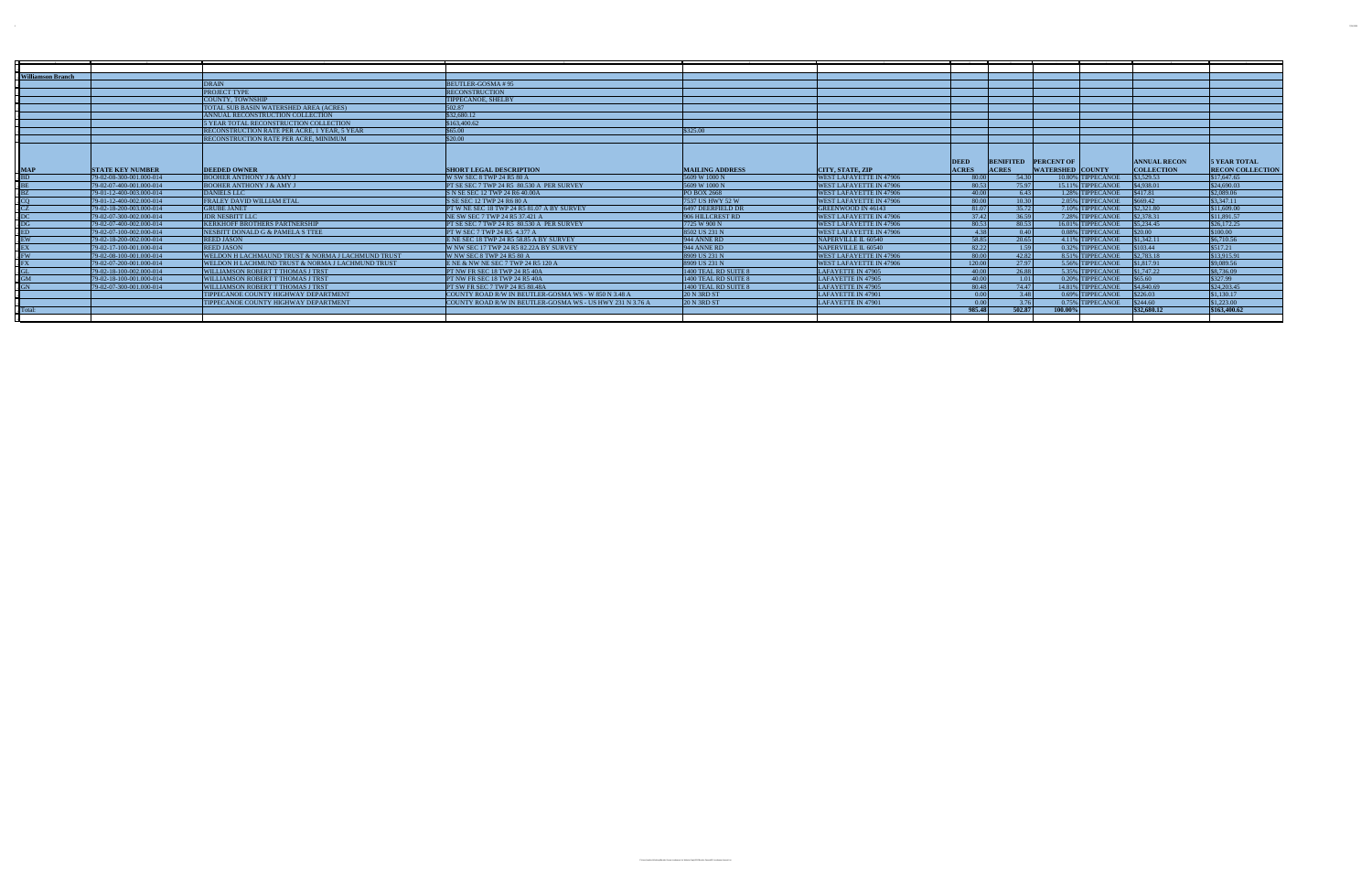|         | -Williamson Branch |                          |                                                              |                                                           |                        |                                |              |              |                             |                     |                         |
|---------|--------------------|--------------------------|--------------------------------------------------------------|-----------------------------------------------------------|------------------------|--------------------------------|--------------|--------------|-----------------------------|---------------------|-------------------------|
|         |                    |                          | <b>DRAIN</b>                                                 | <b>BEUTLER-GOSMA#95</b>                                   |                        |                                |              |              |                             |                     |                         |
|         |                    |                          | <b>PROJECT TYPE</b>                                          | <b>RECONSTRUCTION</b>                                     |                        |                                |              |              |                             |                     |                         |
|         |                    |                          | <b>COUNTY, TOWNSHIP</b>                                      | <b>TIPPECANOE, SHELBY</b>                                 |                        |                                |              |              |                             |                     |                         |
|         |                    |                          | TOTAL SUB BASIN WATERSHED AREA (ACRES)                       | 502.87                                                    |                        |                                |              |              |                             |                     |                         |
|         |                    |                          | ANNUAL RECONSTRUCTION COLLECTION                             | \$32,680.12                                               |                        |                                |              |              |                             |                     |                         |
|         |                    |                          | 5 YEAR TOTAL RECONSTRUCTION COLLECTION                       | \$163,400.62                                              |                        |                                |              |              |                             |                     |                         |
|         |                    |                          | <b>RECONSTRUCTION RATE PER ACRE, 1 YEAR, 5 YEAR</b>          | \$65.00                                                   | \$325.00               |                                |              |              |                             |                     |                         |
|         |                    |                          | <b>RECONSTRUCTION RATE PER ACRE. MINIMUM</b>                 | \$20.00                                                   |                        |                                |              |              |                             |                     |                         |
|         |                    |                          |                                                              |                                                           |                        |                                |              |              |                             |                     |                         |
|         |                    |                          |                                                              |                                                           |                        |                                | <b>DEED</b>  |              | <b>BENIFITED PERCENT OF</b> | <b>ANNUAL RECON</b> | <b>5 YEAR TOTAL</b>     |
|         |                    | <b>STATE KEY NUMBER</b>  | <b>DEEDED OWNER</b>                                          | <b>SHORT LEGAL DESCRIPTION</b>                            | <b>MAILING ADDRESS</b> | <b>CITY, STATE, ZIP</b>        | <b>ACRES</b> | <b>ACRES</b> | <b>WATERSHED COUNTY</b>     | <b>COLLECTION</b>   | <b>RECON COLLECTION</b> |
|         |                    | 79-02-08-300-001.000-014 | <b>BOOHER ANTHONY J &amp; AMY J</b>                          | W SW SEC 8 TWP 24 R5 80 A                                 | 5609 W 1000 N          | <b>WEST LAFAYETTE IN 47906</b> | - 80.00      | 54.30        | 10.80% TIPPECANOE           | \$3,529.53          | \$17,647.65             |
|         |                    | 79-02-07-400-001.000-014 | <b>BOOHER ANTHONY J &amp; AMY J</b>                          | PT SE SEC 7 TWP 24 R5 80.530 A PER SURVEY                 | 5609 W 1000 N          | <b>WEST LAFAYETTE IN 47906</b> | 80.53        | 75.97        | 15.11% TIPPECANOE           | \$4,938.01          | \$24,690.03             |
|         |                    | 79-01-12-400-003.000-014 | <b>DANIELS LLC</b>                                           | S N SE SEC 12 TWP 24 R6 40.00A                            | <b>PO BOX 2668</b>     | <b>WEST LAFAYETTE IN 47906</b> | 40.00        | 6.43         | 1.28% TIPPECANOE            | \$417.81            | \$2,089.06              |
|         |                    | 79-01-12-400-002.000-014 | <b>FRALEY DAVID WILLIAM ETAL</b>                             | S SE SEC 12 TWP 24 R6 80 A                                | 7537 US HWY 52 W       | <b>WEST LAFAYETTE IN 47906</b> | 80.00        | 10.30        | 2.05% TIPPECANOE            | \$669.42            | \$3,347.11              |
|         |                    | 79-02-18-200-003.000-014 | <b>GRUBE JANET</b>                                           | PT W NE SEC 18 TWP 24 R5 81.07 A BY SURVEY                | 6497 DEERFIELD DR      | <b>GREENWOOD IN 46143</b>      | 81.07        | 35.72        | 7.10% TIPPECANOE            | \$2,321.80          | \$11.609.00             |
|         |                    | 79-02-07-300-002.000-014 | <b>JDR NESBITT LLC</b>                                       | NE SW SEC 7 TWP 24 R5 37.421 A                            | 906 HILLCREST RD       | <b>WEST LAFAYETTE IN 47906</b> | 37.42        | 36.59        | 7.28% TIPPECANOE            | \$2,378.31          | \$11,891.57             |
|         |                    | 79-02-07-400-002.000-014 | <b>KERKHOFF BROTHERS PARTNERSHIP</b>                         | <b>PT SE SEC 7 TWP 24 R5 80.530 A PER SURVEY</b>          | 7725 W 900 N           | <b>WEST LAFAYETTE IN 47906</b> | 80.53        | 80.53        | 16.01% TIPPECANOE           | \$5,234.45          | \$26,172.25             |
|         |                    | 79-02-07-100-002.000-014 | NESBITT DONALD G & PAMELA S TTEE                             | <b>PT W SEC 7 TWP 24 R5 4.377 A</b>                       | 8502 US 231 N          | <b>WEST LAFAYETTE IN 47906</b> | 4.38         | 0.40         | 0.08% TIPPECANOE            | \$20.00             | \$100.00                |
|         |                    | 79-02-18-200-002.000-014 | <b>REED JASON</b>                                            | E NE SEC 18 TWP 24 R5 58.85 A BY SURVEY                   | 944 ANNE RD            | NAPERVILLE IL 60540            | 58.85        | 20.65        | 4.11% TIPPECANOE            | \$1,342,11          | \$6,710.56              |
|         |                    | 79-02-17-100-001.000-014 | <b>REED JASON</b>                                            | W NW SEC 17 TWP 24 R5 82.22A BY SURVEY                    | 944 ANNE RD            | NAPERVILLE IL 60540            | 82.22        | 1.59         | 0.32% TIPPECANOE            | \$103.44            | \$517.21                |
|         |                    | 79-02-08-100-001.000-014 | <b>WELDON H LACHMAUND TRUST &amp; NORMA J LACHMUND TRUST</b> | W NW SEC 8 TWP 24 R5 80 A                                 | 8909 US 231 N          | <b>WEST LAFAYETTE IN 47906</b> | - 80.00      | 42.82        | 8.51% TIPPECANOE            | \$2,783.18          | \$13,915.91             |
|         |                    | 79-02-07-200-001.000-014 | WELDON H LACHMUND TRUST & NORMA J LACHMUND TRUST             | ENE & NW NE SEC 7 TWP 24 R5 120 A                         | 8909 US 231 N          | <b>WEST LAFAYETTE IN 47906</b> | 120.00       | 27.97        | 5.56% TIPPECANOE            | \$1,817.91          | \$9,089.56              |
|         |                    | 79-02-18-100-002.000-014 | WILLIAMSON ROBERT T THOMAS J TRST                            | PT NW FR SEC 18 TWP 24 R5 40A                             | 1400 TEAL RD SUITE 8   | LAFAYETTE IN 47905             | 40.00        | 26.88        | 5.35% TIPPECANOE            | \$1,747.22          | \$8,736.09              |
|         |                    | 79-02-18-100-001.000-014 | <b>WILLIAMSON ROBERT T THOMAS J TRST</b>                     | PT NW FR SEC 18 TWP 24 R5 40A                             | 1400 TEAL RD SUITE 8   | LAFAYETTE IN 47905             | 40.00        | 1.01         | 0.20% TIPPECANOE            | \$65.60             | \$327.99                |
|         |                    | 79-02-07-300-001.000-014 | <b>WILLIAMSON ROBERT T THOMAS J TRST</b>                     | <b>PT SW FR SEC 7 TWP 24 R5 80.48A</b>                    | 1400 TEAL RD SUITE 8   | LAFAYETTE IN 47905             | 80.48        | 74.47        | 14.81% TIPPECANOE           | \$4,840.69          | \$24,203,45             |
|         |                    |                          | TIPPECANOE COUNTY HIGHWAY DEPARTMENT                         | COUNTY ROAD R/W IN BEUTLER-GOSMA WS - W 850 N 3.48 A      | <b>20 N 3RD ST</b>     | LAFAYETTE IN 47901             | 0.00         | 3.48         | 0.69% TIPPECANOE            | \$226.03            | \$1,130,17              |
|         |                    |                          | TIPPECANOE COUNTY HIGHWAY DEPARTMENT                         | COUNTY ROAD R/W IN BEUTLER-GOSMA WS - US HWY 231 N 3.76 A | <b>20 N 3RD ST</b>     | LAFAYETTE IN 47901             | 0.00         | 3.76         | 0.75% TIPPECANOE            | \$244.60            | \$1,223,00              |
| -Total: |                    |                          |                                                              |                                                           |                        |                                | 985.48       | 502.87       | 100.00%                     | \$32,680.12         | \$163,400.62            |
|         |                    |                          |                                                              |                                                           |                        |                                |              |              |                             |                     |                         |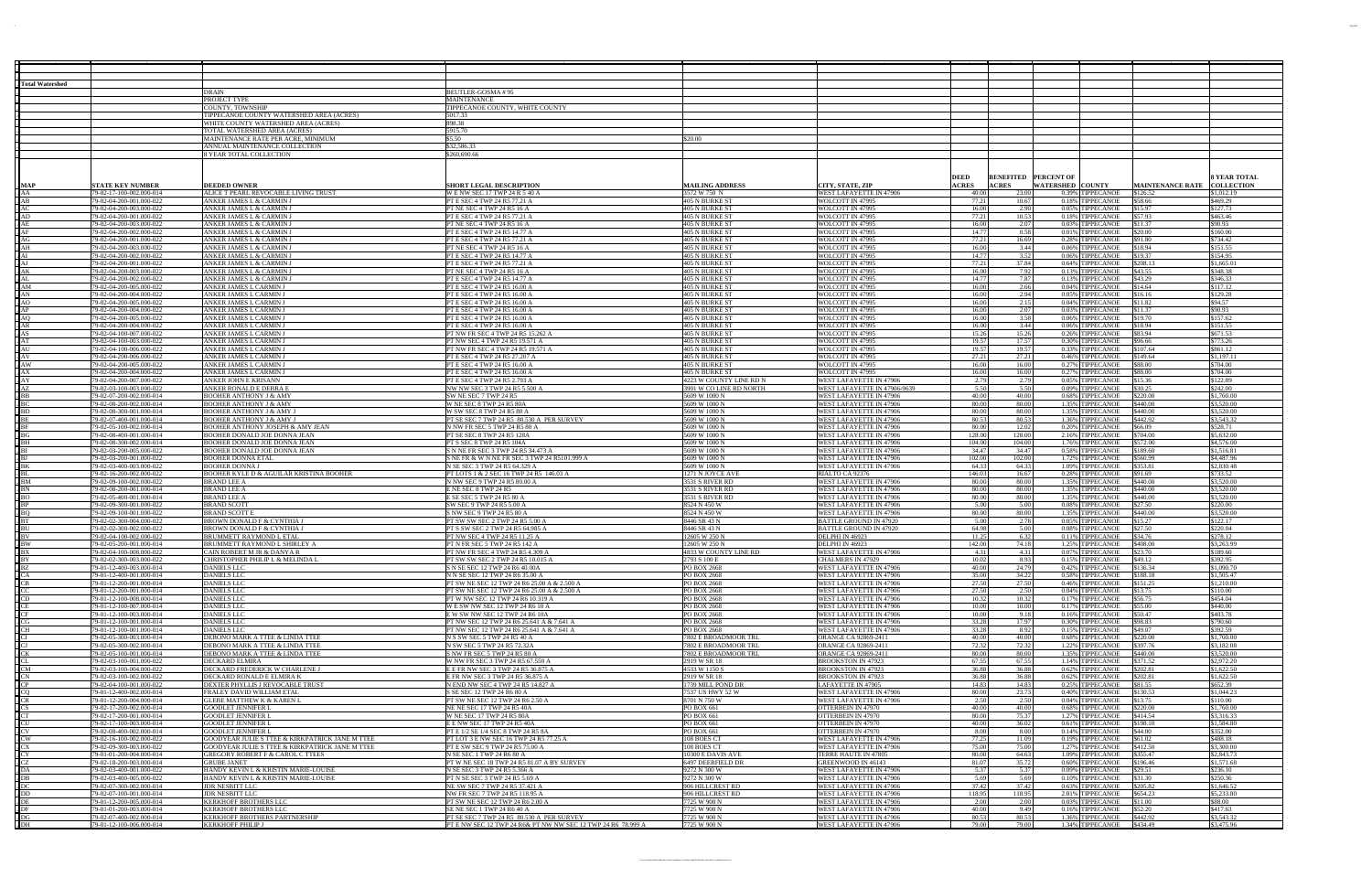| <b>Total Watershed</b> |                                                      |                                                                                                    |                                                                                               |                                                 |                                                           |                                                                           |                                      |                                     |                                 |
|------------------------|------------------------------------------------------|----------------------------------------------------------------------------------------------------|-----------------------------------------------------------------------------------------------|-------------------------------------------------|-----------------------------------------------------------|---------------------------------------------------------------------------|--------------------------------------|-------------------------------------|---------------------------------|
|                        |                                                      | DRAIN<br>PROJECT TYPE                                                                              | BEUTLER-GOSMA # 95<br>MAINTENANCE                                                             |                                                 |                                                           |                                                                           |                                      |                                     |                                 |
|                        |                                                      | COUNTY, TOWNSHII                                                                                   | TIPPECANOE COUNTY, WHITE COUNTY                                                               |                                                 |                                                           |                                                                           |                                      |                                     |                                 |
|                        |                                                      | TIPPECANOE COUNTY WATERSHED AREA (ACRES)                                                           | 5017.33                                                                                       |                                                 |                                                           |                                                                           |                                      |                                     |                                 |
|                        |                                                      | WHITE COUNTY WATERSHED AREA (ACRES)<br>TOTAL WATERSHED AREA (ACRES)                                | 898.38<br>5915.70                                                                             |                                                 |                                                           |                                                                           |                                      |                                     |                                 |
|                        |                                                      | MAINTENANCE RATE PER ACRE, MINIMUM                                                                 | \$5.50                                                                                        | \$20.00                                         |                                                           |                                                                           |                                      |                                     |                                 |
|                        |                                                      | ANNUAL MAINTENANCE COLLECTION                                                                      | \$32,586.33                                                                                   |                                                 |                                                           |                                                                           |                                      |                                     |                                 |
|                        |                                                      | 8 YEAR TOTAL COLLECTION                                                                            | \$260,690.66                                                                                  |                                                 |                                                           |                                                                           |                                      |                                     |                                 |
|                        |                                                      |                                                                                                    |                                                                                               |                                                 |                                                           |                                                                           |                                      |                                     |                                 |
|                        |                                                      |                                                                                                    |                                                                                               |                                                 |                                                           | <b>DEED</b><br><b>BENEFITED PERCENT OF</b>                                |                                      |                                     | <b>SYEAR TOTAL</b>              |
| <b>JAA</b>             | <b>STATE KEY NUMBER</b><br>79-02-17-100-002.000-014  | <b>DEEDED OWNER</b><br>ALICE T PEARL REVOCABLE LIVING TRUST                                        | <b>SHORT LEGAL DESCRIPTION</b><br>WE NW SEC 17 TWP 24 R 5 40 A                                | <b>MAILING ADDRESS</b><br>3572 W 750 N          | CITY, STATE, ZIP<br>WEST LAFAYETTE IN 47906               | <b>ACRES</b><br><b>ACRES</b><br><b>WATERSHED COUNTY</b><br>23.00<br>40.00 | 0.39% TIPPECANOE                     | <b>MAINTENANCE RATE</b><br>\$126.52 | <b>COLLECTION</b><br>\$1,012.19 |
| AR                     | 79-02-04-200-001.000-022                             | ANKER JAMES L & CARMIN J                                                                           | PT E SEC 4 TWP 24 R5 77.21 A                                                                  | 405 N BURKE ST                                  | WOLCOTT IN 47995                                          | 77.21<br>10.67                                                            | 0.18% TIPPECANOE                     | \$58.66                             | \$469.29                        |
|                        | 79-02-04-200-003.000-022                             | ANKER JAMES L & CARMIN J                                                                           | PT NE SEC 4 TWP 24 R5 16 A                                                                    | 405 N BURKE ST                                  | WOLCOTT IN 47995                                          | 2.90<br>16.00                                                             | 0.05% TIPPECANOE                     | \$15.97                             | \$127.73                        |
| AD                     | 79-02-04-200-001.000-022<br>79-02-04-200-003.000-022 | ANKER JAMES L & CARMIN J<br>ANKER JAMES L & CARMIN .                                               | PT E SEC 4 TWP 24 R5 77.21 A<br>PT NE SEC 4 TWP 24 R5 16 A                                    | 405 N BURKE ST<br>405 N BURKE ST                | WOLCOTT IN 47995<br>WOLCOTT IN 47995                      | 77.21<br>10.53<br>16.00<br>2.07                                           | 0.18% TIPPECANOE<br>0.03% TIPPECANOE | \$57.93                             | \$463.46<br>\$90.93             |
| AR                     | 79-02-04-200-002.000-022                             | ANKER JAMES L & CARMIN J                                                                           | PT E SEC 4 TWP 24 R5 14.77 A                                                                  | 405 N BURKE ST                                  | WOLCOTT IN 47995                                          | 14.77<br>0.58                                                             | 0.01% TIPPECANOE                     | \$11.37<br>\$20.00                  | \$160.00                        |
|                        | 79-02-04-200-001.000-022                             | ANKER JAMES L & CARMIN .                                                                           | PT E SEC 4 TWP 24 R5 77.21 A                                                                  | 405 N BURKE ST                                  | WOLCOTT IN 47995                                          | 77.21<br>16.69                                                            | 0.28% TIPPECANOE                     | \$91.80                             | \$734.42                        |
| $\overline{A}$ H       | 79-02-04-200-003.000-022<br>79-02-04-200-002.000-022 | ANKER JAMES L & CARMIN J<br>ANKER JAMES L & CARMIN J                                               | PT NE SEC 4 TWP 24 R5 16 A<br>PT E SEC 4 TWP 24 R5 14.77 A                                    | 405 N BURKE ST<br>405 N BURKE ST                | WOLCOTT IN 47995<br>WOLCOTT IN 47995                      | 16.00<br>3.44<br>14.77<br>3.52                                            | 0.06% TIPPECANOE                     | \$18.94<br>\$19.37                  | \$151.55<br>\$154.95            |
|                        | 79-02-04-200-001.000-022                             | ANKER JAMES L & CARMIN.                                                                            | PT E SEC 4 TWP 24 R5 77.21 A                                                                  | 405 N BURKE ST                                  | WOLCOTT IN 47995                                          | 77.21<br>37.84                                                            | 0.06% TIPPECANOE<br>0.64% TIPPECANOE | \$208.13                            | \$1,665.0                       |
| AK                     | 79-02-04-200-003.000-022                             | ANKER JAMES L & CARMIN J                                                                           | PT NE SEC 4 TWP 24 R5 16 A                                                                    | 405 N BURKE ST                                  | WOLCOTT IN 47995                                          | 16.00<br>7.92                                                             | 0.13% TIPPECANOE                     | \$43.55                             | \$348.38                        |
|                        | 79-02-04-200-002.000-022                             | ANKER JAMES L & CARMIN .                                                                           | PT E SEC 4 TWP 24 R5 14.77 A                                                                  | 405 N BURKE ST                                  | WOLCOTT IN 47995                                          | 14.77<br>7.87                                                             | 0.13% TIPPECANOE                     | \$43.29                             | \$346.33                        |
|                        | 79-02-04-200-005.000-022<br>79-02-04-200-004.000-022 | ANKER JAMES L CARMIN .<br><u>ANKER JAMES L CARMIN .</u>                                            | PT E SEC 4 TWP 24 R5 16.00 A<br>PT E SEC 4 TWP 24 R5 16.00 A                                  | 405 N BURKE ST<br>405 N BURKE ST                | WOLCOTT IN 47995<br>WOLCOTT IN 47995                      | 16.00<br>2.66<br>16.00<br>2.94                                            | 0.04% TIPPECANOE<br>0.05% TIPPECANOE | \$14.64<br>\$16.16                  | \$117.12<br>\$129.28            |
|                        | 79-02-04-200-005.000-022                             | ANKER JAMES L CARMIN .                                                                             | PT E SEC 4 TWP 24 R5 16.00 A                                                                  | 405 N BURKE ST                                  | WOLCOTT IN 47995                                          | 2.15<br>16.00                                                             | 0.04% TIPPECANOE                     | \$11.82                             | \$94.57                         |
| AP                     | 79-02-04-200-004.000-022                             | ANKER JAMES L CARMIN .                                                                             | PT E SEC 4 TWP 24 R5 16.00 A                                                                  | 405 N BURKE ST                                  | WOLCOTT IN 47995                                          | 16.00<br>2.07                                                             | 0.03% TIPPECANOE                     | \$11.37                             | \$90.93                         |
| AR                     | 79-02-04-200-005.000-022<br>79-02-04-200-004.000-022 | ANKER JAMES L CARMIN.<br>ANKER JAMES L CARMIN .                                                    | PT E SEC 4 TWP 24 R5 16.00 A<br>PT E SEC 4 TWP 24 R5 16.00 A                                  | 405 N BURKE ST<br>405 N BURKE ST                | WOLCOTT IN 47995<br>WOLCOTT IN 47995                      | 16.00<br>3.58<br>16.00<br>3.44                                            | 0.06% TIPPECANOE<br>0.06% TIPPECANOE | \$19.70<br>\$18.94                  | \$157.62<br>\$151.55            |
|                        | 79-02-04-100-007.000-022                             | ANKER JAMES L CARMIN                                                                               | PT NW FR SEC 4 TWP 24 R5 15.262                                                               | 405 N BURKE ST                                  | WOLCOTT IN 47995                                          | 15.26<br>15.26                                                            | 0.26% TIPPECANOE                     | \$83.94                             | \$671.53                        |
|                        | 79-02-04-100-003.000-022                             | ANKER JAMES L CARMIN.                                                                              | PT NW SEC 4 TWP 24 R5 19.571 A                                                                | 405 N BURKE ST                                  | WOLCOTT IN 47995                                          | 19.57<br>17.57                                                            | 0.30% TIPPECANOE                     | \$96.66                             | \$773.26                        |
| $\sqrt{AV}$            | 79-02-04-100-006.000-022<br>79-02-04-200-006.000-022 | ANKER JAMES L CARMIN<br>ANKER JAMES L CARMIN .                                                     | PT NW FR SEC 4 TWP 24 R5 19.571 /<br>PT E SEC 4 TWP 24 R5 27.207 A                            | 405 N BURKE ST<br>405 N BURKE ST                | WOLCOTT IN 47995<br>WOLCOTT IN 47995                      | 19.57<br>19.57<br>27.21<br>27.21                                          | 0.33% TIPPECANOE<br>0.46% TIPPECANOE | \$107.64<br>\$149.64                | \$861.12<br>\$1,197.1           |
| $-AW$                  | 79-02-04-200-005.000-022                             | ANKER JAMES L CARMIN .                                                                             | PT E SEC 4 TWP 24 R5 16.00 A                                                                  | 405 N BURKE ST                                  | WOLCOTT IN 47995                                          | 16.00<br>16.00                                                            | 0.27% TIPPECANOE                     | \$88.00                             | \$704.00                        |
|                        | 79-02-04-200-004.000-022                             | ANKER JAMES L CARMIN .                                                                             | PT E SEC 4 TWP 24 R5 16.00 A                                                                  | 405 N BURKE ST                                  | WOLCOTT IN 47995                                          | 16.00<br>16.00                                                            | 0.27% TIPPECANOE                     | \$88.00                             | 5704.00                         |
|                        | 79-02-04-200-007.000-022<br>79-02-03-100-003.000-022 | ANKER JOHN E KRISANN<br>ANKER RONALD E DEBRA                                                       | PT E SEC 4 TWP 24 R5 2.793 A                                                                  | 4223 W COUNTY LINE RD N                         | WEST LAFAYETTE IN 47906                                   | 2.79<br>2.79<br>5.50                                                      | 0.05% TIPPECANOE                     | \$15.36<br>\$30.25                  | \$122.89<br>\$242.00            |
|                        | 79-02-07-200-002.000-014                             | BOOHER ANTHONY J & AMY                                                                             | NW NW SEC 3 TWP 24 R5 5.500<br>SW NE SEC 7 TWP 24 R5                                          | <u>3901 W CO LINE RD NORTH</u><br>5609 W 1000 N | WEST LAFAYETTE IN 47906-9639<br>WEST LAFAYETTE IN 47906   | 5.50<br>40.00<br>40.00                                                    | 0.09% TIPPECANOE<br>0.68% TIPPECANOE | \$220.00                            | \$1,760.00                      |
|                        | 79-02-08-200-002.000-014                             | BOOHER ANTHONY J & AMY                                                                             | W NE SEC 8 TWP 24 R5 80A                                                                      | 5609 W 1000 N                                   | WEST LAFAYETTE IN 47906                                   | 80.00<br>80.00                                                            | 1.35% TIPPECANOE                     | \$440.00                            | \$3,520.00                      |
|                        | 79-02-08-300-001.000-014                             | <b>BOOHER ANTHONY J &amp; AMY</b>                                                                  | W SW SEC 8 TWP 24 R5 80 A                                                                     | 5609 W 1000 N                                   | WEST LAFAYETTE IN 47906                                   | 80.00<br>80.00                                                            | 1.35% TIPPECANOE                     | \$440.00                            | \$3,520.00                      |
|                        | 79-02-07-400-001.000-014<br>79-02-05-100-002.000-014 | BOOHER ANTHONY J & AMY J<br>BOOHER ANTHONY JOSEPH & AMY JEAN                                       | PT SE SEC 7 TWP 24 R5 80.530 A PER SURVEY<br>N NW FR SEC 5 TWP 24 R5 80 A                     | 5609 W 1000 N<br>5609 W 1000 N                  | WEST LAFAYETTE IN 47906<br>WEST LAFAYETTE IN 47906        | 80.53<br>80.53<br>80.00<br>12.02                                          | 1.36% TIPPECANOE<br>0.20% TIPPECANOE | \$442.92<br>\$66.09                 | \$3,543.32<br>\$528.71          |
|                        | 79-02-08-400-001.000-014                             | BOOHER DONALD JOE DONNA JEAN                                                                       | PT SE SEC 8 TWP 24 R5 128A                                                                    | 5609 W 1000 N                                   | WEST LAFAYETTE IN 47906                                   | 128.00<br>128.00                                                          | 2.16% TIPPECANOE                     | \$704.00                            | \$5,632.00                      |
|                        | 79-02-08-300-002.000-014                             | BOOHER DONALD JOE DONNA JEAN                                                                       | PT S SEC 8 TWP 24 R5 104A                                                                     | 5609 W 1000 N                                   | WEST LAFAYETTE IN 47906                                   | 104.00<br>104.00                                                          | 1.76% TIPPECANOE                     | \$572.00                            | \$4,576.00                      |
|                        | 79-02-03-200-005.000-022<br>79-02-03-200-001.000-022 | BOOHER DONALD JOE DONNA JEAN<br>BOOHER DONNA ETA                                                   | S N NE FR SEC 3 TWP 24 R5 34.473 A<br><u>S NE FR &amp; W N NE FR SEC 3 TWP 24 R5101.999 A</u> | 5609 W 1000 N<br>5609 W 1000 N                  | WEST LAFAYETTE IN 47906<br>WEST LAFAYETTE IN 47906        | 34.47<br>34.47<br>102.00<br>102.00                                        | 0.58% TIPPECANOE<br>1.72% TIPPECANOE | \$189.60<br>\$560.99                | \$1,516.81<br>\$4,487.96        |
|                        | 79-02-03-400-003.000-022                             | BOOHER DONNA J                                                                                     | N SE SEC 3 TWP 24 R5 64.329 A                                                                 | 5609 W 1000 N                                   | WEST LAFAYETTE IN 47906                                   | 64.33<br>64.33                                                            | 1.09% TIPPECANOE                     | \$353.81                            | \$2,830.48                      |
|                        | 79-02-16-200-002.000-022                             | BOOHER KYLE D & AGUILAR KRISTINA BOOHER                                                            | PT LOTS 1 & 2 SEC 16 TWP 24 R5 146.03 A                                                       | 1271 N JOYCE AVI                                | RIALTO CA 92376                                           | 146.03<br>16.67                                                           | 0.28% TIPPECANOE                     | \$91.69                             | \$733.52                        |
|                        | 79-02-09-100-002.000-02<br>79-02-08-200-001.000-014  | BRAND LEE A<br><b>BRAND LEE A</b>                                                                  | N NW SEC 9 TWP 24 R5 80.00 A<br>E NE SEC 8 TWP 24 R5                                          | 3531 S RIVER RD<br>3531 S RIVER RD              | WEST LAFAYETTE IN 47906<br>WEST LAFAYETTE IN 47906        | 80.00<br>80.00<br>80.00<br>80.00                                          | 1.35% TIPPECANOE<br>1.35% TIPPECANOE | \$440.00<br>\$440.00                | \$3,520.00<br>\$3,520.00        |
|                        | 79-02-05-400-001.000-014                             | BRAND LEE A                                                                                        | E SE SEC 5 TWP 24 R5 80 A                                                                     | 3531 S RIVER RD                                 | WEST LAFAYETTE IN 47906                                   | 80.00<br>80.00                                                            | 1.35% TIPPECANOE                     | \$440.00                            | \$3,520.00                      |
|                        | 79-02-09-300-001.000-022                             | <b>BRAND SCOTT</b>                                                                                 | SW SEC 9 TWP 24 R5 5.00 A                                                                     | 8524 N 450 W                                    | WEST LAFAYETTE IN 47906                                   | 5.00<br>5.00                                                              | 0.08% TIPPECANOE                     | \$27.50                             | \$220.00                        |
|                        | 79-02-09-100-001.000-022<br>79-02-02-300-004.000-022 | BRAND SCOTT E<br>BROWN DONALD F & CYNTHIA J                                                        | <u>S NW SEC 9 TWP 24 R5 80 A</u><br>PT SW SW SEC 2 TWP 24 R5 5.00 A                           | 8524 N 450 W<br>8446 SR 43 N                    | WEST LAFAYETTE IN 47906<br><b>BATTLE GROUND IN 47920</b>  | 80.00<br>80.00<br>5.00<br>2.78                                            | 1.35% TIPPECANOE<br>0.05% TIPPECANOE | \$440.00<br>\$15.27                 | \$3,520.00<br>\$122.17          |
|                        | 79-02-02-300-002.000-022                             | BROWN DONALD F & CYNTHIA.                                                                          | PT S SW SEC 2 TWP 24 R5 64.985 /                                                              | 8446 SR 43 N                                    | BATTLE GROUND IN 47920                                    | 64.98<br>5.00                                                             | 0.08% TIPPECANOE                     | \$27.50                             | \$220.04                        |
|                        | 79-02-04-100-002.000-022                             | BRUMMETT RAYMOND L ETAL                                                                            | PT NW SEC 4 TWP 24 R5 11.25 A                                                                 | 12605 W 250 N                                   | DELPHI IN 46923                                           | 11.25<br>6.32                                                             | 0.11% TIPPECANOE                     | \$34.76                             | \$278.12                        |
|                        | 79-02-05-200-001.000-014<br>79-02-04-100-008.000-022 | BRUMMETT RAYMOND L SHIRLEY A<br>CAIN ROBERT M JR & DANYA R                                         | PT N FR SEC 5 TWP 24 R5 142 A<br>PT NW FR SEC 4 TWP 24 R5 4.309                               | 12605 W 250 N<br>4833 W COUNTY LINE RD          | DELPHI IN 46923<br>WEST LAFAYETTE IN 47906                | 142.00<br>74.18<br>4.31<br>4.31                                           | 1.25% TIPPECANOE<br>0.07% TIPPECANOE | \$408.00<br>\$23.70                 | \$3,263.99<br>\$189.60          |
| $\sqrt{BY}$            | 79-02-02-300-003.000-022                             | CHRISTOPHER PHILIP L & MELINDA L                                                                   | PT SW SW SEC 2 TWP 24 R5 10.015 A                                                             | 2793 S 100 E                                    | <b>CHALMERS IN 47929</b>                                  | 10.02<br>8.93                                                             | 0.15% TIPPECANOE                     | \$49.12                             | \$392.95                        |
|                        | 79-01-12-400-003.000-014                             | <b>DANIELS LLC</b>                                                                                 | S N SE SEC 12 TWP 24 R6 40.00A                                                                | PO BOX 2668                                     | WEST LAFAYETTE IN 47906                                   | 40.00<br>24.79                                                            | 0.42% TIPPECANOE                     | \$136.34                            | \$1,090.70                      |
|                        | 79-01-12-400-001.000-014<br>79-01-12-200-001.000-014 | <b>DANIELS LLC</b>                                                                                 | N N SE SEC 12 TWP 24 R6 35.00 A                                                               | PO BOX 2668                                     | WEST LAFAYETTE IN 47906                                   | 35.00<br>34.22                                                            | 0.58% TIPPECANOE                     | \$188.18                            | \$1,505.47                      |
|                        | 79-01-12-200-001.000-014                             | DANIELS LLC<br><b>DANIELS LLC</b>                                                                  | PT SW NE SEC 12 TWP 24 R6 25.00 A & 2.500 A<br>PT SW NE SEC 12 TWP 24 R6 25.00 A & 2.500 A    | PO BOX 2668<br>PO BOX 2668                      | WEST LAFAYETTE IN 47906<br>WEST LAFAYETTE IN 47906        | 27.50<br>27.50<br>27.50<br>2.50                                           | 0.46% TIPPECANOE<br>0.04% TIPPECANOE | \$151.25<br>\$13.75                 | \$1,210.00<br>\$110.00          |
|                        | 79-01-12-100-008.000-014                             | <b>DANIELS LLC</b>                                                                                 | PT W NW SEC 12 TWP 24 R6 10.319 A                                                             | PO BOX 2668                                     | WEST LAFAYETTE IN 47906                                   | 10.32<br>10.32                                                            | 0.17% TIPPECANOE                     | \$56.75                             | \$454.04                        |
|                        | 79-01-12-100-007.000-014<br>79-01-12-100-003.000-014 | DANIELS LLC                                                                                        | WE SW NW SEC 12 TWP 24 R6 10 A<br>E W SW NW SEC 12 TWP 24 R6 10A                              | PO BOX 2668                                     | WEST LAFAYETTE IN 47906                                   | 10.00<br>10.00<br>10.00                                                   | 0.17% TIPPECANOE                     | \$55.00                             | \$440.00<br>\$403.78            |
|                        | 79-01-12-100-001.000-014                             | <b>DANIELS LLC</b><br><b>DANIELS LLC</b>                                                           | PT NW SEC 12 TWP 24 R6 25.641 A & 7.641 A                                                     | PO BOX 2668<br>PO BOX 2668                      | WEST LAFAYETTE IN 47906<br><b>WEST LAFAYETTE IN 47906</b> | 9.18<br>33.28<br>17.97                                                    | 0.16% TIPPECANOE<br>0.30% TIPPECANOE | \$50.47<br>\$98.83                  | \$790.60                        |
|                        | 79-01-12-100-001.000-014                             | <b>DANIELS LLC</b>                                                                                 | PT NW SEC 12 TWP 24 R6 25.641 A & 7.641 A                                                     | PO BOX 2668                                     | WEST LAFAYETTE IN 47906                                   | 33.28<br>8.92                                                             | 0.15% TIPPECANOE                     | \$49.07                             | \$392.59                        |
|                        | 79-02-05-300-003.000-014                             | DEBONO MARK A TTEE & LINDA TTEE                                                                    | N S SW SEC 5 TWP 24 R5 40 A                                                                   | 7802 E BROADMOOR TRI                            | ORANGE CA 92869-2411                                      | 40.00<br>40.00                                                            | 0.68% TIPPECANOE                     | \$220.00                            | \$1,760.00                      |
|                        | 79-02-05-300-002.000-014<br>79-02-05-100-001.000-014 | DEBONO MARK A TTEE & LINDA TTEE<br>DEBONO MARK A TTEE & LINDA TTEE                                 | N SW SEC 5 TWP 24 R5 72.32A<br>S NW FR SEC 5 TWP 24 R5 80 A                                   | 7802 E BROADMOOR TRI<br>7802 E BROADMOOR TRI    | <b>ORANGE CA 92869-241</b><br>ORANGE CA 92869-2411        | 72.32<br>72.32<br>80.00<br>80.00                                          | 1.22% TIPPECANOE<br>1.35% TIPPECANOE | \$397.76<br>\$440.00                | \$3,182.08<br>\$3,520.00        |
|                        | 79-02-03-100-001.000-022                             | DECKARD ELMIRA                                                                                     | W NW FR SEC 3 TWP 24 R5 67.550 A                                                              | 2919 W SR 18                                    | <b>BROOKSTON IN 47923</b>                                 | 67.55<br>67.55                                                            | 1.14% TIPPECANOE                     | \$371.52                            | \$2,972.20                      |
|                        | 79-02-03-100-004.000-022                             | DECKARD FREDERICK W CHARLENE J                                                                     | E E FR NW SEC 3 TWP 24 R5 36.875 A                                                            | 4533 W 1150 S                                   | <b>BROOKSTON IN 47923</b>                                 | 36.88<br>36.88                                                            | 0.62% TIPPECANOE                     | \$202.81                            | \$1,622.50                      |
|                        | 79-02-03-100-002.000-022<br>79-02-04-100-001.000-022 | DECKARD RONALD E ELMIRA I<br>DEXTER PHYLLIS J REVOCABLE TRUST                                      | E FR NW SEC 3 TWP 24 R5 36.875 A<br>N END NW SEC 4 TWP 24 R5 14.827 A                         | 2919 W SR 18<br>1739 MILL POND DR               | <b>BROOKSTON IN 47923</b><br>LAFAYETTE IN 47905           | 36.88<br>36.88<br>14.83<br>14.83                                          | 0.62% TIPPECANOE<br>0.25% TIPPECANOE | \$202.81<br>\$81.55                 | \$1,622.50<br>\$652.39          |
|                        | 79-01-12-400-002.000-014                             | FRALEY DAVID WILLIAM ETAI                                                                          | S SE SEC 12 TWP 24 R6 80 A                                                                    | 7537 US HWY 52 W                                | WEST LAFAYETTE IN 47906                                   | 80.00<br>23.73                                                            | 0.40% TIPPECANOE                     | \$130.53                            | \$1,044.23                      |
|                        | 79-01-12-200-004.000-014                             | <b>GLEBE MATTHEW K &amp; KAREN I</b>                                                               | PT SW NE SEC 12 TWP 24 R6 2.50 A                                                              | 8701 N 750 W                                    | WEST LAFAYETTE IN 47906                                   | 2.50<br>2.50                                                              | 0.04% TIPPECANOE                     | \$13.75                             | \$110.00                        |
|                        | 79-02-17-200-002.000-014<br>79-02-17-200-001.000-014 | GOODLET JENNIFER I<br>GOODLET JENNIFER                                                             | NE NE SEC 17 TWP 24 R5 40A<br>W NE SEC 17 TWP 24 R5 80A                                       | PO BOX 661<br>PO BOX 661                        | OTTERBEIN IN 47970<br>OTTERBEIN IN 47970                  | 40.00<br>40.00<br>80.00<br>75.37                                          | 0.68% TIPPECANOE<br>1.27% TIPPECANOE | \$220.00<br>\$414.54                | \$1,760.00<br>\$3,316.33        |
|                        | 79-02-17-100-003.000-014                             | <b>GOODLET JENNIFER</b>                                                                            | E E NW SEC 17 TWP 24 R5 40A                                                                   | PO BOX 661                                      | OTTERBEIN IN 47970                                        | 40.00<br>36.02                                                            | 0.61% TIPPECANOE                     | \$198.10                            | \$1,584.80                      |
|                        | 79-02-08-400-002.000-014                             | GOODLET JENNIFER                                                                                   | PT E 1/2 SE 1/4 SEC 8 TWP 24 R5 8A                                                            | PO BOX 661                                      | OTTERBEIN IN 47970                                        | 8.00<br>8.00                                                              | 0.14% TIPPECANOE                     | \$44.00                             | \$352.00                        |
| LCW                    | 79-02-16-100-002.000-022<br>79-02-09-300-003.000-022 | GOODYEAR JULIE S TTEE & KIRKPATRICK JANE M TTEE<br>GOODYEAR JULIE S TTEE & KIRKPATRICK JANE M TTEE | PT LOT 3 E NW SEC 16 TWP 24 R5 77.25 A<br>PT E SW SEC 9 TWP 24 R5 75.00 A                     | 108 BOES CT<br>108 BOES CT                      | WEST LAFAYETTE IN 47906<br>WEST LAFAYETTE IN 47906        | 77.25<br>11.09<br>75.00<br>75.00                                          | 0.19% TIPPECANOE<br>1.27% TIPPECANOE | \$61.02<br>\$412.50                 | \$488.18<br>\$3,300.00          |
|                        | 79-01-01-200-004.000-014                             | GREGORY ROBERT F & CAROL C TTEES                                                                   | N SE SEC 1 TWP 24 R6 80 A                                                                     | 10300 E DAVIS AVE                               | TERRE HAUTE IN 47805                                      | 80.00<br>64.63                                                            | 1.09% TIPPECANOE                     | \$355.47                            | \$2,843.73                      |
|                        | 79-02-18-200-003.000-014                             | <b>GRUBE JANET</b>                                                                                 | PT W NE SEC 18 TWP 24 R5 81.07 A BY SURVEY                                                    | 6497 DEERFIELD DR                               | GREENWOOD IN 46143                                        | 81.07<br>35.72                                                            | 0.60% TIPPECANOE                     | \$196.46                            | \$1,571.68                      |
|                        | 79-02-03-400-001.000-022                             | HANDY KEVIN L & KRISTIN MARIE-LOUISI                                                               | N SE SEC 3 TWP 24 R5 5.366 A                                                                  | 9272 N 300 W                                    | WEST LAFAYETTE IN 47906                                   | 5.37<br>5.37<br>5.69                                                      | 0.09% TIPPECANOE                     | \$29.51                             | \$236.10<br>\$250.36            |
|                        | 79-02-03-400-005.000-022<br>79-02-07-300-002.000-014 | HANDY KEVIN L & KRISTIN MARIE-LOUISE<br><b>IDR NESBITT LLC</b>                                     | PT N SE SEC 3 TWP 24 R5 5.69 A<br>NE SW SEC 7 TWP 24 R5 37.421 A                              | 9272 N 300 W<br>906 HILLCREST RE                | WEST LAFAYETTE IN 47906<br>WEST LAFAYETTE IN 47906        | 5.69<br>37.42<br>37.42                                                    | 0.10% TIPPECANOE<br>0.63% TIPPECANOE | \$31.30<br>\$205.82                 | \$1,646.52                      |
|                        | 79-02-07-100-001.000-014                             | JDR NESBITT LLC                                                                                    | NW FR SEC 7 TWP 24 R5 118.95 A                                                                | 906 HILLCREST RD                                | WEST LAFAYETTE IN 47906                                   | 118.95<br>118.95                                                          | 2.01% TIPPECANOE                     | \$654.23                            | \$5,233.80                      |
|                        | 79-01-12-200-005.000-014                             | KERKHOFF BROTHERS LLC<br>KERKHOFF BROTHERS LLC                                                     | PT SW NE SEC 12 TWP 24 R6 2.00 A                                                              | 7725 W 900 N<br>7725 W 900 N                    | WEST LAFAYETTE IN 47906                                   | 2.00<br>2.00<br>40.00<br>9.49                                             | 0.03% TIPPECANOE                     | \$11.00                             | \$88.00<br>\$417.63             |
|                        | 79-01-01-200-003.000-014<br>79-02-07-400-002.000-014 | KERKHOFF BROTHERS PARTNERSHIP                                                                      | SE NE SEC 1 TWP 24 R6 40 A<br>PT SE SEC 7 TWP 24 R5 80.530 A PER SURVEY                       | 7725 W 900 N                                    | WEST LAFAYETTE IN 47906<br><b>WEST LAFAYETTE IN 47906</b> | 80.53<br>80.53                                                            | 0.16% TIPPECANOE<br>1.36% TIPPECANOE | \$52.20<br>\$442.92                 | \$3,543.32                      |
|                        | 79-01-12-100-006.000-014                             | <b>KERKHOFF PHILIP J</b>                                                                           | PT E NW SEC 12 TWP 24 R6& PT NW NW SEC 12 TWP 24 R6 78.999 A                                  | 7725 W 900 N                                    | <b>WEST LAFAYETTE IN 47906</b>                            | 79.00<br>79.00                                                            | 1.34% TIPPECANOE                     | \$434.49                            | \$3,475.96                      |
|                        |                                                      |                                                                                                    |                                                                                               |                                                 |                                                           |                                                                           |                                      |                                     |                                 |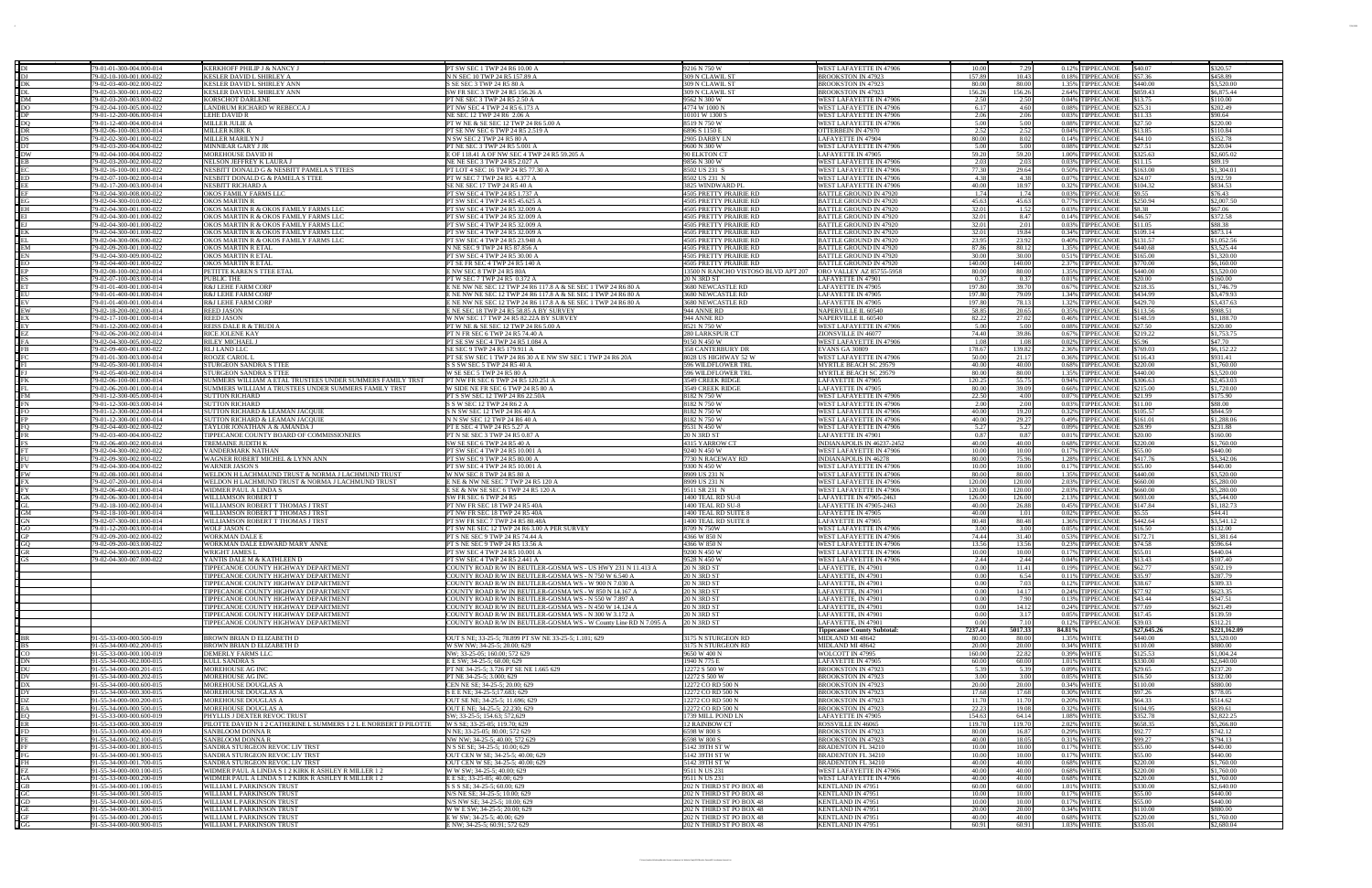|                          | 79-01-01-300-004.000-01                              | <b>KERKHOFF PHILIP J &amp; NANCY J</b>                             | PT SW SEC 1 TWP 24 R6 10.00 A                                                                | 9216 N 750 W                               | WEST LAFAYETTE IN 47906                            | 10.00          | 7.29           | 0.12% TIPPECANOE                     | \$40.07<br>\$320.57                         |  |
|--------------------------|------------------------------------------------------|--------------------------------------------------------------------|----------------------------------------------------------------------------------------------|--------------------------------------------|----------------------------------------------------|----------------|----------------|--------------------------------------|---------------------------------------------|--|
|                          | 79-02-10-100-001.000-02                              | KESLER DAVID L SHIRLEY A                                           | N N SEC 10 TWP 24 R5 157.89 A                                                                | 309 N CLAWIL S                             | <b>BROOKSTON IN 47923</b>                          | 157.89         | 10.43          | 0.18% TIPPECANOE                     | \$57.36<br>\$458.89                         |  |
|                          | 79-02-03-400-002.000-022                             | KESLER DAVID L SHIRLEY ANN                                         | S SE SEC 3 TWP 24 R5 80 A                                                                    | 309 N CLAWIL ST                            | <b>BROOKSTON IN 47923</b>                          | 80.00          | 80.00          | 1.35% TIPPECANOE                     | \$3,520.00<br>\$440.00                      |  |
|                          | 79-02-03-300-001.000-022                             | KESLER DAVID L SHIRLEY ANN                                         | SW FR SEC 3 TWP 24 R5 156.26                                                                 | 309 N CLAWIL S                             | <b>BROOKSTON IN 47923</b>                          | 156.26         | 156.26         | 2.64% TIPPECANOE                     | \$859.43<br>\$6,875.44                      |  |
|                          | 79-02-03-200-003.000-022                             | <b>KORSCHOT DARLENE</b>                                            | PT NE SEC 3 TWP 24 R5 2.50 A                                                                 | 9562 N 300 W                               | WEST LAFAYETTE IN 47906                            | 2.50           | 2.50           | 0.04% TIPPECANOE                     | \$13.75<br>\$110.00                         |  |
|                          | 79-02-04-100-005.000-022                             | LANDRUM RICHARD W REBECCA J                                        | PT NW SEC 4 TWP 24 R5 6.173 .                                                                | 4774 W 1000 N                              | WEST LAFAYETTE IN 47906                            | 6.17           | 4.60           | 0.08% TIPPECANOE                     | \$25.31<br>\$202.49                         |  |
|                          | 79-01-12-200-006.000-014                             | LEHE DAVID R                                                       | NE SEC 12 TWP 24 R6 2.06 A                                                                   | 10101 W 1300 S                             | WEST LAFAYETTE IN 47906                            | 2.06           | 2.06           | 0.03% TIPPECANOE                     | \$11.33<br>\$90.64                          |  |
|                          | 79-01-12-400-004.000-014                             | MILLER JULIE A                                                     | PT W NE & SE SEC 12 TWP 24 R6 5.00 A                                                         | 8519 N 750 W                               | WEST LAFAYETTE IN 47906                            | 5.00           | 5.00           | 0.08% TIPPECANOE                     | \$27.50<br>\$220.00                         |  |
|                          | 79-02-06-100-003.000-014                             | <b>MILLER KIRK R</b>                                               | PT SE NW SEC 6 TWP 24 R5 2.519 A                                                             | 6896 S 1150 E                              | OTTERBEIN IN 47970                                 | 2.52           | 2.52           | 0.04% TIPPECANOE                     | \$13.85<br>\$110.84                         |  |
|                          | 79-02-02-300-001.000-022                             | <b>MILLER MARILYN J</b>                                            | N SW SEC 2 TWP 24 R5 80 A                                                                    | 2905 DARBY LI                              | LAFAYETTE IN 47904                                 | 80.00          | 8.02           | 0.14% TIPPECANOE                     | \$352.78<br>\$44.10                         |  |
|                          | 79-02-03-200-004.000-02                              | MINNIEAR GARY J J                                                  | PT NE SEC 3 TWP 24 R5 5.001                                                                  | 9600 N 300 W                               | WEST LAFAYETTE IN 47906                            | 5.00           | 5.00           | 0.08% TIPPECANOE                     | \$27.51<br>\$220.04                         |  |
|                          | 79-02-04-100-004.000-022                             | MOREHOUSE DAVID                                                    | E OF 118.41 A OF NW SEC 4 TWP 24 R5 59.205 A                                                 | 90 ELKTON CT                               | LAFAYETTE IN 47905                                 | 59.20          | 59.20          | 1.00% TIPPECANOE                     | \$325.63<br>\$2,605.02                      |  |
|                          | 79-02-03-200-002.000-022                             | NELSON JEFFREY K LAURA J                                           | NE NE SEC 3 TWP 24 R5 2.027 A                                                                | 9856 N 300 W                               | WEST LAFAYETTE IN 47906                            | 2.03           | 2.03           | 0.03% TIPPECANOE                     | \$11.15<br>\$89.19                          |  |
|                          | 79-02-16-100-001.000-022                             | NESBITT DONALD G & NESBITT PAMELA S TTEES                          | PT LOT 4 SEC 16 TWP 24 R5 77.30 A                                                            | 8502 US 231 S                              | WEST LAFAYETTE IN 47906                            | 77.30          | 29.64          | 0.50% TIPPECANOE                     | \$1,304.0<br>\$163.00                       |  |
|                          | 79-02-07-100-002.000-014                             | NESBITT DONALD G & PAMELA S TTEE                                   | PT W SEC 7 TWP 24 R5 4.377 A                                                                 | 8502 US 231 N                              | WEST LAFAYETTE IN 47906<br>WEST LAFAYETTE IN 47906 | 4.38<br>40.00  | 4.38<br>18.97  | 0.07% TIPPECANOE                     | \$24.07<br>\$192.59<br>\$834.53             |  |
|                          | 79-02-17-200-003.000-014<br>79-02-04-300-008.000-022 | <b>NESBITT RICHARD A</b><br>OKOS FAMILY FARMS LLC                  | SE NE SEC 17 TWP 24 R5 40 A<br>PT SW SEC 4 TWP 24 R5 1.737 /                                 | 3825 WINDWARD PI<br>4505 PRETTY PRAIRIE RD | <b>BATTLE GROUND IN 47920</b>                      | 1.74           | 1.74           | 0.32% TIPPECANOE<br>0.03% TIPPECANOE | \$104.32<br>\$9.55<br>\$76.43               |  |
|                          | 79-02-04-300-010.000-022                             | OKOS MARTIN R                                                      | PT SW SEC 4 TWP 24 R5 45.625                                                                 | 4505 PRETTY PRAIRIE RD                     | <b>BATTLE GROUND IN 47920</b>                      | 45.63          | 45.63          | 0.77% TIPPECANOE                     | \$250.94<br>\$2,007.50                      |  |
|                          | 79-02-04-300-001.000-022                             | OKOS MARTIN R & OKOS FAMILY FARMS LLC                              | PT SW SEC 4 TWP 24 R5 32.009 A                                                               | 4505 PRETTY PRAIRIE RD                     | <b>BATTLE GROUND IN 47920</b>                      | 32.01          | 1.52           | 0.03% TIPPECANOE                     | \$8.38<br>\$67.06                           |  |
|                          | 79-02-04-300-001.000-022                             | OKOS MARTIN R & OKOS FAMILY FARMS LLO                              | PT SW SEC 4 TWP 24 R5 32.009                                                                 | 4505 PRETTY PRAIRIE RD                     | <b>BATTLE GROUND IN 47920</b>                      | 32.01          | 8.47           | 0.14% TIPPECANOE                     | \$46.57<br>\$372.58                         |  |
|                          | 79-02-04-300-001.000-022                             | OKOS MARTIN R & OKOS FAMILY FARMS LLO                              | PT SW SEC 4 TWP 24 R5 32.009                                                                 | 4505 PRETTY PRAIRIE RD                     | <b>BATTLE GROUND IN 4792</b>                       | 32.01          | 2.01           | 0.03% TIPPECANOE                     | \$11.05<br>\$88.38                          |  |
|                          | 79-02-04-300-001.000-022                             | OKOS MARTIN R & OKOS FAMILY FARMS LLC                              | PT SW SEC 4 TWP 24 R5 32.009 A                                                               | 4505 PRETTY PRAIRIE RD                     | <b>BATTLE GROUND IN 47920</b>                      | 32.01          | 19.84          | 0.34% TIPPECANOE                     | \$873.14<br>\$109.14                        |  |
|                          | 79-02-04-300-006.000-022                             | OKOS MARTIN R & OKOS FAMILY FARMS LLO                              | PT SW SEC 4 TWP 24 R5 23.948 /                                                               | 4505 PRETTY PRAIRIE RD                     | <b>BATTLE GROUND IN 47920</b>                      | 23.95          | 23.92          | 0.40% TIPPECANOE                     | \$1,052.56<br>\$131.57                      |  |
|                          | 79-02-09-200-001.000-022                             | OKOS MARTIN R ETAI                                                 | N NE SEC 9 TWP 24 R5 87.856 A                                                                | 4505 PRETTY PRAIRIE RD                     | BATTLE GROUND IN 4792                              | 87.86          | 80.12          | 1.35% TIPPECANOE                     | \$3,525.44<br>\$440.68                      |  |
|                          | 79-02-04-300-009.000-022                             | OKOS MARTIN R ETA                                                  | PT SW SEC 4 TWP 24 R5 30.00 A                                                                | 4505 PRETTY PRAIRIE RD                     | <b>BATTLE GROUND IN 47920</b>                      | 30.00          | 30.00          | 0.51% TIPPECANOE                     | \$1,320.00<br>\$165.00                      |  |
|                          | 79-02-04-400-001.000-022                             | <b>OKOS MARTIN R ETA</b>                                           | <b>PT SE FR SEC 4 TWP 24 R5 140 /</b>                                                        | 4505 PRETTY PRAIRIE RD                     | <b>BATTLE GROUND IN 47920</b>                      | 140.00         | 140.00         | 2.37% TIPPECANOE                     | \$770.00<br>\$6,160.00                      |  |
|                          | 79-02-08-100-002.000-01                              | PETITTE KAREN S TTEE ETAI                                          | E NW SEC 8 TWP 24 R5 80/                                                                     | 13500 N RANCHO VISTOSO BLVD APT 207        | ORO VALLEY AZ 85755-5958                           | 80.00          | 80.00          | 1.35% TIPPECANOE                     | \$3,520.00<br>\$440.00                      |  |
|                          | 79-02-07-100-003.000-014                             | PUBLIC THE                                                         | PT W SEC 7 TWP 24 R5 0.372 A                                                                 | 20 N 3RD ST                                | LAFAYETTE IN 47901                                 | 0.37           | 0.37           | 0.01% TIPPECANOE                     | \$20.00<br>\$160.00                         |  |
|                          | 79-01-01-400-001.000-014                             | R&J LEHE FARM CORP                                                 | E NE NW NE SEC 12 TWP 24 R6 117.8 A & SE SEC 1 TWP 24 R6 80 A                                | 3680 NEWCASTLE RD                          | LAFAYETTE IN 47905                                 | 197.80         | 39.70          | 0.67% TIPPECANOE                     | \$218.35<br>\$1,746.79                      |  |
|                          | 79-01-01-400-001.000-014                             | R&J LEHE FARM CORE                                                 | E NE NW NE SEC 12 TWP 24 R6 117.8 A & SE SEC 1 TWP 24 R6 80 A                                | 3680 NEWCASTLE RD                          | LAFAYETTE IN 47905                                 | 197.80         | 79.09          | 1.34% TIPPECANOE                     | \$3,479.93<br>\$434.99                      |  |
|                          | 79-01-01-400-001.000-014                             | R&J LEHE FARM CORP                                                 | E NE NW NE SEC 12 TWP 24 R6 117.8 A & SE SEC 1 TWP 24 R6 80 A                                | 3680 NEWCASTLE RD                          | LAFAYETTE IN 47905                                 | 197.80         | 78.13          | 1.32% TIPPECANOE                     | \$3,437.63<br>\$429.70                      |  |
|                          | 79-02-18-200-002.000-014                             | <b>REED JASON</b>                                                  | E NE SEC 18 TWP 24 R5 58.85 A BY SURVE                                                       | 944 ANNE RD                                | <b>NAPERVILLE IL 60540</b>                         | 58.85          | 20.65          | 0.35% TIPPECANOE                     | \$113.56<br>\$908.51                        |  |
|                          | 79-02-17-100-001.000-014                             | <b>REED JASON</b>                                                  | W NW SEC 17 TWP 24 R5 82.22A BY SURVE                                                        | 944 ANNE RD                                | <b>NAPERVILLE IL 60540</b>                         | 82.22          | 27.02          | 0.46% TIPPECANOE                     | \$148.59<br>\$1,188.70                      |  |
|                          | 79-01-12-200-002.000-014                             | <b>REISS DALE R &amp; TRUDI A</b>                                  | PT W NE & SE SEC 12 TWP 24 R6 5.00 A                                                         | 8521 N 750 W                               | WEST LAFAYETTE IN 47906                            | 5.00           | 5.00           | 0.08% TIPPECANOE                     | \$220.00<br>\$27.50                         |  |
|                          | 79-02-06-200-002.000-014                             | RICE JOLENE KAY                                                    | PT N FR SEC 6 TWP 24 R5 74.40 A                                                              | 280 LARKSPUR CT<br>9150 N 450 W            | ZIONSVILLE IN 46077                                | 74.40<br>1.08  | 39.86<br>1.08  | 0.67% TIPPECANOE                     | \$1,753.75<br>\$219.22<br>\$5.96<br>\$47.70 |  |
|                          | 79-02-04-300-005.000-022<br>79-02-09-400-001.000-022 | RILEY MICHAEL<br><b>RLJ LAND LLC</b>                               | PT SE SW SEC 4 TWP 24 R5 1.084.<br>SE SEC 9 TWP 24 R5 179.911 A                              | <b>358 CANTERBURY DR</b>                   | WEST LAFAYETTE IN 47906<br><b>EVANS GA 30809</b>   | 178.67         | 139.82         | 0.02% TIPPECANOE<br>2.36% TIPPECANOE | \$6,152.22<br>\$769.03                      |  |
|                          | 79-01-01-300-003.000-014                             | <b>ROOZE CAROL</b>                                                 | PT SE SW SEC 1 TWP 24 R6 30 A E NW SW SEC 1 TWP 24 R6 20A                                    | 8028 US HIGHWAY 52 W                       | WEST LAFAYETTE IN 47906                            | 50.00          | 21.17          | 0.36% TIPPECANOE                     | \$931.41<br>\$116.43                        |  |
|                          | 79-02-05-300-001.000-014                             | STURGEON SANDRA S TTE                                              | S S SW SEC 5 TWP 24 R5 40 A                                                                  | 596 WILDFLOWER TRI                         | MYRTLE BEACH SC 29579                              | 40.00          | 40.00          | 0.68% TIPPECANOE                     | \$220.00<br>\$1,760.00                      |  |
|                          | 79-02-05-400-002.000-014                             | <b>STURGEON SANDRA S TTEI</b>                                      | W SE SEC 5 TWP 24 R5 80 A                                                                    | 596 WILDFLOWER TRI                         | MYRTLE BEACH SC 29579                              | 80.00          | 80.00          | 1.35% TIPPECANOE                     | \$440.00<br>\$3,520.00                      |  |
|                          | 79-02-06-100-001.000-014                             | SUMMERS WILLIAM A ETAL TRUSTEES UNDER SUMMERS FAMILY TRST          | PT NW FR SEC 6 TWP 24 R5 120.251 A                                                           | 3549 CREEK RIDG                            | LAFAYETTE IN 47905                                 | 120.25         | 55.75          | 0.94% TIPPECANOE                     | \$2,453.03<br>\$306.63                      |  |
|                          | 79-02-06-200-001.000-014                             | SUMMERS WILLIAM A TRUSTEES UNDER SUMMERS FAMILY TRST               | W SIDE NE FR SEC 6 TWP 24 R5 80 A                                                            | 3549 CREEK RIDGE                           | LAFAYETTE IN 47905                                 | 80.00          | 39.09          | 0.66% TIPPECANOE                     | \$215.00<br>\$1,720.00                      |  |
|                          | 79-01-12-300-005.000-014                             | <b>SUTTON RICHAR</b>                                               | PT S SW SEC 12 TWP 24 R6 22.50A                                                              | 8182 N 750 W                               | WEST LAFAYETTE IN 47906                            | 22.50          | 4.00           | 0.07% TIPPECANOE                     | \$175.90<br>\$21.99                         |  |
|                          | 79-01-12-300-003.000-014                             | SUTTON RICHARD                                                     | S S W SEC 12 TWP 24 R6 2 A                                                                   | 8182 N 750 W                               | WEST LAFAYETTE IN 47906                            | 2.00           | 2.00           | 0.03% TIPPECANOE                     | \$88.00<br>\$11.00                          |  |
|                          | 79-01-12-300-002.000-014                             | SUTTON RICHARD & LEAMAN JACQUIE                                    | S N SW SEC 12 TWP 24 R6 40 A                                                                 | 8182 N 750 W                               | WEST LAFAYETTE IN 47906                            | 40.00          | 19.20          | 0.32% TIPPECANOE                     | \$105.57<br>\$844.59                        |  |
|                          | 79-01-12-300-001.000-014                             | SUTTON RICHARD & LEAMAN JACQU                                      | N N SW SEC 12 TWP 24 R6 40                                                                   | 8182 N 750 W                               | WEST LAFAYETTE IN 47906                            | 40.00          | 29.27          | 0.49% TIPPECANOE                     | 31.288.0<br>\$161.01                        |  |
|                          | 79-02-04-400-002.000-022                             | TAYLOR JONATHAN A & AMANDA J                                       | PT E SEC 4 TWP 24 R5 5.27 A                                                                  | 9531 N 450 W                               | WEST LAFAYETTE IN 47906                            | 5.27           | 5.27           | 0.09% TIPPECANOE                     | \$28.99<br>\$231.88                         |  |
|                          | 79-02-03-400-004.000-02                              | TIPPECANOE COUNTY BOARD OF COMMISSIONERS                           | PT N SE SEC 3 TWP 24 R5 0.87                                                                 | 20 N 3RD ST                                | LAFAYETTE IN 47901                                 | 0.87           | 0.87           | 0.01% TIPPECANOE                     | \$20.00<br>\$160.00                         |  |
|                          | 79-02-06-400-002.000-014                             | TREMAINE JUDITH I                                                  | SW SE SEC 6 TWP 24 R5 40 A                                                                   | 4315 YARROW CT                             | INDIANAPOLIS IN 46237-2452                         | 40.00          | 40.00          | 0.68% TIPPECANOE                     | \$220.00<br>\$1,760.00                      |  |
|                          | 79-02-04-300-002.000-022                             | VANDERMARK NATHAN                                                  | PT SW SEC 4 TWP 24 R5 10.001                                                                 | 9240 N 450 W                               | WEST LAFAYETTE IN 47906                            | 10.00          | 10.00          | 0.17% TIPPECANOE                     | \$55.00<br>\$440.00                         |  |
|                          | 79-02-09-300-002.000-022                             | WAGNER ROBERT MICHEL & LYNN ANN                                    | <b>PT SW SEC 9 TWP 24 R5 80.00 A</b>                                                         | 7730 N RACEWAY RD                          | <b>INDIANAPOLIS IN 46278</b>                       | 80.00          | 75.96          | 1.28% TIPPECANOE                     | \$417.76<br>\$3,342.06                      |  |
|                          | 79-02-04-300-004.000-022                             | WARNER JASON S                                                     | PT SW SEC 4 TWP 24 R5 10.001 A                                                               | 9300 N 450 W                               | WEST LAFAYETTE IN 47906                            | 10.00          | 10.00          | 0.17% TIPPECANOE                     | \$55.00<br>\$440.00                         |  |
|                          | 79-02-08-100-001.000-014                             | WELDON H LACHMAUND TRUST & NORMA J LACHMUND TRUST                  | W NW SEC 8 TWP 24 R5 80 A                                                                    | 8909 US 231 N                              | WEST LAFAYETTE IN 47906                            | 80.00          | 80.00          | 1.35% TIPPECANOE                     | \$3,520.00<br>\$440.00                      |  |
|                          | 79-02-07-200-001.000-014                             | WELDON H LACHMUND TRUST & NORMA J LACHMUND TRUST                   | E NE & NW NE SEC 7 TWP 24 R5 120 A                                                           | 8909 US 231 N                              | WEST LAFAYETTE IN 47906                            | 120.00         | 120.00         | 2.03% TIPPECANOE                     | \$660.00<br>\$5,280,00                      |  |
|                          | 79-02-06-400-001.000-014                             | WIDMER PAUL A LINDA                                                | E SE & NW SE SEC 6 TWP 24 R5 120 .                                                           | 9511 SR 231 N                              | WEST LAFAYETTE IN 47906                            | 120.00         | 120.00         | 2.03% TIPPECANOE                     | \$5,280.00<br>\$660.00                      |  |
|                          | 79-02-06-300-001.000-014                             | WILLIAMSON ROBERT T                                                | SW FR SEC 6 TWP 24 R5                                                                        | 1400 TEAL RD SU-8                          | LAFAYETTE IN 47905-2463                            | 126.00         | 126.00         | 2.13% TIPPECANOE                     | \$5,544.00<br>\$693.00                      |  |
|                          | 79-02-18-100-002.000-014                             | WILLIAMSON ROBERT T THOMAS J TRST                                  | PT NW FR SEC 18 TWP 24 R5 40A                                                                | 1400 TEAL RD SU-8                          | LAFAYETTE IN 47905-2463                            | 40.00          | 26.88          | 0.45% TIPPECANOE                     | \$147.84<br>\$1.182.73                      |  |
|                          | 79-02-18-100-001.000-014                             | WILLIAMSON ROBERT T THOMAS J TRST                                  | PT NW FR SEC 18 TWP 24 R5 40A                                                                | 1400 TEAL RD SUITE 8                       | LAFAYETTE IN 47905                                 | 40.00          | 1.01           | 0.02% TIPPECANOE                     | \$5.55<br>\$44.41                           |  |
|                          | 79-02-07-300-001.000-014                             | WILLIAMSON ROBERT T THOMAS J TRST                                  | PT SW FR SEC 7 TWP 24 R5 80.48A                                                              | 1400 TEAL RD SUITE 8                       | LAFAYETTE IN 47905                                 | 80.48          | 80.48          | 1.36% TIPPECANOE                     | \$442.64<br>\$3.541.12                      |  |
|                          | 79-01-12-200-003.000-014                             | <b>WOLF JASON C</b>                                                | PT SW NE SEC 12 TWP 24 R6 3.00 A PER SURVEY                                                  | 8709 N 750W                                | WEST LAFAYETTE IN 47906                            | 3.00           | 3.00           | 0.05% TIPPECANOE                     | \$16.50<br>\$132.00                         |  |
|                          | 79-02-09-200-002.000-022                             | WORKMAN DALE E                                                     | PT S NE SEC 9 TWP 24 R5 74.44 A                                                              | 4366 W 850 N                               | WEST LAFAYETTE IN 47906                            | 74.44          | 31.40          | 0.53% TIPPECANOE                     | \$172.71<br>\$1,381.64                      |  |
| $\frac{1}{1}$ GC<br>- GR | 79-02-09-200-003.000-022<br>79-02-04-300-003.000-022 | WORKMAN DALE EDWARD MARY ANNE                                      | PT S NE SEC 9 TWP 24 R5 13.56 A                                                              | 4366 W 850 N                               | WEST LAFAYETTE IN 47906                            | 13.56<br>10.00 | 13.56<br>10.00 | 0.23% TIPPECANOE                     | \$74.58<br>\$596.64<br>\$440.04             |  |
|                          |                                                      | WRIGHT JAMES L                                                     | PT SW SEC 4 TWP 24 R5 10.001 A                                                               | 9200 N 450 W                               | WEST LAFAYETTE IN 47906                            |                |                | 0.17% TIPPECANOE                     | \$55.01<br>107.40                           |  |
|                          | 79-02-04-300-007.000-022                             | YANTIS DALE M & KATHLEEN D<br>TIPPECANOE COUNTY HIGHWAY DEPARTMENT | PT SW SEC 4 TWP 24 R5 2.441 A<br>COUNTY ROAD R/W IN BEUTLER-GOSMA WS - US HWY 231 N 11.413 A | 9528 N 450 W<br><b>20 N 3RD ST</b>         | WEST LAFAYETTE IN 47906<br>LAFAYETTE, IN 47901     | 2.44<br>0.00   | 2.44<br>11.41  | 0.04% TIPPECANOE<br>0.19% TIPPECANOE | \$13.43<br>\$62.77<br>\$502.19              |  |
|                          |                                                      | TIPPECANOE COUNTY HIGHWAY DEPARTMENT                               | COUNTY ROAD R/W IN BEUTLER-GOSMA WS - N 750 W 6.540 A                                        | 20 N 3RD ST                                | LAFAYETTE, IN 47901                                | 0.00           | 6.54           | 0.11% TIPPECANOE                     | \$287.79<br>\$35.97                         |  |
|                          |                                                      | TIPPECANOE COUNTY HIGHWAY DEPARTMEN'                               | COUNTY ROAD R/W IN BEUTLER-GOSMA WS - W 900 N 7.030 A                                        | 20 N 3RD ST                                | LAFAYETTE, IN 47901                                | 0.00           | 7.03           | 0.12% TIPPECANOE                     | \$38.67<br>\$309.33                         |  |
|                          |                                                      | TIPPECANOE COUNTY HIGHWAY DEPARTMENT                               | COUNTY ROAD R/W IN BEUTLER-GOSMA WS - W 850 N 14.167 A                                       | 20 N 3RD ST                                | LAFAYETTE, IN 47901                                | 0.00           | 14.17          | 0.24% TIPPECANOE                     | \$623.35<br>\$77.92                         |  |
|                          |                                                      | TIPPECANOE COUNTY HIGHWAY DEPARTMENT                               | COUNTY ROAD R/W IN BEUTLER-GOSMA WS - N 550 W 7.897 A                                        | 20 N 3RD ST                                | LAFAYETTE, IN 47901                                | 0.00           | 7.90           | 0.13% TIPPECANOE                     | \$43.44<br>\$347.51                         |  |
|                          |                                                      | TIPPECANOE COUNTY HIGHWAY DEPARTMENT                               | COUNTY ROAD R/W IN BEUTLER-GOSMA WS - N 450 W 14.124 A                                       | 20 N 3RD ST                                | LAFAYETTE, IN 47901                                | 0.00           | 14.12          | 0.24% TIPPECANOE                     | \$77.69<br>\$621.49                         |  |
|                          |                                                      | TIPPECANOE COUNTY HIGHWAY DEPARTMENT                               | COUNTY ROAD R/W IN BEUTLER-GOSMA WS - N 300 W 3.172 A                                        | 20 N 3RD ST                                | LAFAYETTE, IN 47901                                | 0.00           | 3.17           | 0.05% TIPPECANOE                     | \$17.45<br>\$139.59                         |  |
|                          |                                                      | TIPPECANOE COUNTY HIGHWAY DEPARTMENT                               | COUNTY ROAD R/W IN BEUTLER-GOSMA WS - W County Line RD N 7.095 A                             | 20 N 3RD ST                                | LAFAYETTE, IN 47901                                | 0.00           | 7.10           | 0.12% TIPPECANOE                     | \$39.03<br>\$312.21                         |  |
|                          |                                                      |                                                                    |                                                                                              |                                            | <b>Tippecanoe County Subtotal:</b>                 | 7237.41        | 5017.33        | 84.81%                               | \$27,645.26<br>\$221,162.09                 |  |
|                          | 91-55-33-000-000.500-019                             | BROWN BRIAN D ELIZABETH D                                          | OUT S NE; 33-25-5; 78.899 PT SW NE 33-25-5; 1.101; 629                                       | 3175 N STURGEON RD                         | MIDLAND MI 48642                                   | 80.00          | 80.00          | 1.35% WHITE                          | \$3,520.00<br>\$440.00                      |  |
|                          | 91-55-34-000-002.200-015                             | BROWN BRIAN D ELIZABETH D                                          | W SW NW; 34-25-5; 20.00; 629                                                                 | 3175 N STURGEON RD                         | MIDLAND MI 48642                                   | 20.00          | 20.00          | 0.34% WHITE                          | \$110.00<br>\$880.00                        |  |
| $\frac{1}{2}$ DN         | 91-55-33-000-000.100-019                             | DEMERLY FARMS LLC                                                  | NW; 33-25-05; 160.00; 572 629                                                                | 9650 W 400 N                               | WOLCOTT IN 47995                                   | 160.00         | 22.82          | 0.39% WHITE                          | \$125.53<br>\$1,004.24                      |  |
|                          | 91-55-34-000-002.000-015                             | <b>KULL SANDRA S</b>                                               | E E SW; 34-25-5; 60.00; 629                                                                  | 1940 N 775 E                               | LAFAYETTE IN 47905                                 | 60.00          | 60.00          | 1.01% WHITE                          | \$330.00<br>\$2,640.00                      |  |
|                          | 91-55-34-000-000.201-015                             | MOREHOUSE AG INC                                                   | PT NE 34-25-5; 3.726 PT SE NE 1.665 629                                                      | 12272 S 500 W                              | <b>BROOKSTON IN 47923</b>                          | 5.39           | 5.39           | 0.09% WHITE                          | \$29.65<br>\$237.20                         |  |
| $\sqrt{DV}$              | 91-55-34-000-000.202-015                             | MOREHOUSE AG INC                                                   | PT NE 34-25-5; 3.000; 629                                                                    | 12272 S 500 W                              | <b>BROOKSTON IN 47923</b>                          | 3.00           | 3.00           | 0.05% WHITE                          | \$16.50<br>\$132.00                         |  |
|                          | 91-55-34-000-000.600-015                             | MOREHOUSE DOUGLAS A                                                | CEN NE SE; 34-25-5; 20.00; 629                                                               | 12272 CO RD 500 N                          | <b>BROOKSTON IN 47923</b>                          | 20.00          | 20.00          | 0.34% WHITE                          | \$110.00<br>\$880.00                        |  |
|                          | 91-55-34-000-000.300-015                             | MOREHOUSE DOUGLAS A                                                | S E E NE; 34-25-5;17.683; 629                                                                | 12272 CO RD 500 N                          | <b>BROOKSTON IN 47923</b>                          | 17.68          | 17.68          | 0.30% WHITE                          | \$97.26<br>\$778.05                         |  |
|                          | 91-55-34-000-000.200-015                             | MOREHOUSE DOUGLAS A                                                | OUT SE NE; 34-25-5; 11.696; 629                                                              | 12272 CO RD 500 N<br>12272 CO RD 500 N     | <b>BROOKSTON IN 47923</b>                          | 11.70<br>22.23 | 11.70          | 0.20% WHITE                          | \$64.33<br>\$514.62<br>\$104.95<br>\$839.61 |  |
|                          | 91-55-34-000-000.500-015<br>91-55-33-000-000.600-019 | MOREHOUSE DOUGLAS A<br>PHYLLIS J DEXTER REVOC TRUST                | OUT E NE; 34-25-5; 22.230; 629<br>SW; 33-25-5; 154.63; 572,629                               | 1739 MILL POND LN                          | <b>BROOKSTON IN 47923</b><br>LAFAYETTE IN 47905    | 154.63         | 19.08<br>64.14 | 0.32% WHITE<br>1.08% WHITE           | \$352.78<br>\$2,822.25                      |  |
|                          | 91-55-33-000-000.300-019                             | PILOTTE DAVID N 1 2 CATHERINE L SUMMERS 1 2 L E NORBERT D PILOTTE  | W S SE; 33-25-05; 119.70; 629                                                                | <b>12 RAINBOW CT</b>                       | ROSSVILLE IN 46065                                 | 119.70         | 119.70         | 2.02% WHITE                          | \$658.35<br>\$5,266.80                      |  |
|                          | 91-55-33-000-000.400-019                             | SANBLOOM DONNA R                                                   | N NE; 33-25-05; 80.00; 572 629                                                               | 6598 W 800 S                               | <b>BROOKSTON IN 47923</b>                          | 80.00          | 16.87          | 0.29% WHITE                          | \$92.77<br>\$742.12                         |  |
|                          | 91-55-34-000-002.100-015                             | SANBLOOM DONNA R                                                   | NW NW; 34-25-5; 40.00; 572 629                                                               | 6598 W 800 S                               | BROOKSTON IN 47923                                 | 40.00          | 18.05          | 0.31% WHITE                          | \$99.27<br>\$794.13                         |  |
|                          | 91-55-34-000-001.800-015                             | SANDRA STURGEON REVOC LIV TRST                                     | N S SE SE; 34-25-5; 10.00; 629                                                               | 5142 39TH ST W                             | <b>BRADENTON FL 34210</b>                          | 10.00          | 10.00          | 0.17% WHITE                          | \$55.00<br>\$440.00                         |  |
|                          | 91-55-34-000-001.900-015                             | SANDRA STURGEON REVOC LIV TRST                                     | OUT CEN W SE; 34-25-5; 40.00; 629                                                            | 5142 39TH ST W                             | <b>BRADENTON FL 34210</b>                          | 10.00          | 10.00          | 0.17% WHITE                          | \$55.00<br>\$440.00                         |  |
|                          | 91-55-34-000-001.700-015                             | SANDRA STURGEON REVOC LIV TRST                                     | OUT CEN W SE; 34-25-5; 40.00; 629                                                            | 5142 39TH ST W                             | BRADENTON FL 34210                                 | 40.00          | 40.00          | 0.68% WHITE                          | \$220.00<br>1,760.00                        |  |
|                          | 91-55-34-000-000.100-015                             | WIDMER PAUL A LINDA S 1 2 KIRK R ASHLEY R MILLER 1 2               | W W SW; 34-25-5; 40.00; 629                                                                  | 9511 N US 231                              | WEST LAFAYETTE IN 47906                            | 40.00          | 40.00          | 0.68% WHITE                          | \$220.00<br>\$1,760.00                      |  |
|                          | 91-55-33-000-000.200-019                             | WIDMER PAUL A LINDA S 1 2 KIRK R ASHLEY R MILLER 1 2               | E E SE; 33-25-05; 40.00; 629                                                                 | 9511 N US 231                              | WEST LAFAYETTE IN 47906                            | 40.00          | 40.00          | 0.68% WHITE                          | \$220.00<br>\$1,760.00                      |  |
|                          | 91-55-34-000-001.100-015                             | WILLIAM L PARKINSON TRUST                                          | S S S SE; 34-25-5; 60.00; 629                                                                | 202 N THIRD ST PO BOX 48                   | <b>KENTLAND IN 47951</b>                           | 60.00          | 60.00          | 1.01% WHITE                          | \$330.00<br>\$2,640.00                      |  |
|                          | 91-55-34-000-001.500-015                             | WILLIAM L PARKINSON TRUST                                          | N/S NE SE; 34-25-5; 10.00; 629                                                               | 202 N THIRD ST PO BOX 48                   | <b>KENTLAND IN 47951</b>                           | 10.00          | 10.00          | 0.17% WHITE                          | \$55.00<br>\$440.00                         |  |
|                          | 91-55-34-000-001.600-015                             | WILLIAM L PARKINSON TRUST                                          | N/S NW SE; 34-25-5; 10.00; 629                                                               | 202 N THIRD ST PO BOX 48                   | KENTLAND IN 47951                                  | 10.00          | 10.00          | 0.17% WHITE                          | \$55.00<br>\$440.00                         |  |
|                          | 91-55-34-000-001.300-015                             | <b>WILLIAM L PARKINSON TRUST</b>                                   | W W E SW; 34-25-5; 20.00; 629                                                                | 202 N THIRD ST PO BOX 48                   | KENTLAND IN 47951                                  | 20.00          | 20.00          | 0.34% WHITE                          | \$110.00<br>\$880.00                        |  |
|                          | 91-55-34-000-001.200-015                             | WILLIAM L PARKINSON TRUST                                          | E W SW; 34-25-5; 40.00; 629                                                                  | 202 N THIRD ST PO BOX 48                   | KENTLAND IN 47951                                  | 40.00          | 40.00          | 0.68% WHITE                          | \$220.00<br>\$1,760.00                      |  |
|                          | 91-55-34-000-000.900-015                             | WILLIAM L PARKINSON TRUST                                          | E NW; 34-25-5; 60.91; 572 629                                                                | 202 N THIRD ST PO BOX 48                   | KENTLAND IN 47951                                  | 60.91          | 60.91          | 1.03% WHITH                          | \$335.01<br>\$2,680.04                      |  |
|                          |                                                      |                                                                    |                                                                                              |                                            |                                                    |                |                |                                      |                                             |  |